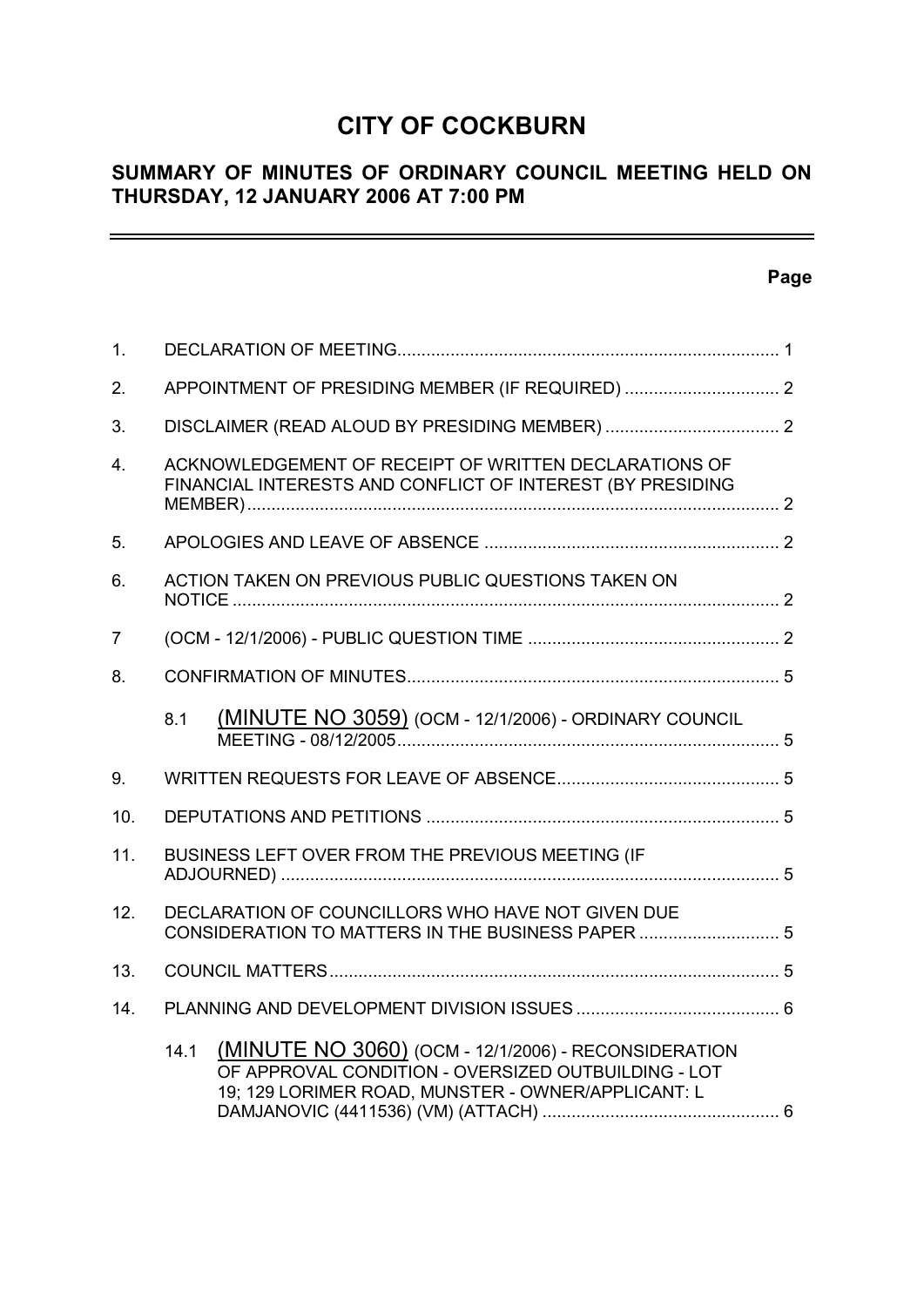# **CITY OF COCKBURN**

# **SUMMARY OF MINUTES OF ORDINARY COUNCIL MEETING HELD ON THURSDAY, 12 JANUARY 2006 AT 7:00 PM**

# **Page**

 $\equiv$ 

| 1.             |                                                                                                                                                                           |  |  |  |
|----------------|---------------------------------------------------------------------------------------------------------------------------------------------------------------------------|--|--|--|
| 2.             |                                                                                                                                                                           |  |  |  |
| 3.             |                                                                                                                                                                           |  |  |  |
| 4.             | ACKNOWLEDGEMENT OF RECEIPT OF WRITTEN DECLARATIONS OF<br>FINANCIAL INTERESTS AND CONFLICT OF INTEREST (BY PRESIDING                                                       |  |  |  |
| 5.             |                                                                                                                                                                           |  |  |  |
| 6.             | ACTION TAKEN ON PREVIOUS PUBLIC QUESTIONS TAKEN ON                                                                                                                        |  |  |  |
| $\overline{7}$ |                                                                                                                                                                           |  |  |  |
| 8.             |                                                                                                                                                                           |  |  |  |
|                | (MINUTE NO 3059) (OCM - 12/1/2006) - ORDINARY COUNCIL<br>8.1                                                                                                              |  |  |  |
| 9.             |                                                                                                                                                                           |  |  |  |
| 10.            |                                                                                                                                                                           |  |  |  |
| 11.            | BUSINESS LEFT OVER FROM THE PREVIOUS MEETING (IF                                                                                                                          |  |  |  |
| 12.            | DECLARATION OF COUNCILLORS WHO HAVE NOT GIVEN DUE<br>CONSIDERATION TO MATTERS IN THE BUSINESS PAPER  5                                                                    |  |  |  |
| 13.            |                                                                                                                                                                           |  |  |  |
| 14.            |                                                                                                                                                                           |  |  |  |
|                | (MINUTE NO 3060) (OCM - 12/1/2006) - RECONSIDERATION<br>14.1<br>OF APPROVAL CONDITION - OVERSIZED OUTBUILDING - LOT<br>19; 129 LORIMER ROAD, MUNSTER - OWNER/APPLICANT: L |  |  |  |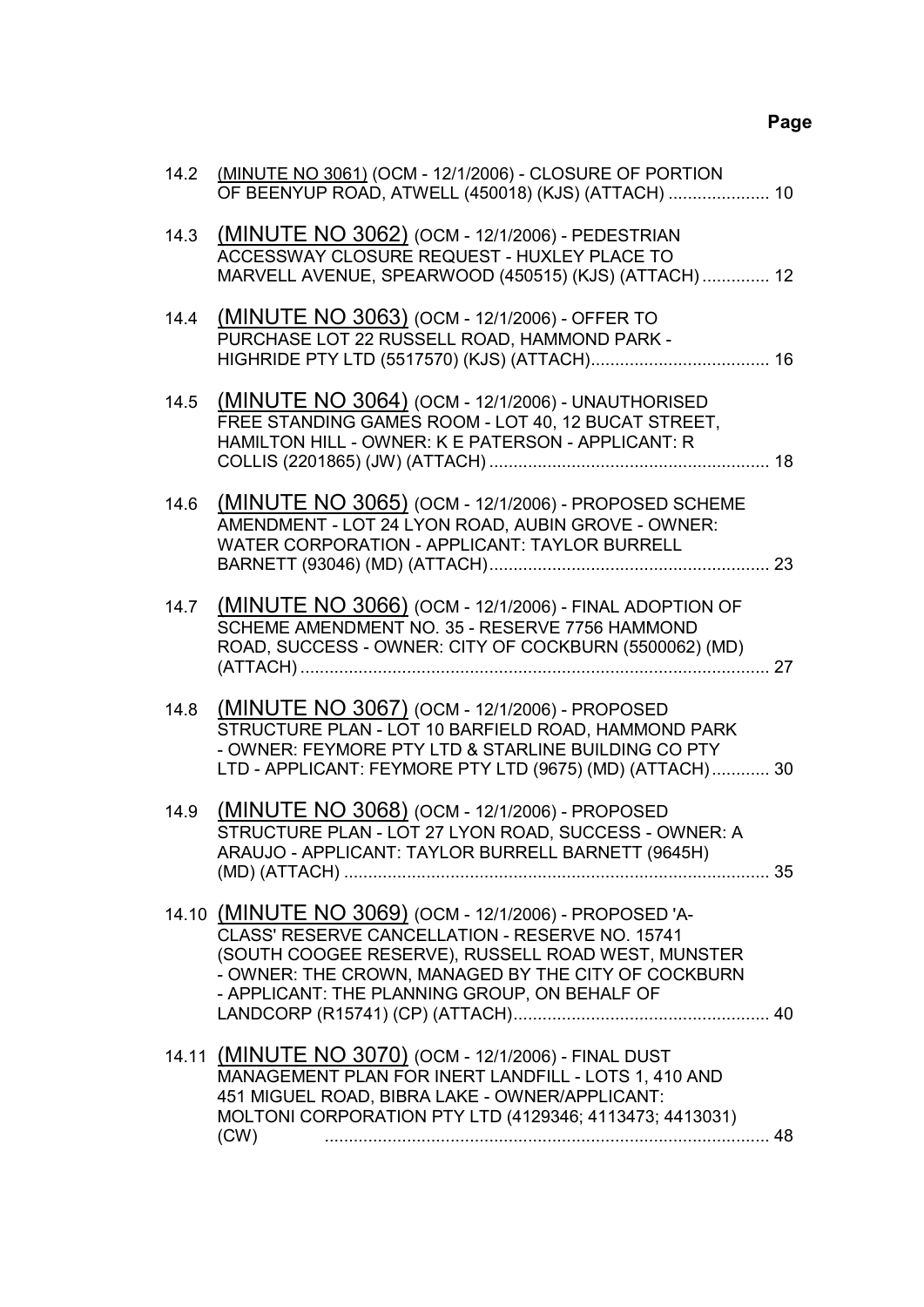# **Page**

| 14.2 | (MINUTE NO 3061) (OCM - 12/1/2006) - CLOSURE OF PORTION<br>OF BEENYUP ROAD, ATWELL (450018) (KJS) (ATTACH)  10                                                                                                                                                           |  |
|------|--------------------------------------------------------------------------------------------------------------------------------------------------------------------------------------------------------------------------------------------------------------------------|--|
| 14.3 | (MINUTE NO 3062) (OCM - 12/1/2006) - PEDESTRIAN<br>ACCESSWAY CLOSURE REQUEST - HUXLEY PLACE TO<br>MARVELL AVENUE, SPEARWOOD (450515) (KJS) (ATTACH) 12                                                                                                                   |  |
| 14.4 | (MINUTE NO 3063) (OCM - 12/1/2006) - OFFER TO<br>PURCHASE LOT 22 RUSSELL ROAD, HAMMOND PARK -                                                                                                                                                                            |  |
| 14.5 | (MINUTE NO 3064) (OCM - 12/1/2006) - UNAUTHORISED<br>FREE STANDING GAMES ROOM - LOT 40, 12 BUCAT STREET,<br>HAMILTON HILL - OWNER: K E PATERSON - APPLICANT: R                                                                                                           |  |
| 14.6 | (MINUTE NO 3065) (OCM - 12/1/2006) - PROPOSED SCHEME<br>AMENDMENT - LOT 24 LYON ROAD, AUBIN GROVE - OWNER:<br>WATER CORPORATION - APPLICANT: TAYLOR BURRELL                                                                                                              |  |
| 14.7 | (MINUTE NO 3066) (OCM - 12/1/2006) - FINAL ADOPTION OF<br>SCHEME AMENDMENT NO. 35 - RESERVE 7756 HAMMOND<br>ROAD, SUCCESS - OWNER: CITY OF COCKBURN (5500062) (MD)                                                                                                       |  |
| 14.8 | (MINUTE NO 3067) (OCM - 12/1/2006) - PROPOSED<br>STRUCTURE PLAN - LOT 10 BARFIELD ROAD, HAMMOND PARK<br>- OWNER: FEYMORE PTY LTD & STARLINE BUILDING CO PTY<br>LTD - APPLICANT: FEYMORE PTY LTD (9675) (MD) (ATTACH) 30                                                  |  |
| 14.9 | (MINUTE NO 3068) (OCM - 12/1/2006) - PROPOSED<br>STRUCTURE PLAN - LOT 27 LYON ROAD, SUCCESS - OWNER: A<br>ARAUJO - APPLICANT: TAYLOR BURRELL BARNETT (9645H)                                                                                                             |  |
|      | 14.10 (MINUTE NO 3069) (OCM - 12/1/2006) - PROPOSED 'A-<br>CLASS' RESERVE CANCELLATION - RESERVE NO. 15741<br>(SOUTH COOGEE RESERVE), RUSSELL ROAD WEST, MUNSTER<br>- OWNER: THE CROWN, MANAGED BY THE CITY OF COCKBURN<br>- APPLICANT: THE PLANNING GROUP, ON BEHALF OF |  |
|      | 14.11 (MINUTE NO 3070) (OCM - 12/1/2006) - FINAL DUST<br>MANAGEMENT PLAN FOR INERT LANDFILL - LOTS 1, 410 AND<br>451 MIGUEL ROAD, BIBRA LAKE - OWNER/APPLICANT:<br>MOLTONI CORPORATION PTY LTD (4129346; 4113473; 4413031)<br>(CW)                                       |  |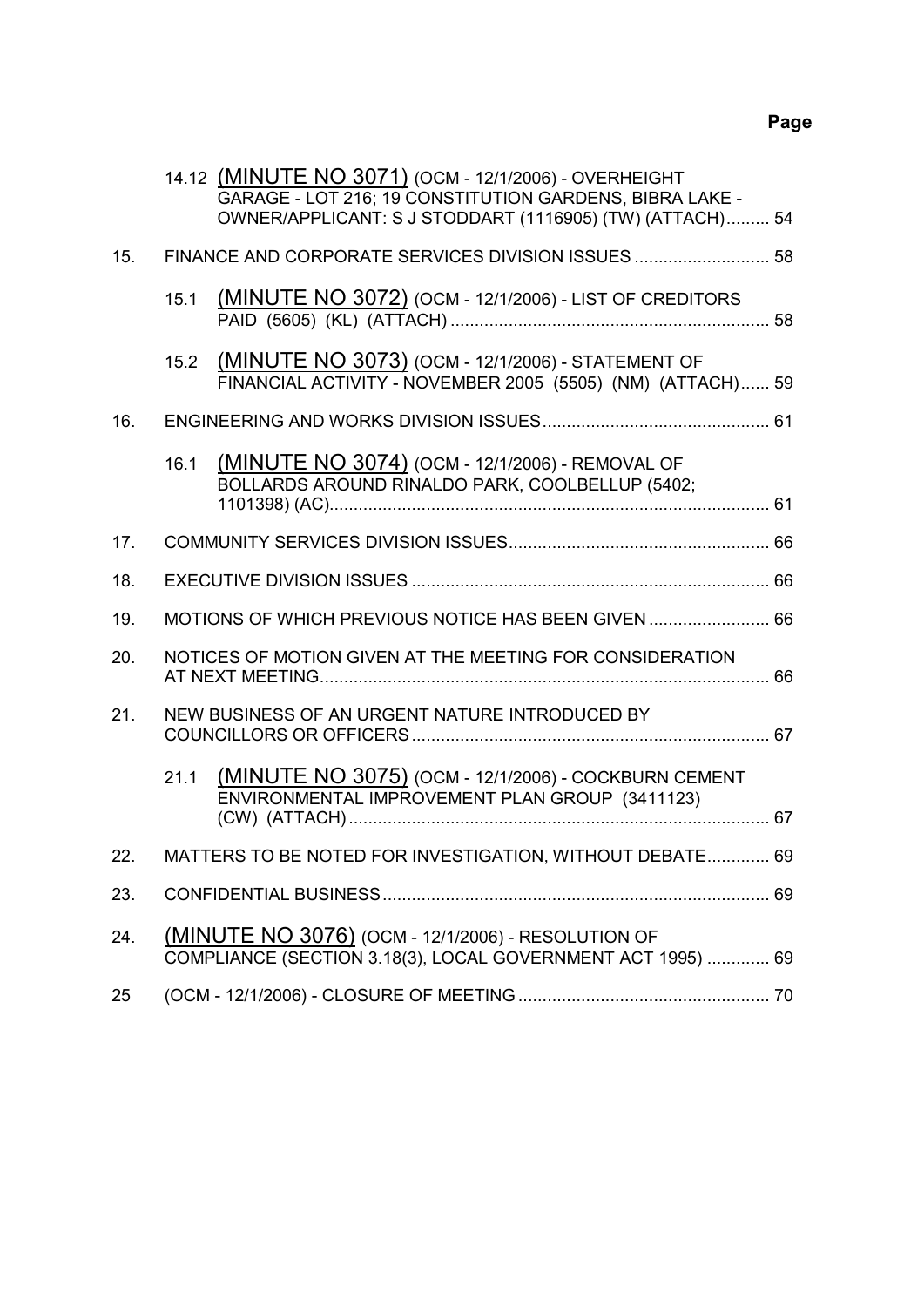|     |                                                    | 14.12 (MINUTE NO 3071) (OCM - 12/1/2006) - OVERHEIGHT<br>GARAGE - LOT 216; 19 CONSTITUTION GARDENS, BIBRA LAKE -<br>OWNER/APPLICANT: S J STODDART (1116905) (TW) (ATTACH) 54 |  |  |  |
|-----|----------------------------------------------------|------------------------------------------------------------------------------------------------------------------------------------------------------------------------------|--|--|--|
| 15. | FINANCE AND CORPORATE SERVICES DIVISION ISSUES  58 |                                                                                                                                                                              |  |  |  |
|     | 15.1                                               | <b>(MINUTE NO 3072) (OCM - 12/1/2006) - LIST OF CREDITORS</b>                                                                                                                |  |  |  |
|     | 15.2                                               | (MINUTE NO 3073) (OCM - 12/1/2006) - STATEMENT OF<br>FINANCIAL ACTIVITY - NOVEMBER 2005 (5505) (NM) (ATTACH) 59                                                              |  |  |  |
| 16. |                                                    |                                                                                                                                                                              |  |  |  |
|     | 16.1                                               | (MINUTE NO 3074) (OCM - 12/1/2006) - REMOVAL OF<br>BOLLARDS AROUND RINALDO PARK, COOLBELLUP (5402;                                                                           |  |  |  |
| 17. |                                                    |                                                                                                                                                                              |  |  |  |
| 18. |                                                    |                                                                                                                                                                              |  |  |  |
| 19. |                                                    | MOTIONS OF WHICH PREVIOUS NOTICE HAS BEEN GIVEN  66                                                                                                                          |  |  |  |
| 20. |                                                    | NOTICES OF MOTION GIVEN AT THE MEETING FOR CONSIDERATION                                                                                                                     |  |  |  |
| 21. |                                                    | NEW BUSINESS OF AN URGENT NATURE INTRODUCED BY                                                                                                                               |  |  |  |
|     | 21.1                                               | (MINUTE NO 3075) (OCM - 12/1/2006) - COCKBURN CEMENT<br>ENVIRONMENTAL IMPROVEMENT PLAN GROUP (3411123)                                                                       |  |  |  |
| 22. |                                                    | MATTERS TO BE NOTED FOR INVESTIGATION, WITHOUT DEBATE 69                                                                                                                     |  |  |  |
| 23. |                                                    |                                                                                                                                                                              |  |  |  |
| 24. |                                                    | <u>(MINUTE NO 3076)</u> (OCM - 12/1/2006) - RESOLUTION OF<br>COMPLIANCE (SECTION 3.18(3), LOCAL GOVERNMENT ACT 1995)  69                                                     |  |  |  |
| 25  |                                                    |                                                                                                                                                                              |  |  |  |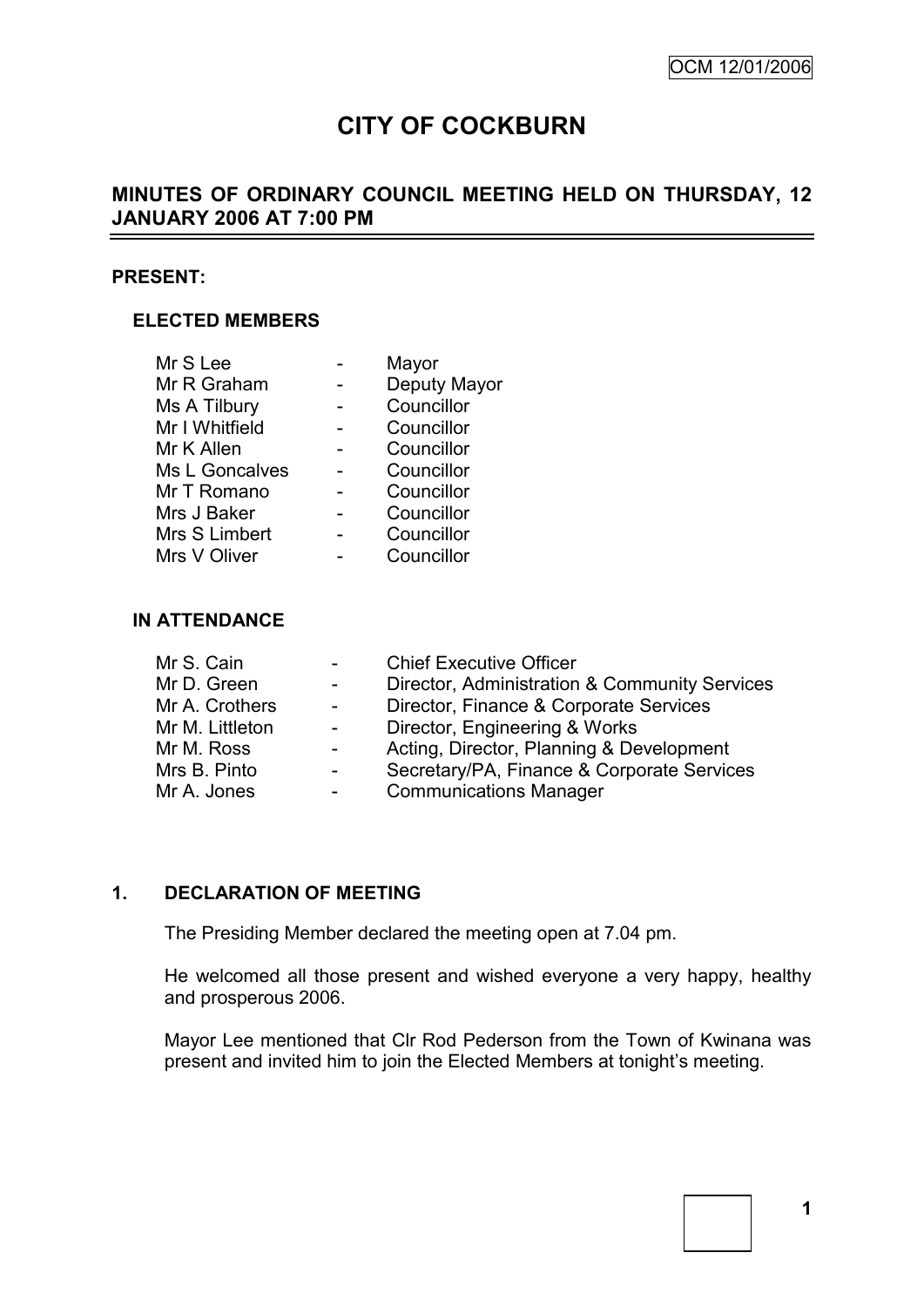# **CITY OF COCKBURN**

# **MINUTES OF ORDINARY COUNCIL MEETING HELD ON THURSDAY, 12 JANUARY 2006 AT 7:00 PM**

#### **PRESENT:**

### **ELECTED MEMBERS**

| Mr S Lee       | Mayor        |
|----------------|--------------|
| Mr R Graham    | Deputy Mayor |
| Ms A Tilbury   | Councillor   |
| Mr I Whitfield | Councillor   |
| Mr K Allen     | Councillor   |
| Ms L Goncalves | Councillor   |
| Mr T Romano    | Councillor   |
| Mrs J Baker    | Councillor   |
| Mrs S Limbert  | Councillor   |
| Mrs V Oliver   | Councillor   |

#### **IN ATTENDANCE**

| $\sim 100$ | <b>Chief Executive Officer</b>                |
|------------|-----------------------------------------------|
| $\sim 100$ | Director, Administration & Community Services |
| $\sim 100$ | Director, Finance & Corporate Services        |
| $\sim 100$ | Director, Engineering & Works                 |
| $\sim 100$ | Acting, Director, Planning & Development      |
|            | Secretary/PA, Finance & Corporate Services    |
| $\sim 100$ | <b>Communications Manager</b>                 |
|            |                                               |

# **1. DECLARATION OF MEETING**

The Presiding Member declared the meeting open at 7.04 pm.

He welcomed all those present and wished everyone a very happy, healthy and prosperous 2006.

Mayor Lee mentioned that Clr Rod Pederson from the Town of Kwinana was present and invited him to join the Elected Members at tonight"s meeting.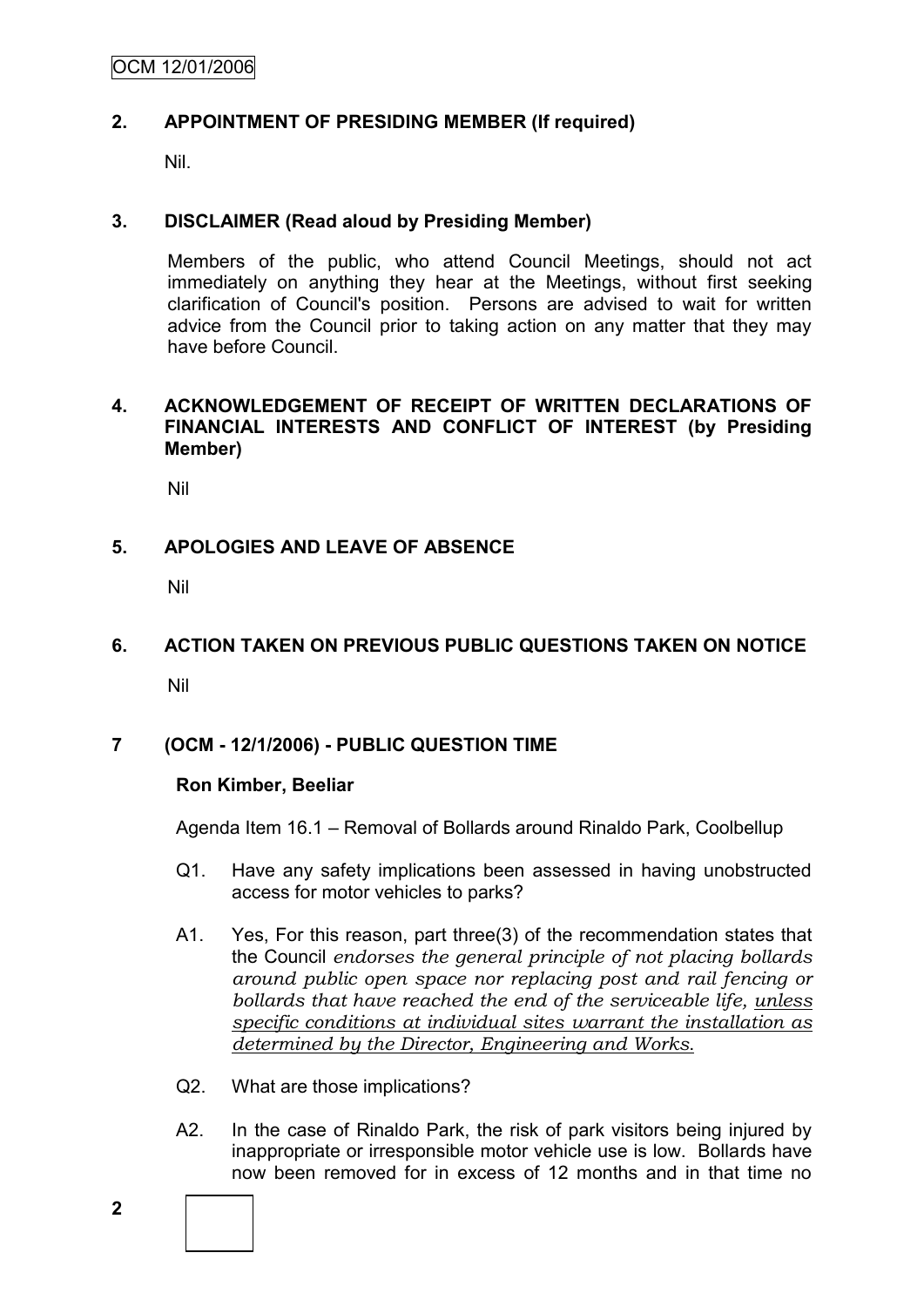### **2. APPOINTMENT OF PRESIDING MEMBER (If required)**

Nil.

### **3. DISCLAIMER (Read aloud by Presiding Member)**

Members of the public, who attend Council Meetings, should not act immediately on anything they hear at the Meetings, without first seeking clarification of Council's position. Persons are advised to wait for written advice from the Council prior to taking action on any matter that they may have before Council.

### **4. ACKNOWLEDGEMENT OF RECEIPT OF WRITTEN DECLARATIONS OF FINANCIAL INTERESTS AND CONFLICT OF INTEREST (by Presiding Member)**

Nil

# **5. APOLOGIES AND LEAVE OF ABSENCE**

Nil

# **6. ACTION TAKEN ON PREVIOUS PUBLIC QUESTIONS TAKEN ON NOTICE**

Nil

# **7 (OCM - 12/1/2006) - PUBLIC QUESTION TIME**

### **Ron Kimber, Beeliar**

Agenda Item 16.1 – Removal of Bollards around Rinaldo Park, Coolbellup

- Q1. Have any safety implications been assessed in having unobstructed access for motor vehicles to parks?
- A1. Yes, For this reason, part three(3) of the recommendation states that the Council *endorses the general principle of not placing bollards around public open space nor replacing post and rail fencing or bollards that have reached the end of the serviceable life, unless specific conditions at individual sites warrant the installation as determined by the Director, Engineering and Works*.
- Q2. What are those implications?
- A2. In the case of Rinaldo Park, the risk of park visitors being injured by inappropriate or irresponsible motor vehicle use is low. Bollards have now been removed for in excess of 12 months and in that time no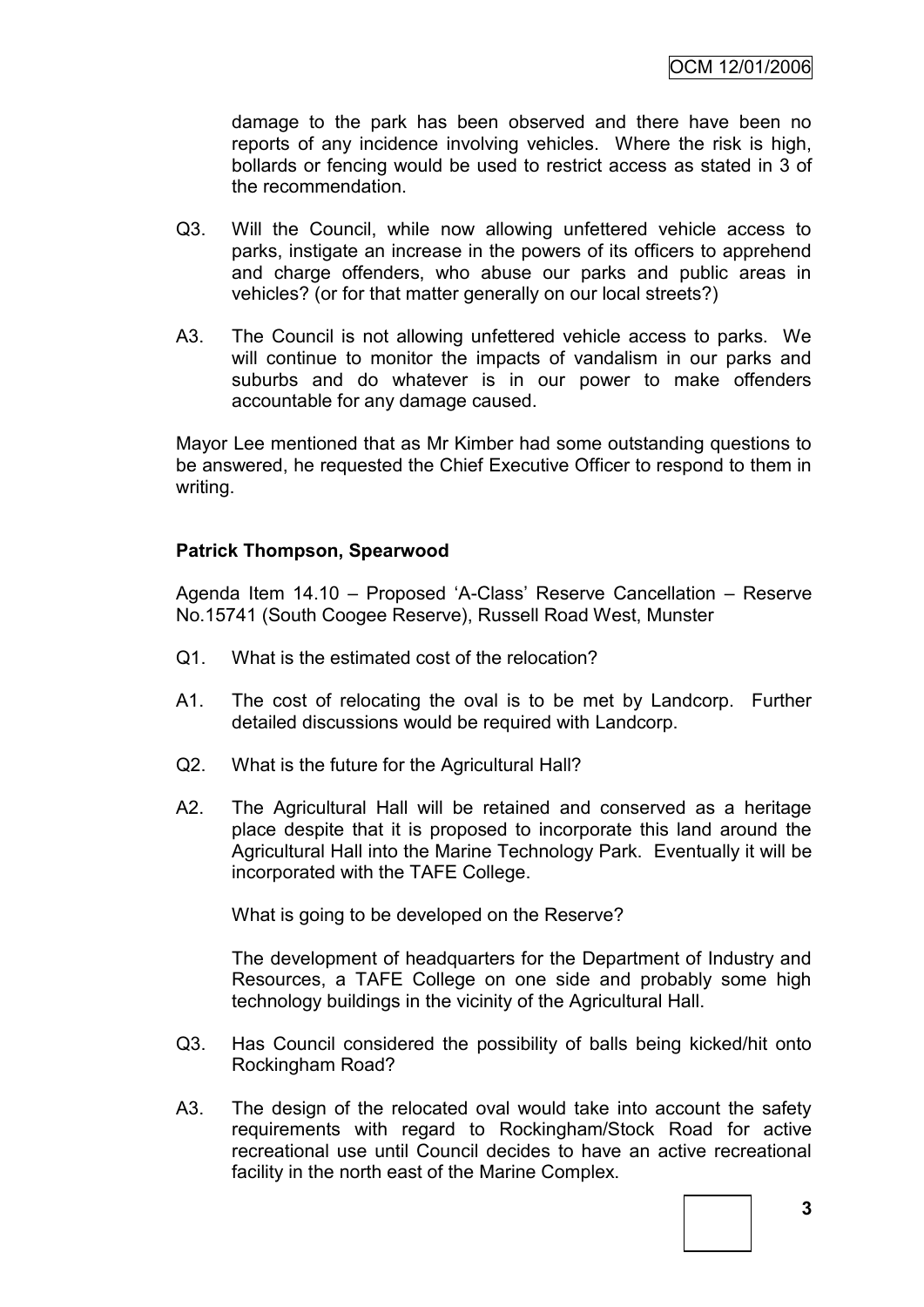damage to the park has been observed and there have been no reports of any incidence involving vehicles. Where the risk is high, bollards or fencing would be used to restrict access as stated in 3 of the recommendation.

- Q3. Will the Council, while now allowing unfettered vehicle access to parks, instigate an increase in the powers of its officers to apprehend and charge offenders, who abuse our parks and public areas in vehicles? (or for that matter generally on our local streets?)
- A3. The Council is not allowing unfettered vehicle access to parks. We will continue to monitor the impacts of vandalism in our parks and suburbs and do whatever is in our power to make offenders accountable for any damage caused.

Mayor Lee mentioned that as Mr Kimber had some outstanding questions to be answered, he requested the Chief Executive Officer to respond to them in writing.

### **Patrick Thompson, Spearwood**

Agenda Item 14.10 – Proposed "A-Class" Reserve Cancellation – Reserve No.15741 (South Coogee Reserve), Russell Road West, Munster

- Q1. What is the estimated cost of the relocation?
- A1. The cost of relocating the oval is to be met by Landcorp. Further detailed discussions would be required with Landcorp.
- Q2. What is the future for the Agricultural Hall?
- A2. The Agricultural Hall will be retained and conserved as a heritage place despite that it is proposed to incorporate this land around the Agricultural Hall into the Marine Technology Park. Eventually it will be incorporated with the TAFE College.

What is going to be developed on the Reserve?

The development of headquarters for the Department of Industry and Resources, a TAFE College on one side and probably some high technology buildings in the vicinity of the Agricultural Hall.

- Q3. Has Council considered the possibility of balls being kicked/hit onto Rockingham Road?
- A3. The design of the relocated oval would take into account the safety requirements with regard to Rockingham/Stock Road for active recreational use until Council decides to have an active recreational facility in the north east of the Marine Complex.

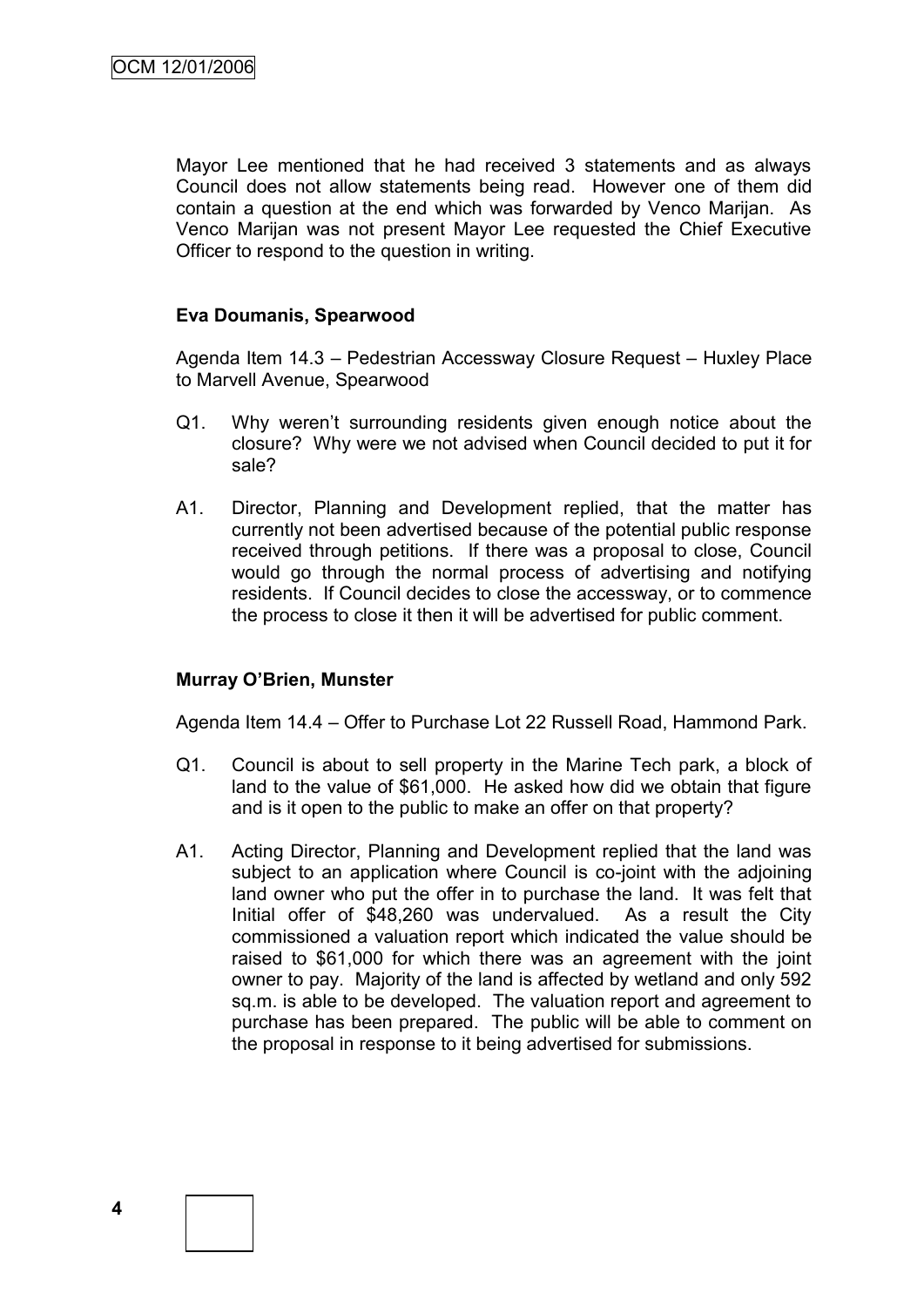Mayor Lee mentioned that he had received 3 statements and as always Council does not allow statements being read. However one of them did contain a question at the end which was forwarded by Venco Marijan. As Venco Marijan was not present Mayor Lee requested the Chief Executive Officer to respond to the question in writing.

### **Eva Doumanis, Spearwood**

Agenda Item 14.3 – Pedestrian Accessway Closure Request – Huxley Place to Marvell Avenue, Spearwood

- Q1. Why weren"t surrounding residents given enough notice about the closure? Why were we not advised when Council decided to put it for sale?
- A1. Director, Planning and Development replied, that the matter has currently not been advertised because of the potential public response received through petitions. If there was a proposal to close, Council would go through the normal process of advertising and notifying residents. If Council decides to close the accessway, or to commence the process to close it then it will be advertised for public comment.

### **Murray O'Brien, Munster**

Agenda Item 14.4 – Offer to Purchase Lot 22 Russell Road, Hammond Park.

- Q1. Council is about to sell property in the Marine Tech park, a block of land to the value of \$61,000. He asked how did we obtain that figure and is it open to the public to make an offer on that property?
- A1. Acting Director, Planning and Development replied that the land was subject to an application where Council is co-joint with the adjoining land owner who put the offer in to purchase the land. It was felt that Initial offer of \$48,260 was undervalued. As a result the City commissioned a valuation report which indicated the value should be raised to \$61,000 for which there was an agreement with the joint owner to pay. Majority of the land is affected by wetland and only 592 sq.m. is able to be developed. The valuation report and agreement to purchase has been prepared. The public will be able to comment on the proposal in response to it being advertised for submissions.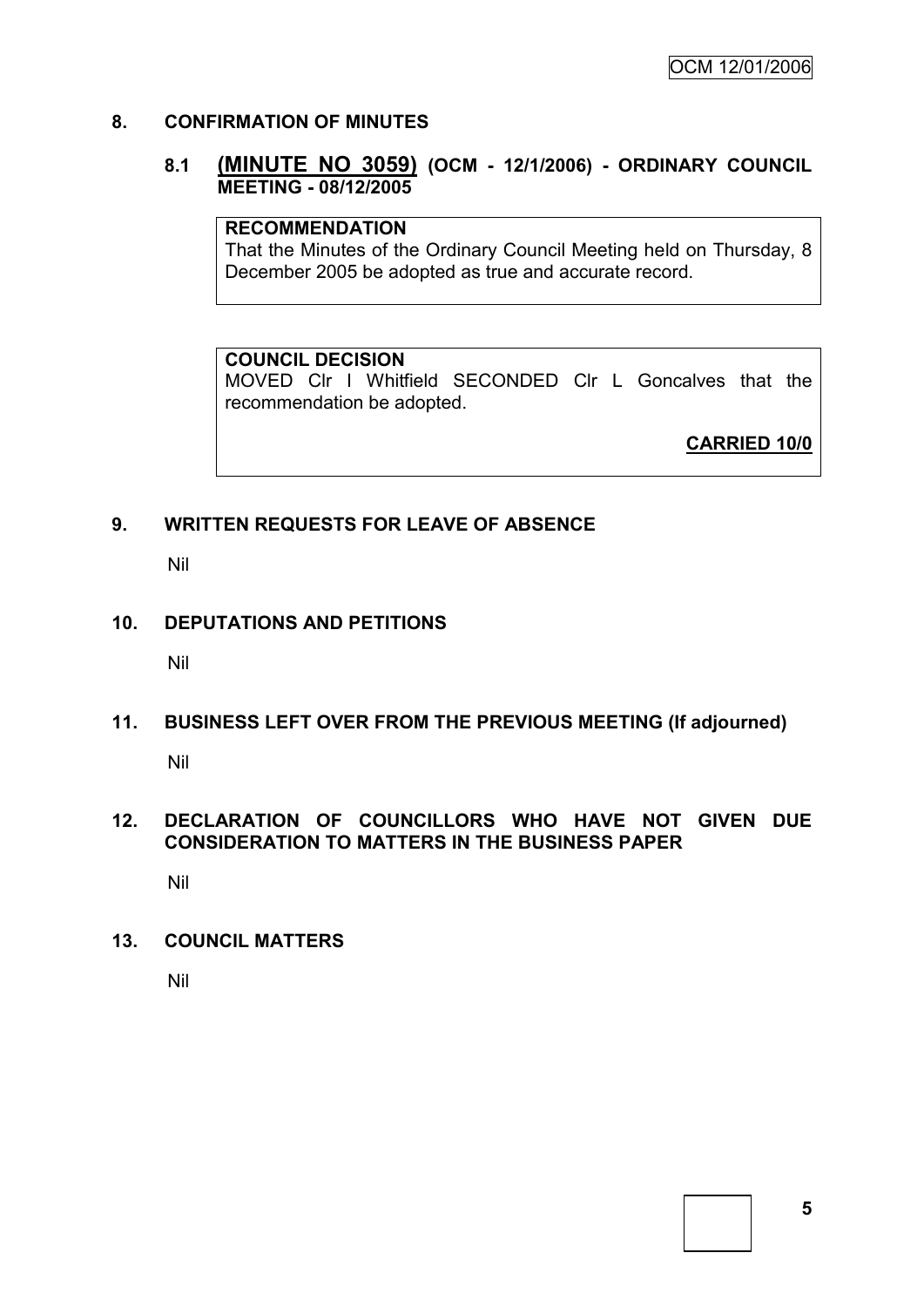### **8. CONFIRMATION OF MINUTES**

### **8.1 (MINUTE NO 3059) (OCM - 12/1/2006) - ORDINARY COUNCIL MEETING - 08/12/2005**

### **RECOMMENDATION**

That the Minutes of the Ordinary Council Meeting held on Thursday, 8 December 2005 be adopted as true and accurate record.

#### **COUNCIL DECISION**

MOVED Clr I Whitfield SECONDED Clr L Goncalves that the recommendation be adopted.

**CARRIED 10/0**

### **9. WRITTEN REQUESTS FOR LEAVE OF ABSENCE**

Nil

### **10. DEPUTATIONS AND PETITIONS**

Nil

# **11. BUSINESS LEFT OVER FROM THE PREVIOUS MEETING (If adjourned)**

Nil

### **12. DECLARATION OF COUNCILLORS WHO HAVE NOT GIVEN DUE CONSIDERATION TO MATTERS IN THE BUSINESS PAPER**

Nil

### **13. COUNCIL MATTERS**

Nil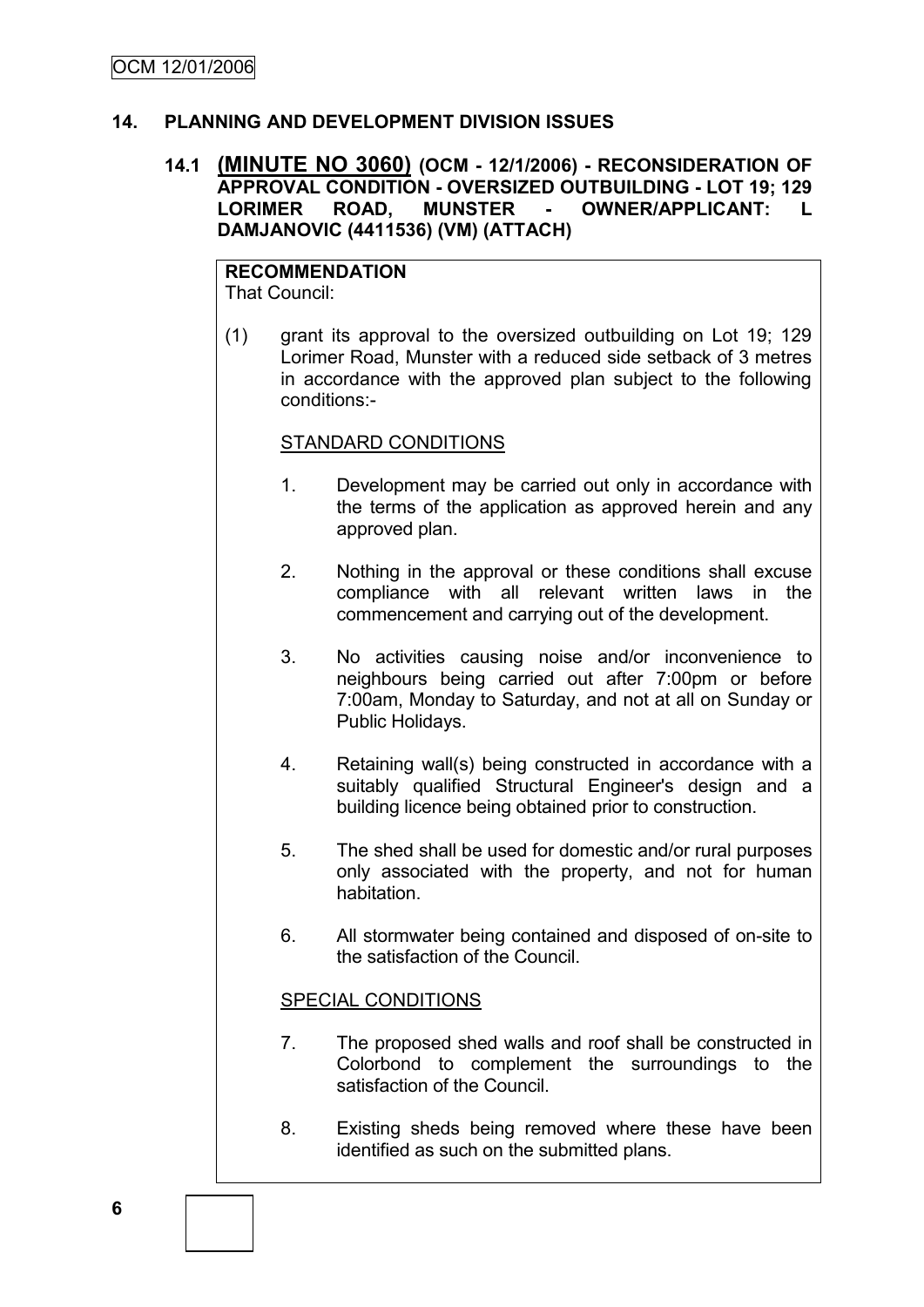### **14. PLANNING AND DEVELOPMENT DIVISION ISSUES**

### **14.1 (MINUTE NO 3060) (OCM - 12/1/2006) - RECONSIDERATION OF APPROVAL CONDITION - OVERSIZED OUTBUILDING - LOT 19; 129 LORIMER ROAD, MUNSTER - OWNER/APPLICANT: L DAMJANOVIC (4411536) (VM) (ATTACH)**

#### **RECOMMENDATION** That Council:

(1) grant its approval to the oversized outbuilding on Lot 19; 129 Lorimer Road, Munster with a reduced side setback of 3 metres in accordance with the approved plan subject to the following conditions:-

#### STANDARD CONDITIONS

- 1. Development may be carried out only in accordance with the terms of the application as approved herein and any approved plan.
- 2. Nothing in the approval or these conditions shall excuse compliance with all relevant written laws in the commencement and carrying out of the development.
- 3. No activities causing noise and/or inconvenience to neighbours being carried out after 7:00pm or before 7:00am, Monday to Saturday, and not at all on Sunday or Public Holidays.
- 4. Retaining wall(s) being constructed in accordance with a suitably qualified Structural Engineer's design and a building licence being obtained prior to construction.
- 5. The shed shall be used for domestic and/or rural purposes only associated with the property, and not for human habitation.
- 6. All stormwater being contained and disposed of on-site to the satisfaction of the Council.

#### SPECIAL CONDITIONS

- 7. The proposed shed walls and roof shall be constructed in Colorbond to complement the surroundings to the satisfaction of the Council.
- 8. Existing sheds being removed where these have been identified as such on the submitted plans.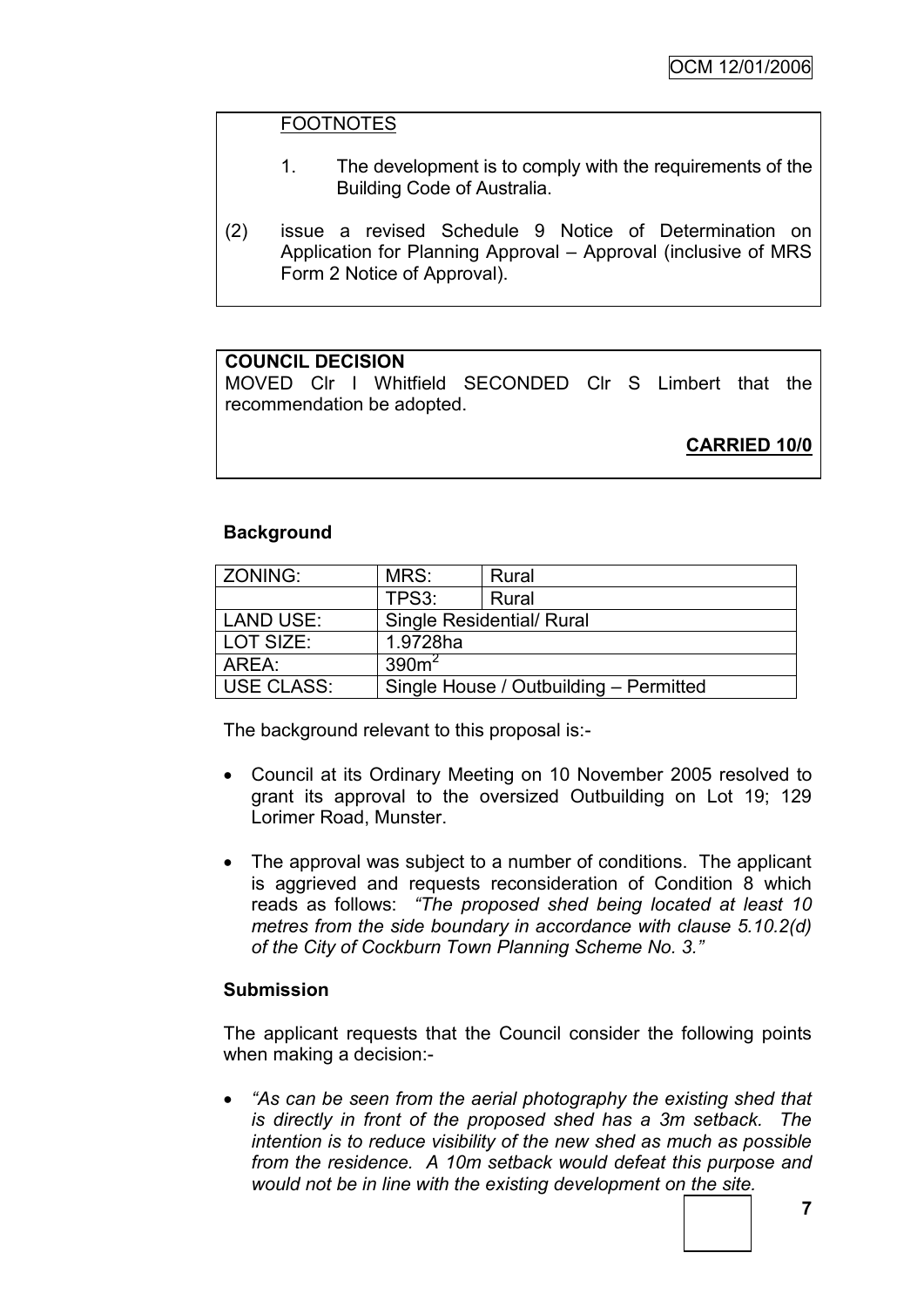### FOOTNOTES

- 1. The development is to comply with the requirements of the Building Code of Australia.
- (2) issue a revised Schedule 9 Notice of Determination on Application for Planning Approval – Approval (inclusive of MRS Form 2 Notice of Approval).

### **COUNCIL DECISION**

MOVED Clr I Whitfield SECONDED Clr S Limbert that the recommendation be adopted.

**CARRIED 10/0**

### **Background**

| ZONING:           | MRS:                                   | Rural |  |
|-------------------|----------------------------------------|-------|--|
|                   | TPS3:                                  | Rural |  |
| <b>LAND USE:</b>  | <b>Single Residential/ Rural</b>       |       |  |
| LOT SIZE:         | 1.9728ha                               |       |  |
| AREA:             | 390 <sup>2</sup>                       |       |  |
| <b>USE CLASS:</b> | Single House / Outbuilding - Permitted |       |  |

The background relevant to this proposal is:-

- Council at its Ordinary Meeting on 10 November 2005 resolved to grant its approval to the oversized Outbuilding on Lot 19; 129 Lorimer Road, Munster.
- The approval was subject to a number of conditions. The applicant is aggrieved and requests reconsideration of Condition 8 which reads as follows: *"The proposed shed being located at least 10 metres from the side boundary in accordance with clause 5.10.2(d) of the City of Cockburn Town Planning Scheme No. 3."*

### **Submission**

The applicant requests that the Council consider the following points when making a decision:-

 *"As can be seen from the aerial photography the existing shed that is directly in front of the proposed shed has a 3m setback. The intention is to reduce visibility of the new shed as much as possible from the residence. A 10m setback would defeat this purpose and would not be in line with the existing development on the site.*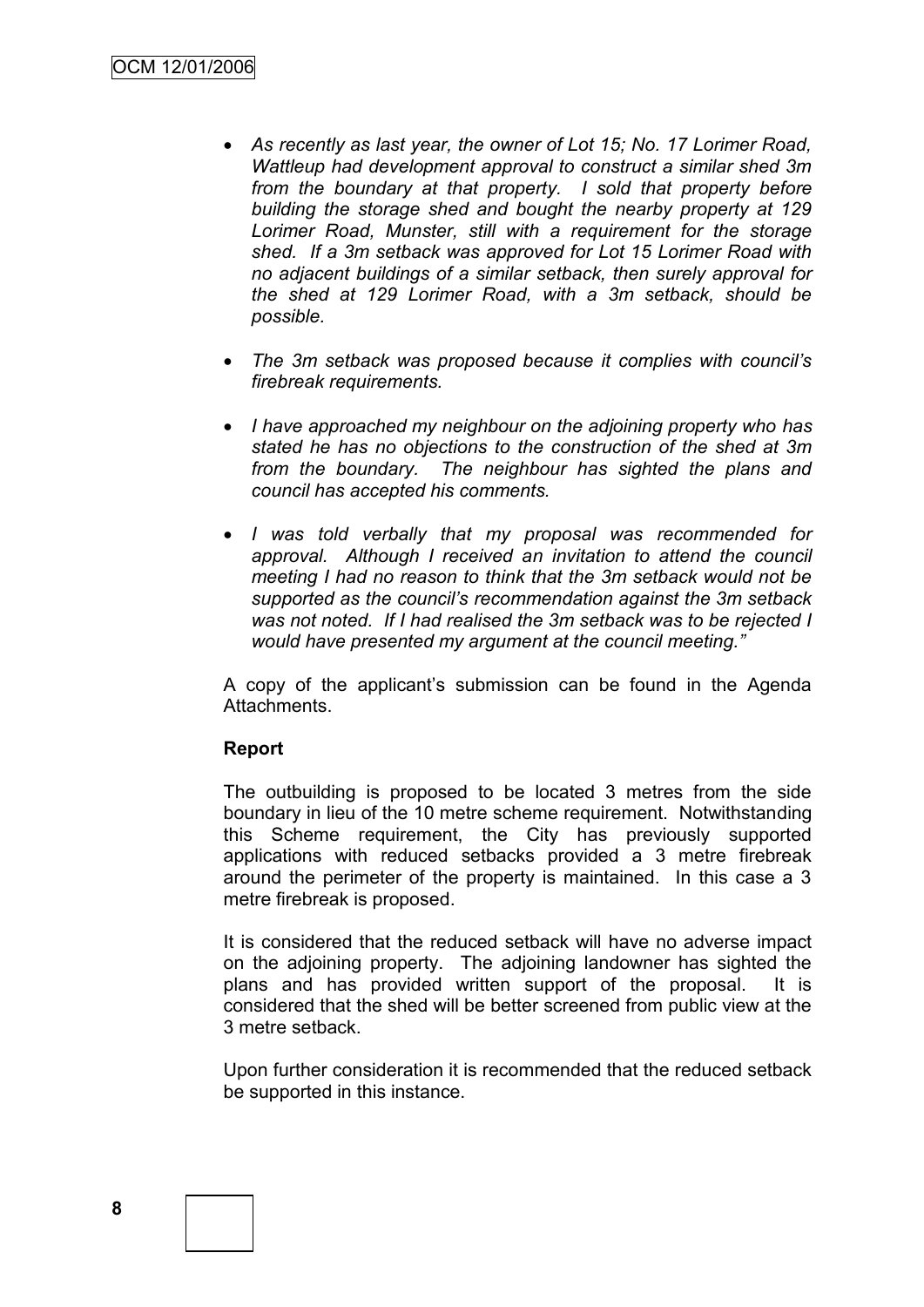- *As recently as last year, the owner of Lot 15; No. 17 Lorimer Road, Wattleup had development approval to construct a similar shed 3m from the boundary at that property. I sold that property before building the storage shed and bought the nearby property at 129 Lorimer Road, Munster, still with a requirement for the storage shed. If a 3m setback was approved for Lot 15 Lorimer Road with no adjacent buildings of a similar setback, then surely approval for the shed at 129 Lorimer Road, with a 3m setback, should be possible.*
- *The 3m setback was proposed because it complies with council"s firebreak requirements.*
- *I have approached my neighbour on the adjoining property who has stated he has no objections to the construction of the shed at 3m from the boundary. The neighbour has sighted the plans and council has accepted his comments.*
- *I was told verbally that my proposal was recommended for approval. Although I received an invitation to attend the council meeting I had no reason to think that the 3m setback would not be supported as the council"s recommendation against the 3m setback was not noted. If I had realised the 3m setback was to be rejected I would have presented my argument at the council meeting."*

A copy of the applicant"s submission can be found in the Agenda Attachments.

### **Report**

The outbuilding is proposed to be located 3 metres from the side boundary in lieu of the 10 metre scheme requirement. Notwithstanding this Scheme requirement, the City has previously supported applications with reduced setbacks provided a 3 metre firebreak around the perimeter of the property is maintained. In this case a 3 metre firebreak is proposed.

It is considered that the reduced setback will have no adverse impact on the adjoining property. The adjoining landowner has sighted the plans and has provided written support of the proposal. It is considered that the shed will be better screened from public view at the 3 metre setback.

Upon further consideration it is recommended that the reduced setback be supported in this instance.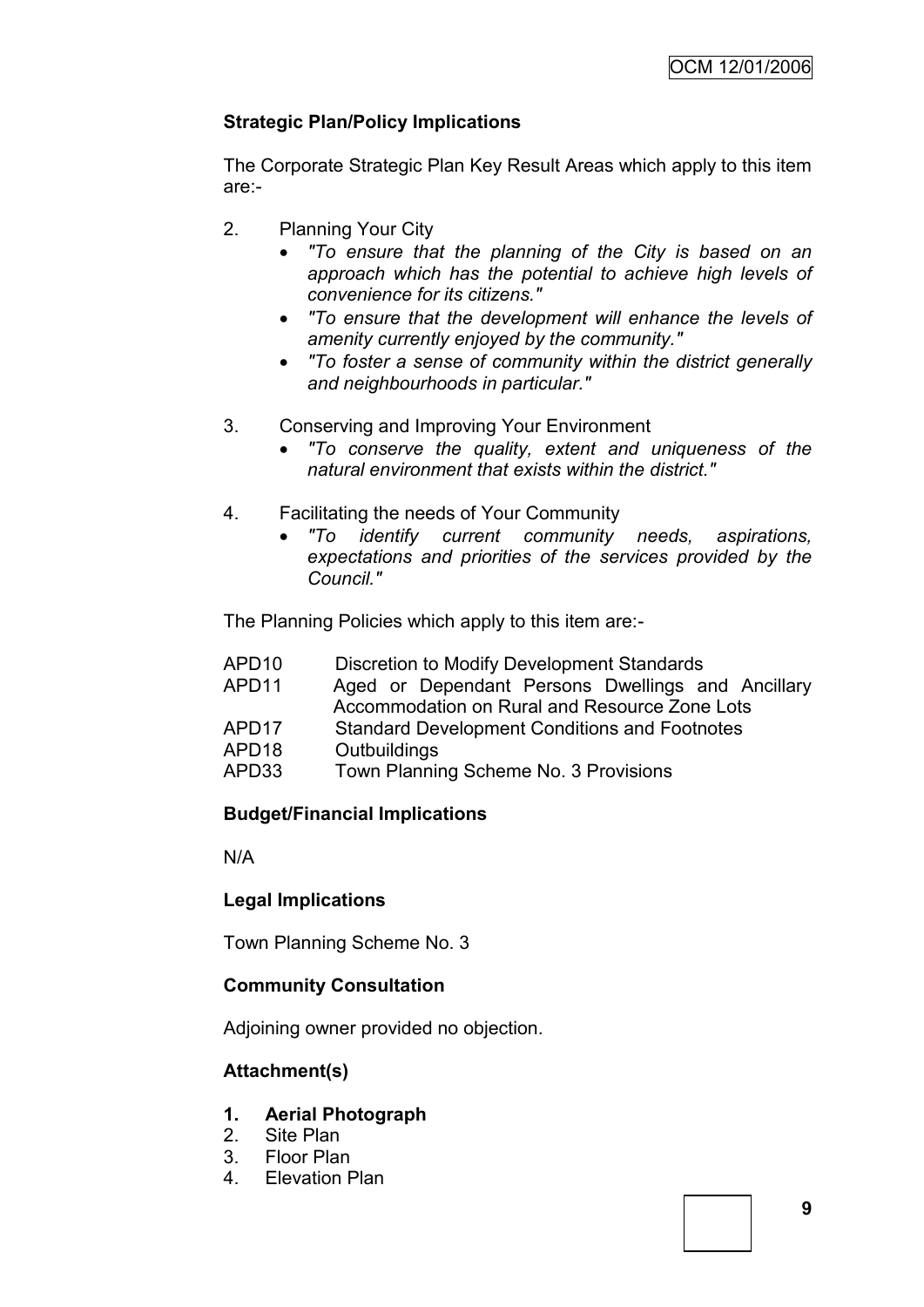# **Strategic Plan/Policy Implications**

The Corporate Strategic Plan Key Result Areas which apply to this item are:-

- 2. Planning Your City
	- *"To ensure that the planning of the City is based on an approach which has the potential to achieve high levels of convenience for its citizens."*
	- *"To ensure that the development will enhance the levels of amenity currently enjoyed by the community."*
	- *"To foster a sense of community within the district generally and neighbourhoods in particular."*
- 3. Conserving and Improving Your Environment
	- *"To conserve the quality, extent and uniqueness of the natural environment that exists within the district."*
- 4. Facilitating the needs of Your Community
	- *"To identify current community needs, aspirations, expectations and priorities of the services provided by the Council."*

The Planning Policies which apply to this item are:-

- APD10 Discretion to Modify Development Standards
- APD11 Aged or Dependant Persons Dwellings and Ancillary Accommodation on Rural and Resource Zone Lots
- APD17 Standard Development Conditions and Footnotes
- APD18 Outbuildings
- APD33 Town Planning Scheme No. 3 Provisions

# **Budget/Financial Implications**

N/A

# **Legal Implications**

Town Planning Scheme No. 3

# **Community Consultation**

Adjoining owner provided no objection.

# **Attachment(s)**

### **1. Aerial Photograph**

- 2. Site Plan
- 3. Floor Plan
- 4. Elevation Plan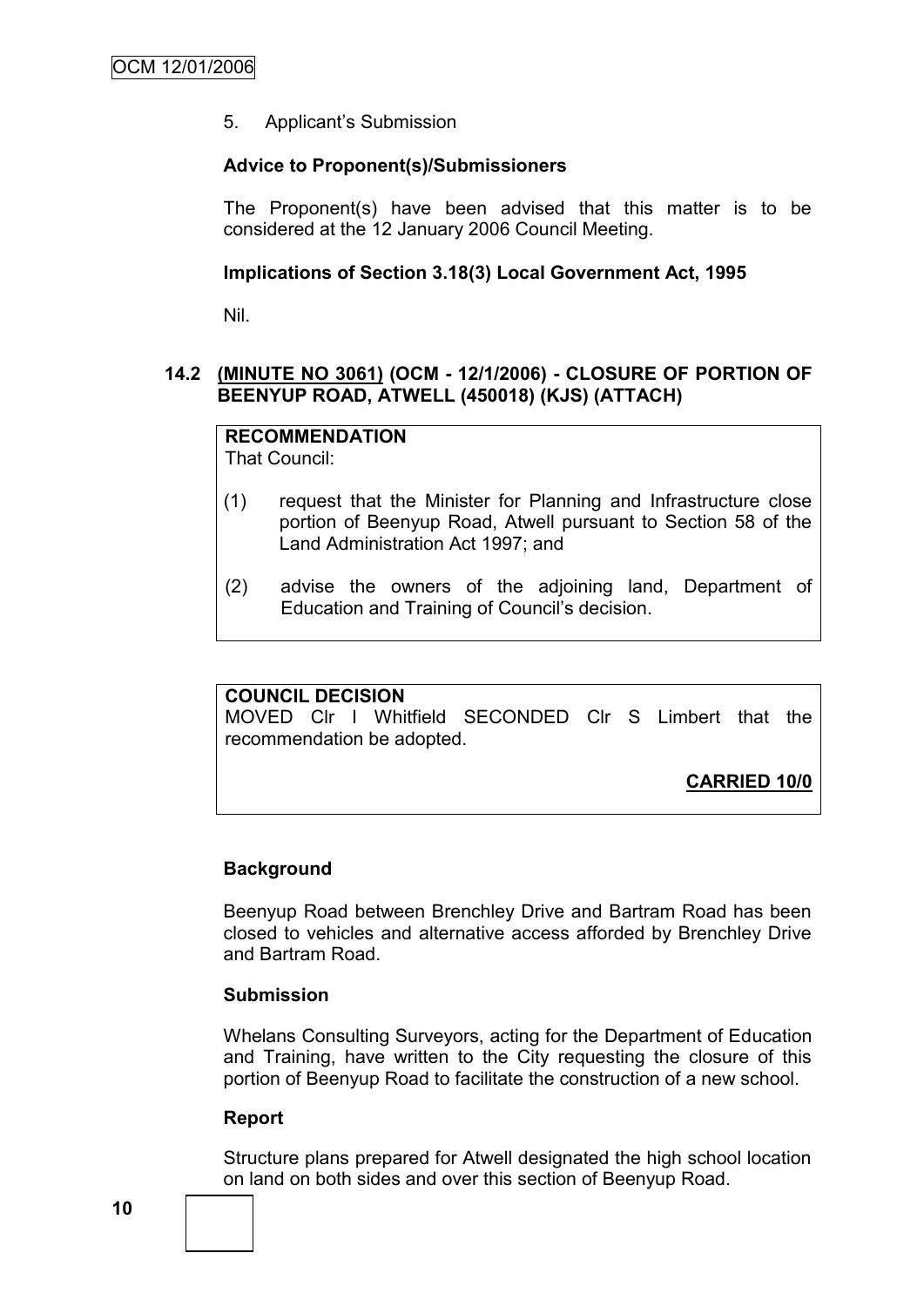5. Applicant"s Submission

### **Advice to Proponent(s)/Submissioners**

The Proponent(s) have been advised that this matter is to be considered at the 12 January 2006 Council Meeting.

### **Implications of Section 3.18(3) Local Government Act, 1995**

Nil.

### **14.2 (MINUTE NO 3061) (OCM - 12/1/2006) - CLOSURE OF PORTION OF BEENYUP ROAD, ATWELL (450018) (KJS) (ATTACH)**

# **RECOMMENDATION**

That Council:

- (1) request that the Minister for Planning and Infrastructure close portion of Beenyup Road, Atwell pursuant to Section 58 of the Land Administration Act 1997; and
- (2) advise the owners of the adjoining land, Department of Education and Training of Council"s decision.

### **COUNCIL DECISION**

MOVED Clr I Whitfield SECONDED Clr S Limbert that the recommendation be adopted.

**CARRIED 10/0**

# **Background**

Beenyup Road between Brenchley Drive and Bartram Road has been closed to vehicles and alternative access afforded by Brenchley Drive and Bartram Road.

### **Submission**

Whelans Consulting Surveyors, acting for the Department of Education and Training, have written to the City requesting the closure of this portion of Beenyup Road to facilitate the construction of a new school.

### **Report**

Structure plans prepared for Atwell designated the high school location on land on both sides and over this section of Beenyup Road.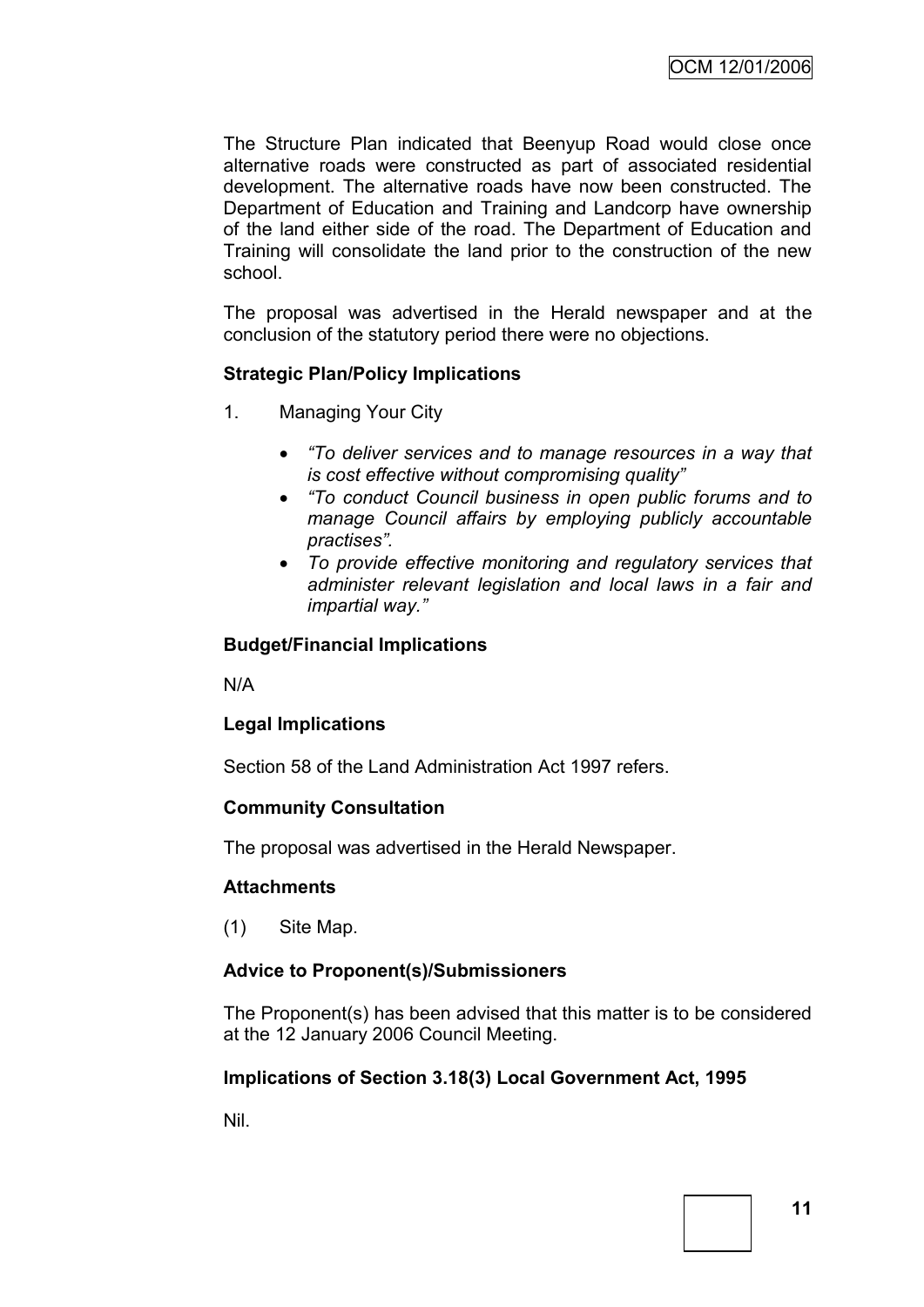The Structure Plan indicated that Beenyup Road would close once alternative roads were constructed as part of associated residential development. The alternative roads have now been constructed. The Department of Education and Training and Landcorp have ownership of the land either side of the road. The Department of Education and Training will consolidate the land prior to the construction of the new school.

The proposal was advertised in the Herald newspaper and at the conclusion of the statutory period there were no objections.

### **Strategic Plan/Policy Implications**

- 1. Managing Your City
	- *"To deliver services and to manage resources in a way that is cost effective without compromising quality"*
	- *"To conduct Council business in open public forums and to manage Council affairs by employing publicly accountable practises".*
	- *To provide effective monitoring and regulatory services that administer relevant legislation and local laws in a fair and impartial way."*

### **Budget/Financial Implications**

N/A

### **Legal Implications**

Section 58 of the Land Administration Act 1997 refers.

### **Community Consultation**

The proposal was advertised in the Herald Newspaper.

### **Attachments**

(1) Site Map.

### **Advice to Proponent(s)/Submissioners**

The Proponent(s) has been advised that this matter is to be considered at the 12 January 2006 Council Meeting.

### **Implications of Section 3.18(3) Local Government Act, 1995**

Nil.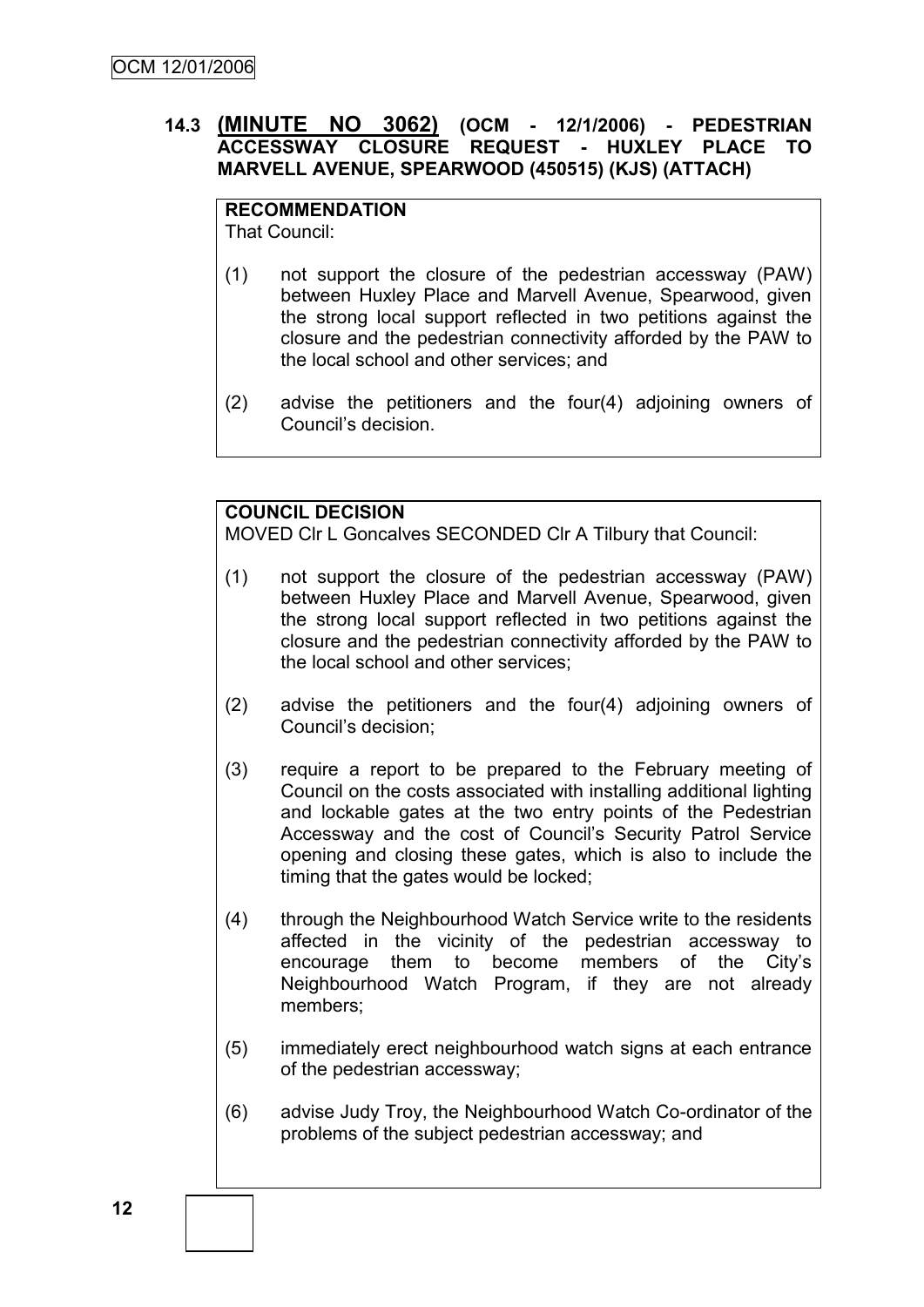# **14.3 (MINUTE NO 3062) (OCM - 12/1/2006) - PEDESTRIAN ACCESSWAY CLOSURE REQUEST - HUXLEY PLACE TO MARVELL AVENUE, SPEARWOOD (450515) (KJS) (ATTACH)**

**RECOMMENDATION** That Council:

- (1) not support the closure of the pedestrian accessway (PAW) between Huxley Place and Marvell Avenue, Spearwood, given the strong local support reflected in two petitions against the closure and the pedestrian connectivity afforded by the PAW to the local school and other services; and
- (2) advise the petitioners and the four(4) adjoining owners of Council"s decision.

# **COUNCIL DECISION**

MOVED Clr L Goncalves SECONDED Clr A Tilbury that Council:

- (1) not support the closure of the pedestrian accessway (PAW) between Huxley Place and Marvell Avenue, Spearwood, given the strong local support reflected in two petitions against the closure and the pedestrian connectivity afforded by the PAW to the local school and other services;
- (2) advise the petitioners and the four(4) adjoining owners of Council"s decision;
- (3) require a report to be prepared to the February meeting of Council on the costs associated with installing additional lighting and lockable gates at the two entry points of the Pedestrian Accessway and the cost of Council"s Security Patrol Service opening and closing these gates, which is also to include the timing that the gates would be locked;
- (4) through the Neighbourhood Watch Service write to the residents affected in the vicinity of the pedestrian accessway to encourage them to become members of the City"s Neighbourhood Watch Program, if they are not already members;
- (5) immediately erect neighbourhood watch signs at each entrance of the pedestrian accessway;
- (6) advise Judy Troy, the Neighbourhood Watch Co-ordinator of the problems of the subject pedestrian accessway; and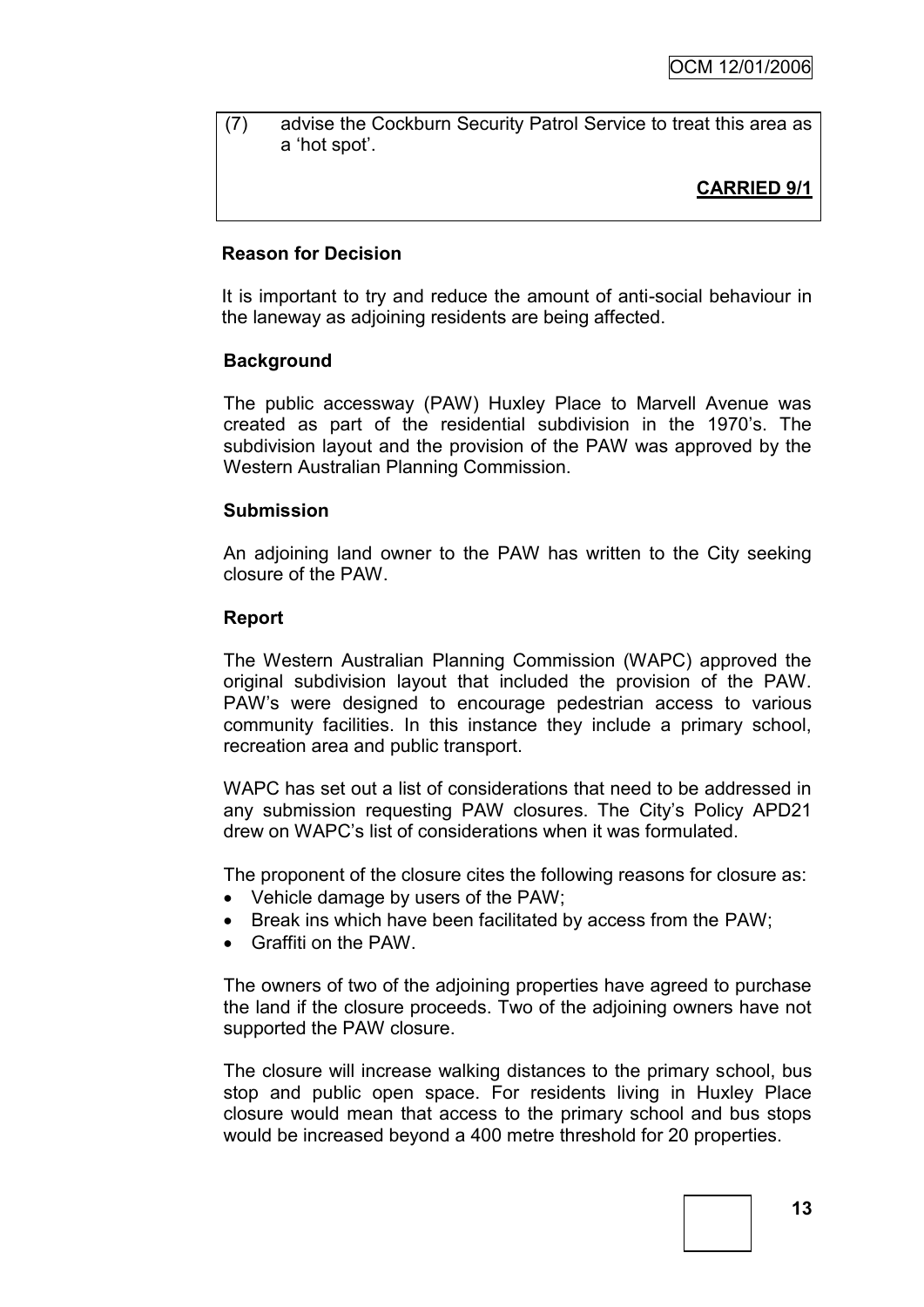(7) advise the Cockburn Security Patrol Service to treat this area as a "hot spot".

# **CARRIED 9/1**

#### **Reason for Decision**

It is important to try and reduce the amount of anti-social behaviour in the laneway as adjoining residents are being affected.

#### **Background**

The public accessway (PAW) Huxley Place to Marvell Avenue was created as part of the residential subdivision in the 1970"s. The subdivision layout and the provision of the PAW was approved by the Western Australian Planning Commission.

#### **Submission**

An adjoining land owner to the PAW has written to the City seeking closure of the PAW.

#### **Report**

The Western Australian Planning Commission (WAPC) approved the original subdivision layout that included the provision of the PAW. PAW"s were designed to encourage pedestrian access to various community facilities. In this instance they include a primary school, recreation area and public transport.

WAPC has set out a list of considerations that need to be addressed in any submission requesting PAW closures. The City"s Policy APD21 drew on WAPC"s list of considerations when it was formulated.

The proponent of the closure cites the following reasons for closure as:

- Vehicle damage by users of the PAW;
- Break ins which have been facilitated by access from the PAW;
- Graffiti on the PAW.

The owners of two of the adjoining properties have agreed to purchase the land if the closure proceeds. Two of the adjoining owners have not supported the PAW closure.

The closure will increase walking distances to the primary school, bus stop and public open space. For residents living in Huxley Place closure would mean that access to the primary school and bus stops would be increased beyond a 400 metre threshold for 20 properties.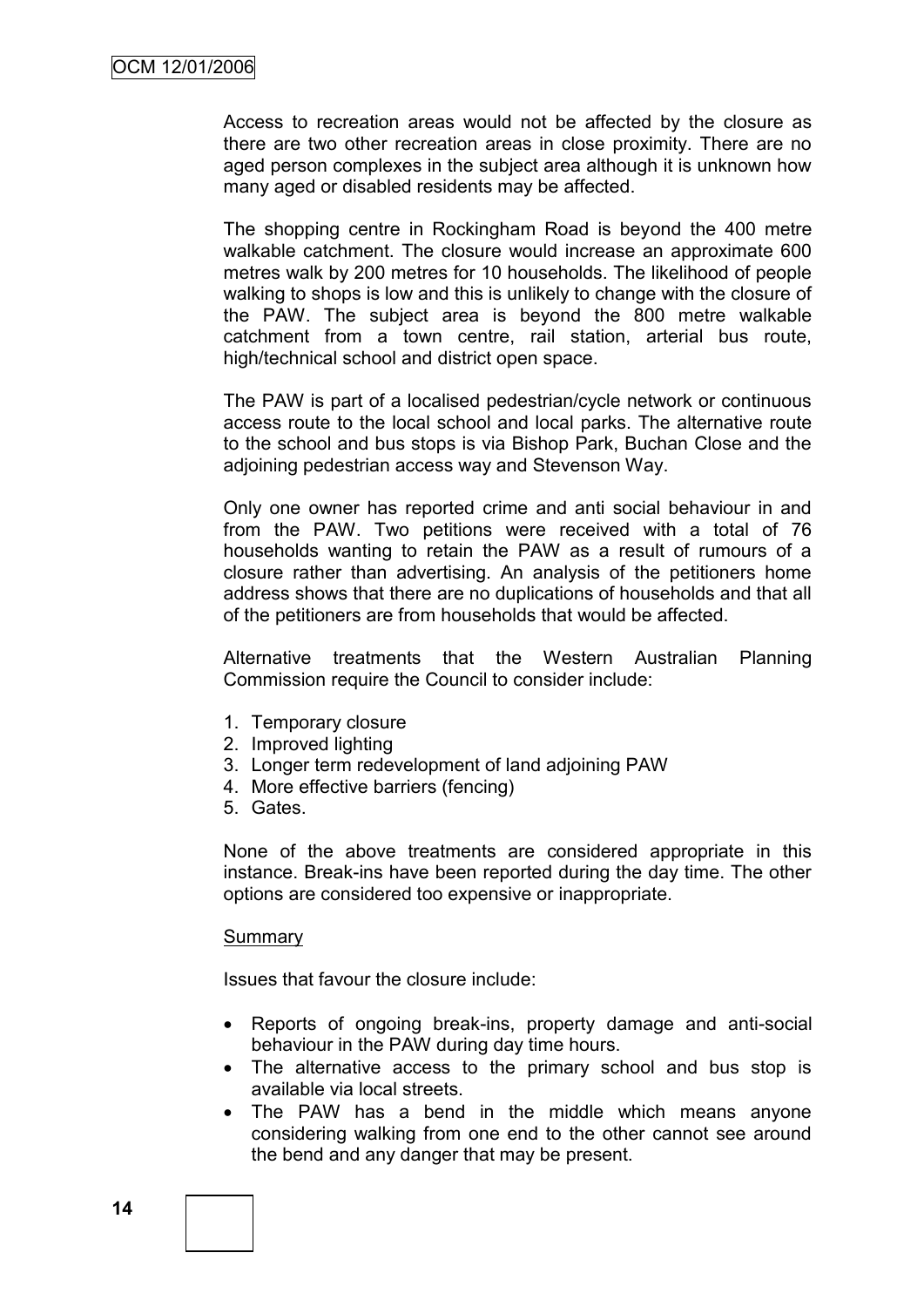Access to recreation areas would not be affected by the closure as there are two other recreation areas in close proximity. There are no aged person complexes in the subject area although it is unknown how many aged or disabled residents may be affected.

The shopping centre in Rockingham Road is beyond the 400 metre walkable catchment. The closure would increase an approximate 600 metres walk by 200 metres for 10 households. The likelihood of people walking to shops is low and this is unlikely to change with the closure of the PAW. The subject area is beyond the 800 metre walkable catchment from a town centre, rail station, arterial bus route, high/technical school and district open space.

The PAW is part of a localised pedestrian/cycle network or continuous access route to the local school and local parks. The alternative route to the school and bus stops is via Bishop Park, Buchan Close and the adjoining pedestrian access way and Stevenson Way.

Only one owner has reported crime and anti social behaviour in and from the PAW. Two petitions were received with a total of 76 households wanting to retain the PAW as a result of rumours of a closure rather than advertising. An analysis of the petitioners home address shows that there are no duplications of households and that all of the petitioners are from households that would be affected.

Alternative treatments that the Western Australian Planning Commission require the Council to consider include:

- 1. Temporary closure
- 2. Improved lighting
- 3. Longer term redevelopment of land adjoining PAW
- 4. More effective barriers (fencing)
- 5. Gates.

None of the above treatments are considered appropriate in this instance. Break-ins have been reported during the day time. The other options are considered too expensive or inappropriate.

#### Summary

Issues that favour the closure include:

- Reports of ongoing break-ins, property damage and anti-social behaviour in the PAW during day time hours.
- The alternative access to the primary school and bus stop is available via local streets.
- The PAW has a bend in the middle which means anyone considering walking from one end to the other cannot see around the bend and any danger that may be present.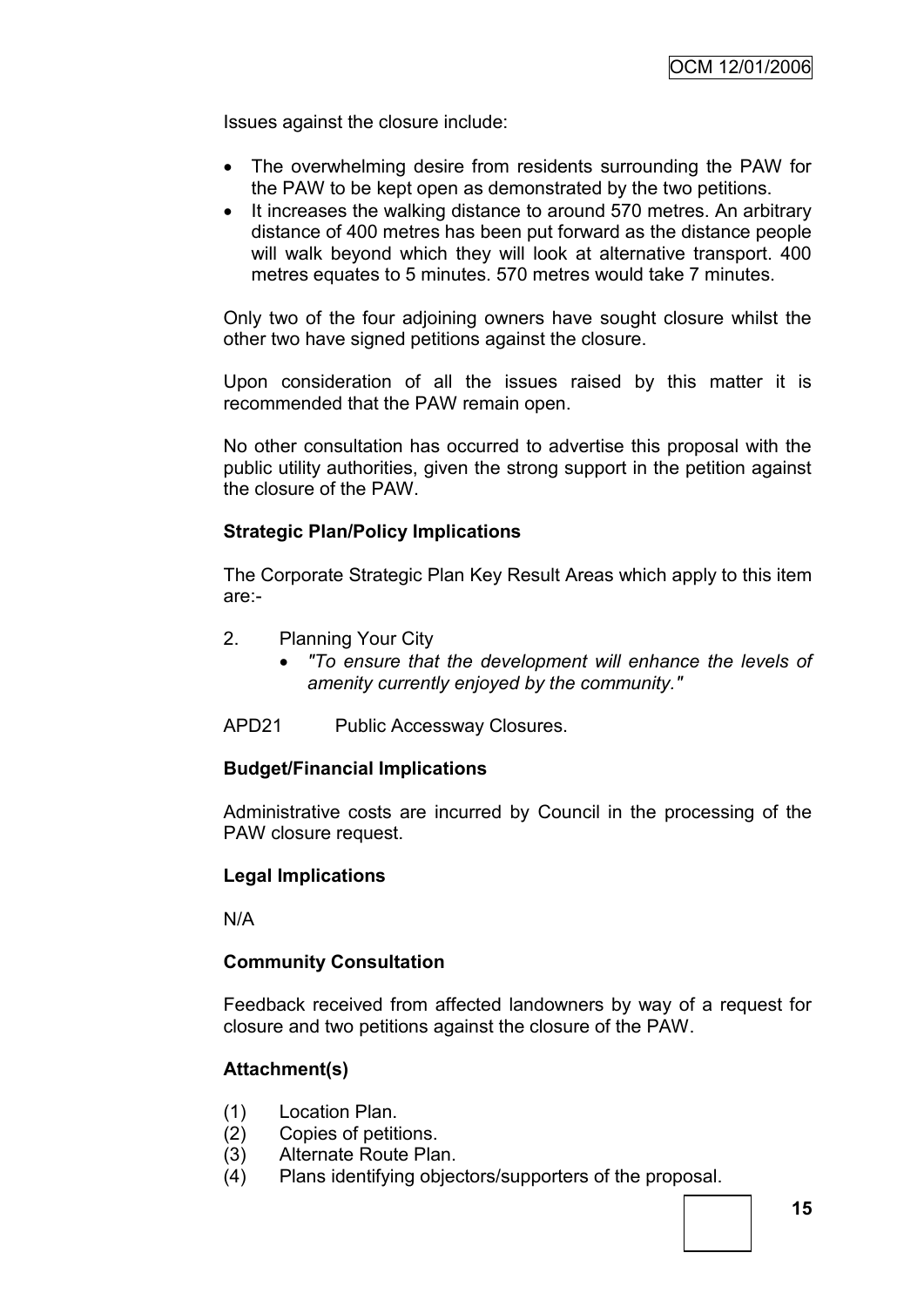Issues against the closure include:

- The overwhelming desire from residents surrounding the PAW for the PAW to be kept open as demonstrated by the two petitions.
- It increases the walking distance to around 570 metres. An arbitrary distance of 400 metres has been put forward as the distance people will walk beyond which they will look at alternative transport. 400 metres equates to 5 minutes. 570 metres would take 7 minutes.

Only two of the four adjoining owners have sought closure whilst the other two have signed petitions against the closure.

Upon consideration of all the issues raised by this matter it is recommended that the PAW remain open.

No other consultation has occurred to advertise this proposal with the public utility authorities, given the strong support in the petition against the closure of the PAW.

### **Strategic Plan/Policy Implications**

The Corporate Strategic Plan Key Result Areas which apply to this item are:-

- 2. Planning Your City
	- *"To ensure that the development will enhance the levels of amenity currently enjoyed by the community."*
- APD21 Public Accessway Closures.

### **Budget/Financial Implications**

Administrative costs are incurred by Council in the processing of the PAW closure request.

### **Legal Implications**

N/A

### **Community Consultation**

Feedback received from affected landowners by way of a request for closure and two petitions against the closure of the PAW.

### **Attachment(s)**

- (1) Location Plan.
- (2) Copies of petitions.
- (3) Alternate Route Plan.
- (4) Plans identifying objectors/supporters of the proposal.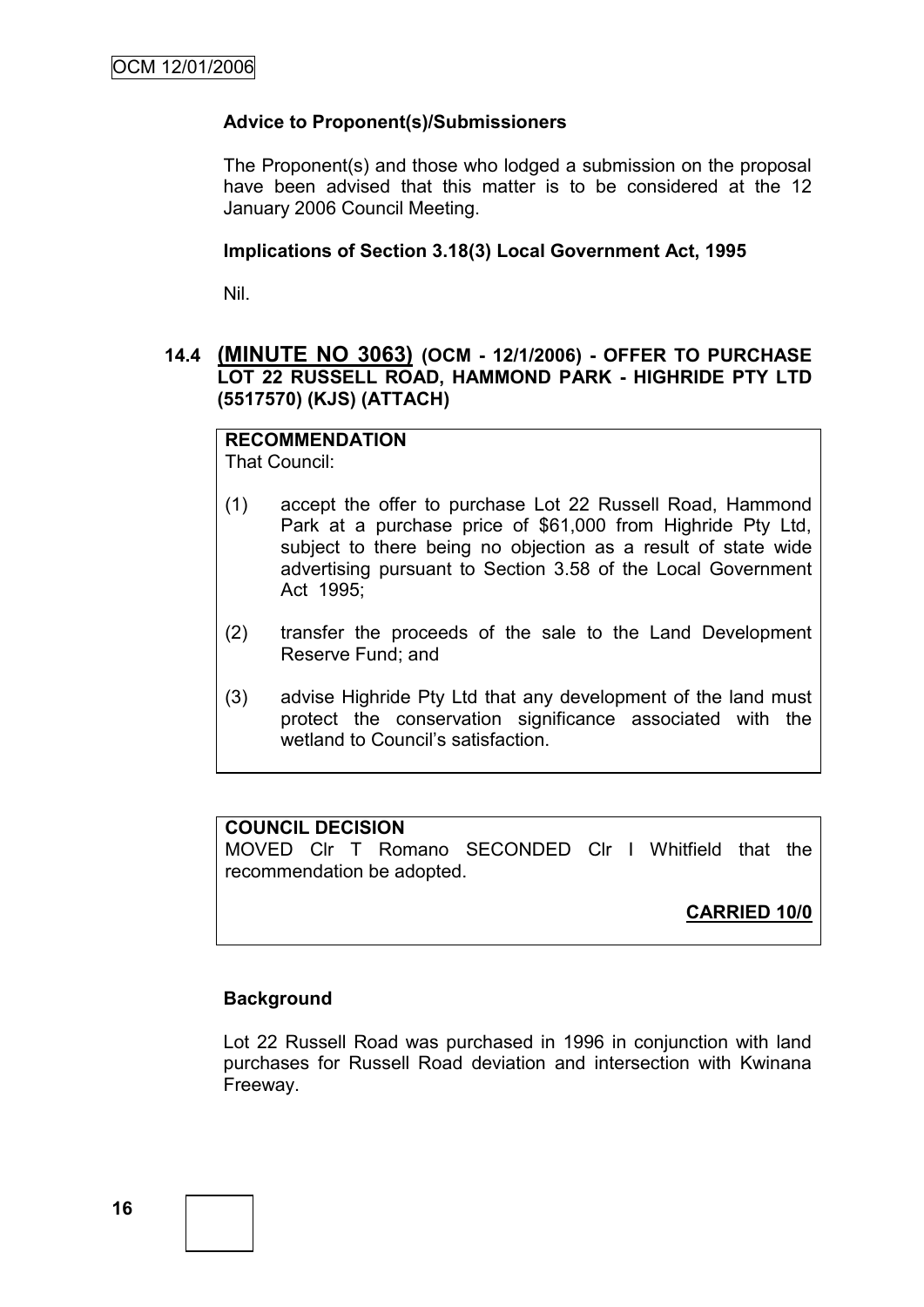### **Advice to Proponent(s)/Submissioners**

The Proponent(s) and those who lodged a submission on the proposal have been advised that this matter is to be considered at the 12 January 2006 Council Meeting.

#### **Implications of Section 3.18(3) Local Government Act, 1995**

Nil.

### **14.4 (MINUTE NO 3063) (OCM - 12/1/2006) - OFFER TO PURCHASE LOT 22 RUSSELL ROAD, HAMMOND PARK - HIGHRIDE PTY LTD (5517570) (KJS) (ATTACH)**

# **RECOMMENDATION**

That Council:

- (1) accept the offer to purchase Lot 22 Russell Road, Hammond Park at a purchase price of \$61,000 from Highride Pty Ltd, subject to there being no objection as a result of state wide advertising pursuant to Section 3.58 of the Local Government Act 1995;
- (2) transfer the proceeds of the sale to the Land Development Reserve Fund; and
- (3) advise Highride Pty Ltd that any development of the land must protect the conservation significance associated with the wetland to Council's satisfaction.

# **COUNCIL DECISION**

MOVED Clr T Romano SECONDED Clr I Whitfield that the recommendation be adopted.

# **CARRIED 10/0**

### **Background**

Lot 22 Russell Road was purchased in 1996 in conjunction with land purchases for Russell Road deviation and intersection with Kwinana Freeway.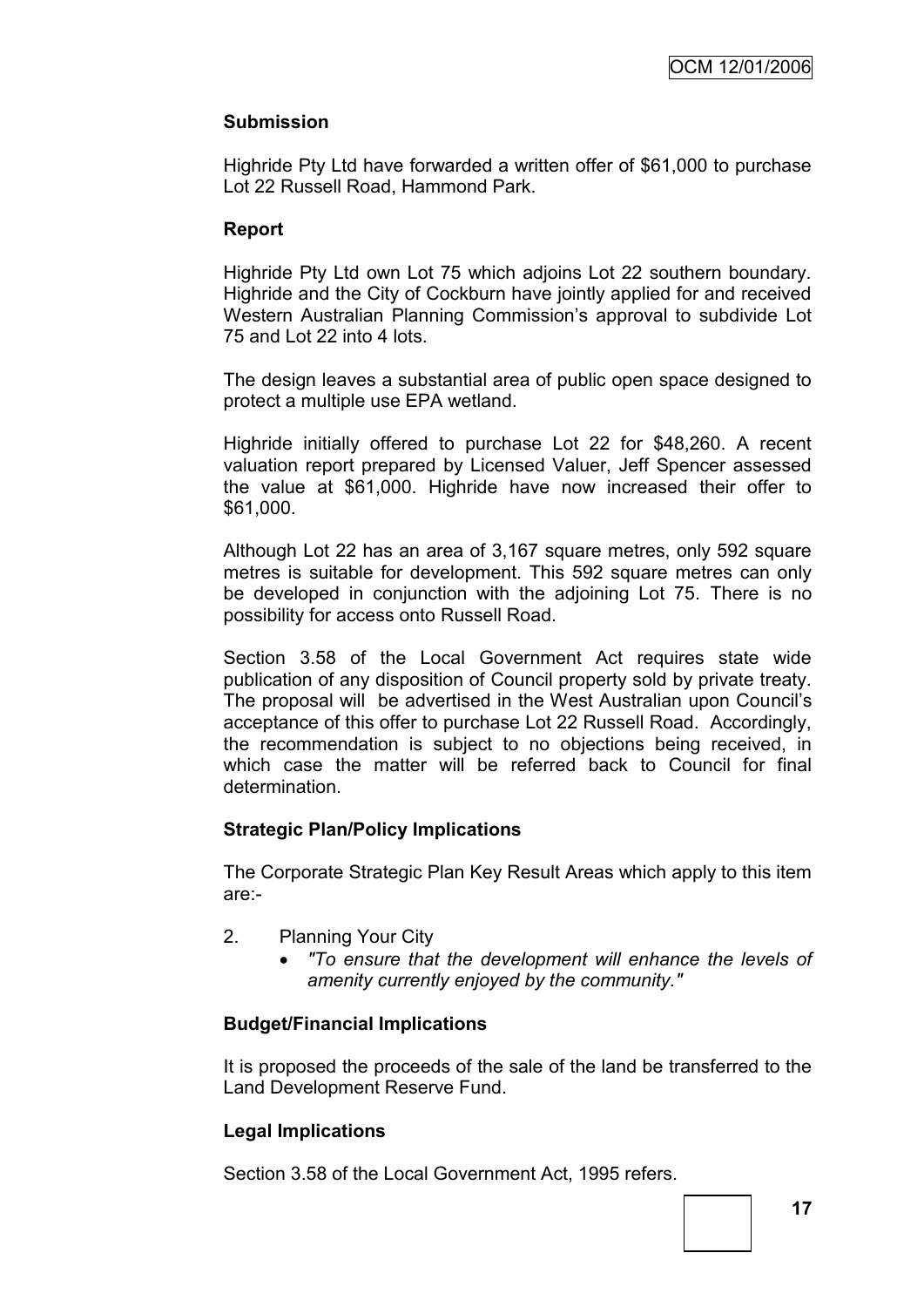### **Submission**

Highride Pty Ltd have forwarded a written offer of \$61,000 to purchase Lot 22 Russell Road, Hammond Park.

### **Report**

Highride Pty Ltd own Lot 75 which adjoins Lot 22 southern boundary. Highride and the City of Cockburn have jointly applied for and received Western Australian Planning Commission"s approval to subdivide Lot 75 and Lot 22 into 4 lots.

The design leaves a substantial area of public open space designed to protect a multiple use EPA wetland.

Highride initially offered to purchase Lot 22 for \$48,260. A recent valuation report prepared by Licensed Valuer, Jeff Spencer assessed the value at \$61,000. Highride have now increased their offer to \$61,000.

Although Lot 22 has an area of 3,167 square metres, only 592 square metres is suitable for development. This 592 square metres can only be developed in conjunction with the adjoining Lot 75. There is no possibility for access onto Russell Road.

Section 3.58 of the Local Government Act requires state wide publication of any disposition of Council property sold by private treaty. The proposal will be advertised in the West Australian upon Council"s acceptance of this offer to purchase Lot 22 Russell Road. Accordingly, the recommendation is subject to no objections being received, in which case the matter will be referred back to Council for final determination.

### **Strategic Plan/Policy Implications**

The Corporate Strategic Plan Key Result Areas which apply to this item are:-

- 2. Planning Your City
	- *"To ensure that the development will enhance the levels of amenity currently enjoyed by the community."*

### **Budget/Financial Implications**

It is proposed the proceeds of the sale of the land be transferred to the Land Development Reserve Fund.

### **Legal Implications**

Section 3.58 of the Local Government Act, 1995 refers.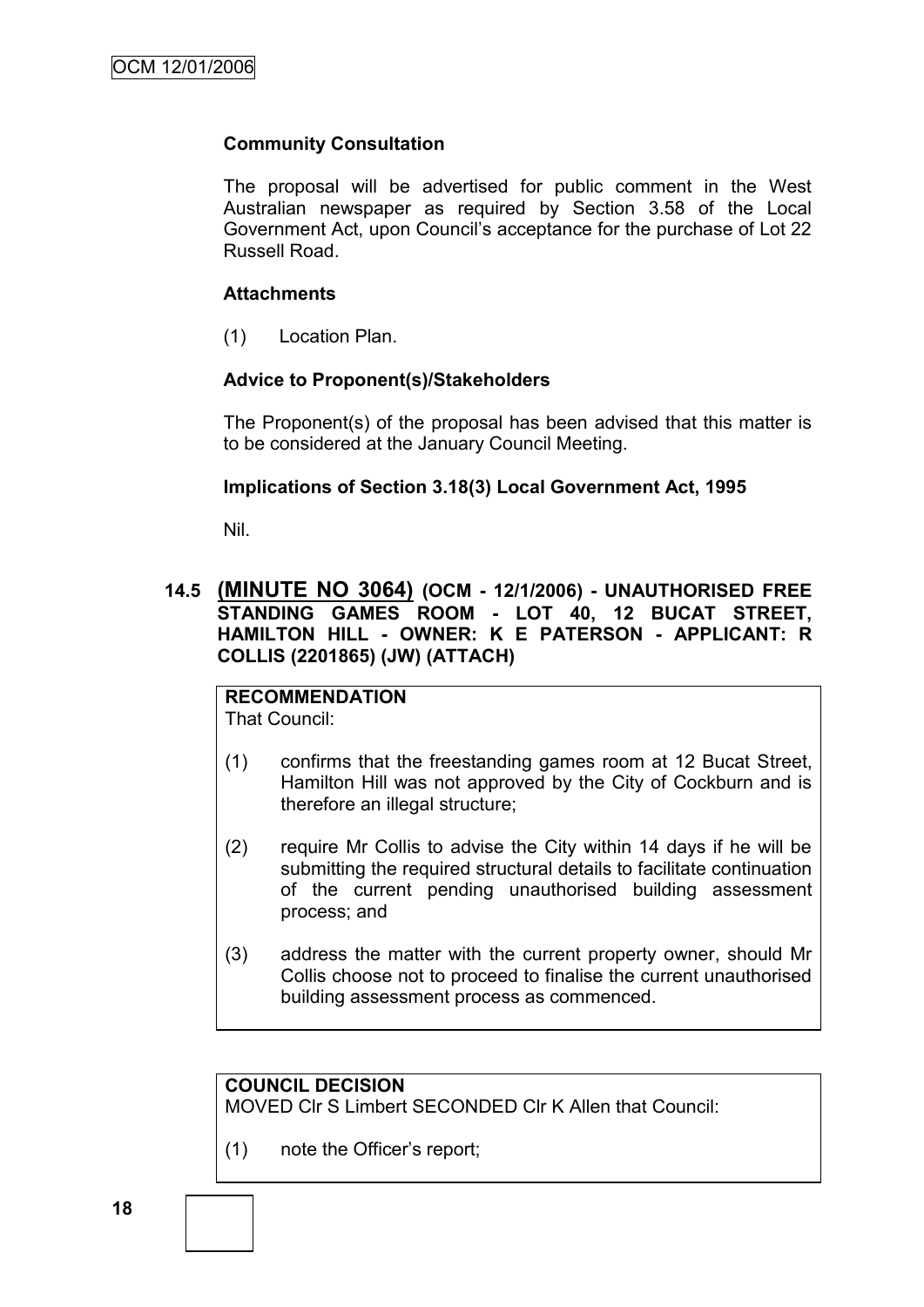### **Community Consultation**

The proposal will be advertised for public comment in the West Australian newspaper as required by Section 3.58 of the Local Government Act, upon Council"s acceptance for the purchase of Lot 22 Russell Road.

### **Attachments**

(1) Location Plan.

### **Advice to Proponent(s)/Stakeholders**

The Proponent(s) of the proposal has been advised that this matter is to be considered at the January Council Meeting.

### **Implications of Section 3.18(3) Local Government Act, 1995**

Nil.

### **14.5 (MINUTE NO 3064) (OCM - 12/1/2006) - UNAUTHORISED FREE STANDING GAMES ROOM - LOT 40, 12 BUCAT STREET, HAMILTON HILL - OWNER: K E PATERSON - APPLICANT: R COLLIS (2201865) (JW) (ATTACH)**

#### **RECOMMENDATION** That Council:

- (1) confirms that the freestanding games room at 12 Bucat Street, Hamilton Hill was not approved by the City of Cockburn and is therefore an illegal structure;
- (2) require Mr Collis to advise the City within 14 days if he will be submitting the required structural details to facilitate continuation of the current pending unauthorised building assessment process; and
- (3) address the matter with the current property owner, should Mr Collis choose not to proceed to finalise the current unauthorised building assessment process as commenced.

# **COUNCIL DECISION**

MOVED Clr S Limbert SECONDED Clr K Allen that Council:

(1) note the Officer"s report;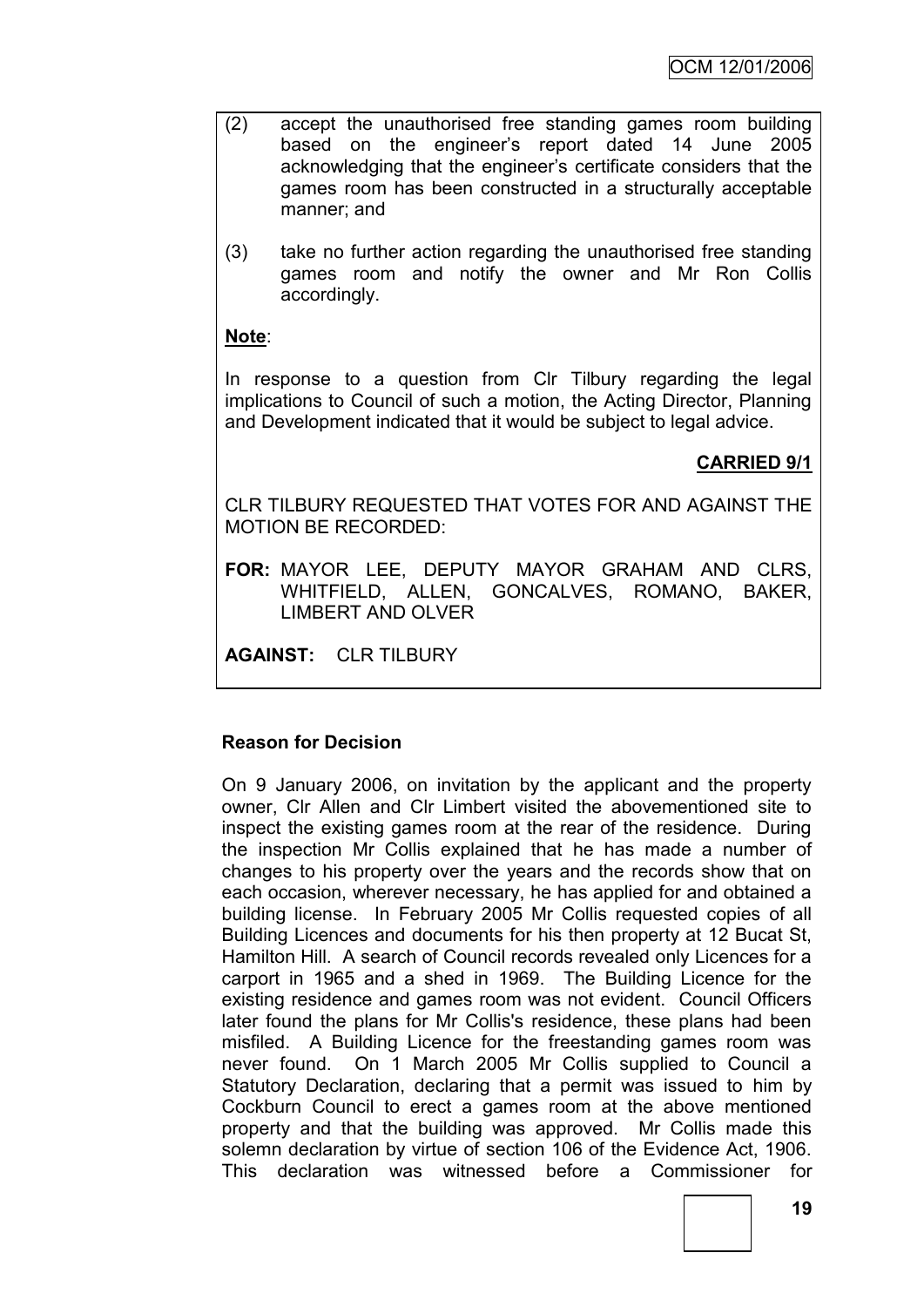- (2) accept the unauthorised free standing games room building based on the engineer"s report dated 14 June 2005 acknowledging that the engineer"s certificate considers that the games room has been constructed in a structurally acceptable manner; and
- (3) take no further action regarding the unauthorised free standing games room and notify the owner and Mr Ron Collis accordingly.

# **Note**:

In response to a question from Clr Tilbury regarding the legal implications to Council of such a motion, the Acting Director, Planning and Development indicated that it would be subject to legal advice.

# **CARRIED 9/1**

CLR TILBURY REQUESTED THAT VOTES FOR AND AGAINST THE MOTION BE RECORDED:

**FOR:** MAYOR LEE, DEPUTY MAYOR GRAHAM AND CLRS, WHITFIELD, ALLEN, GONCALVES, ROMANO, BAKER, LIMBERT AND OLVER

**AGAINST:** CLR TILBURY

### **Reason for Decision**

On 9 January 2006, on invitation by the applicant and the property owner, Clr Allen and Clr Limbert visited the abovementioned site to inspect the existing games room at the rear of the residence. During the inspection Mr Collis explained that he has made a number of changes to his property over the years and the records show that on each occasion, wherever necessary, he has applied for and obtained a building license. In February 2005 Mr Collis requested copies of all Building Licences and documents for his then property at 12 Bucat St, Hamilton Hill. A search of Council records revealed only Licences for a carport in 1965 and a shed in 1969. The Building Licence for the existing residence and games room was not evident. Council Officers later found the plans for Mr Collis's residence, these plans had been misfiled. A Building Licence for the freestanding games room was never found. On 1 March 2005 Mr Collis supplied to Council a Statutory Declaration, declaring that a permit was issued to him by Cockburn Council to erect a games room at the above mentioned property and that the building was approved. Mr Collis made this solemn declaration by virtue of section 106 of the Evidence Act, 1906. This declaration was witnessed before a Commissioner for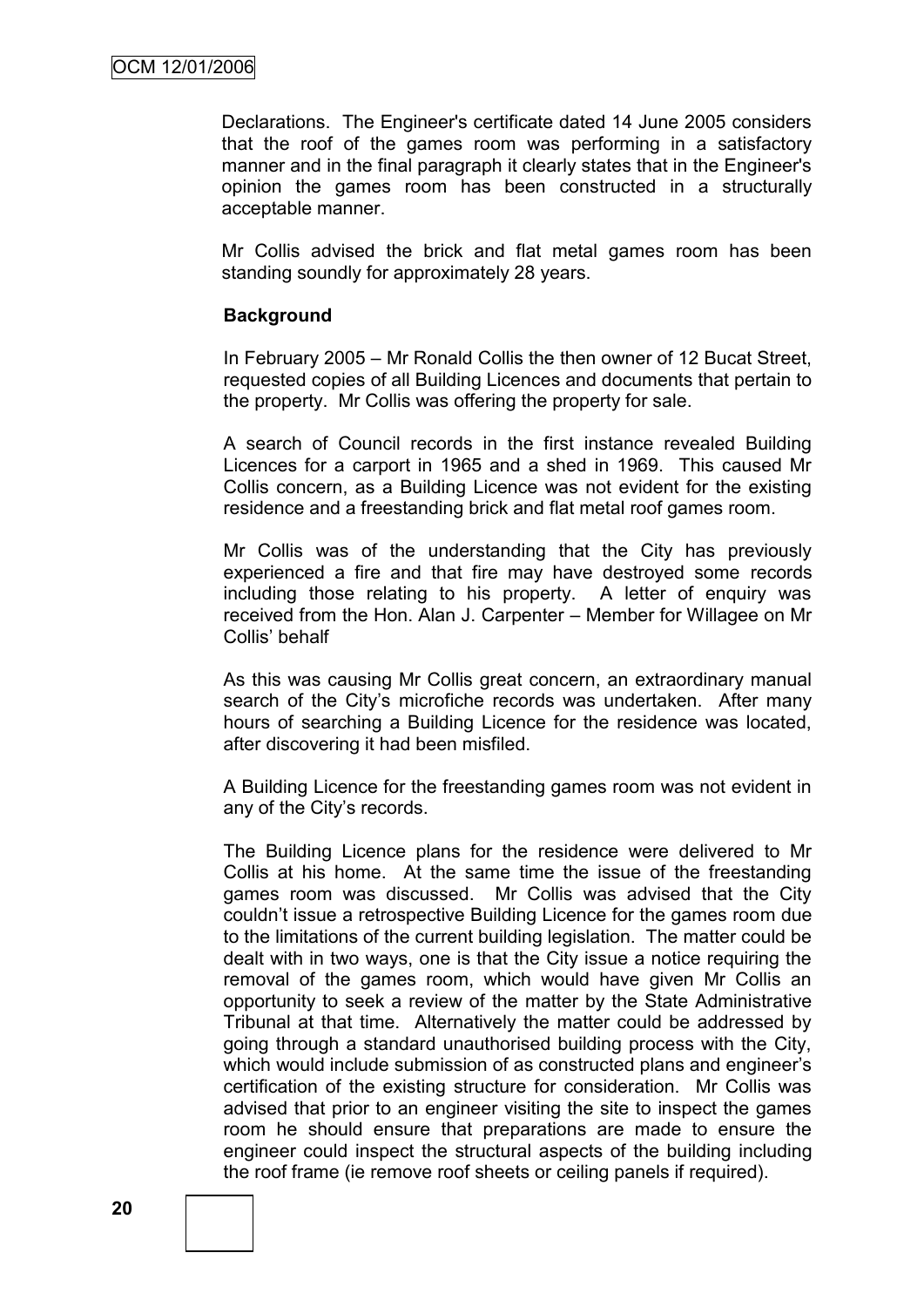Declarations. The Engineer's certificate dated 14 June 2005 considers that the roof of the games room was performing in a satisfactory manner and in the final paragraph it clearly states that in the Engineer's opinion the games room has been constructed in a structurally acceptable manner.

Mr Collis advised the brick and flat metal games room has been standing soundly for approximately 28 years.

#### **Background**

In February 2005 – Mr Ronald Collis the then owner of 12 Bucat Street, requested copies of all Building Licences and documents that pertain to the property. Mr Collis was offering the property for sale.

A search of Council records in the first instance revealed Building Licences for a carport in 1965 and a shed in 1969. This caused Mr Collis concern, as a Building Licence was not evident for the existing residence and a freestanding brick and flat metal roof games room.

Mr Collis was of the understanding that the City has previously experienced a fire and that fire may have destroyed some records including those relating to his property. A letter of enquiry was received from the Hon. Alan J. Carpenter – Member for Willagee on Mr Collis" behalf

As this was causing Mr Collis great concern, an extraordinary manual search of the City's microfiche records was undertaken. After many hours of searching a Building Licence for the residence was located, after discovering it had been misfiled.

A Building Licence for the freestanding games room was not evident in any of the City's records.

The Building Licence plans for the residence were delivered to Mr Collis at his home. At the same time the issue of the freestanding games room was discussed. Mr Collis was advised that the City couldn"t issue a retrospective Building Licence for the games room due to the limitations of the current building legislation. The matter could be dealt with in two ways, one is that the City issue a notice requiring the removal of the games room, which would have given Mr Collis an opportunity to seek a review of the matter by the State Administrative Tribunal at that time. Alternatively the matter could be addressed by going through a standard unauthorised building process with the City, which would include submission of as constructed plans and engineer's certification of the existing structure for consideration. Mr Collis was advised that prior to an engineer visiting the site to inspect the games room he should ensure that preparations are made to ensure the engineer could inspect the structural aspects of the building including the roof frame (ie remove roof sheets or ceiling panels if required).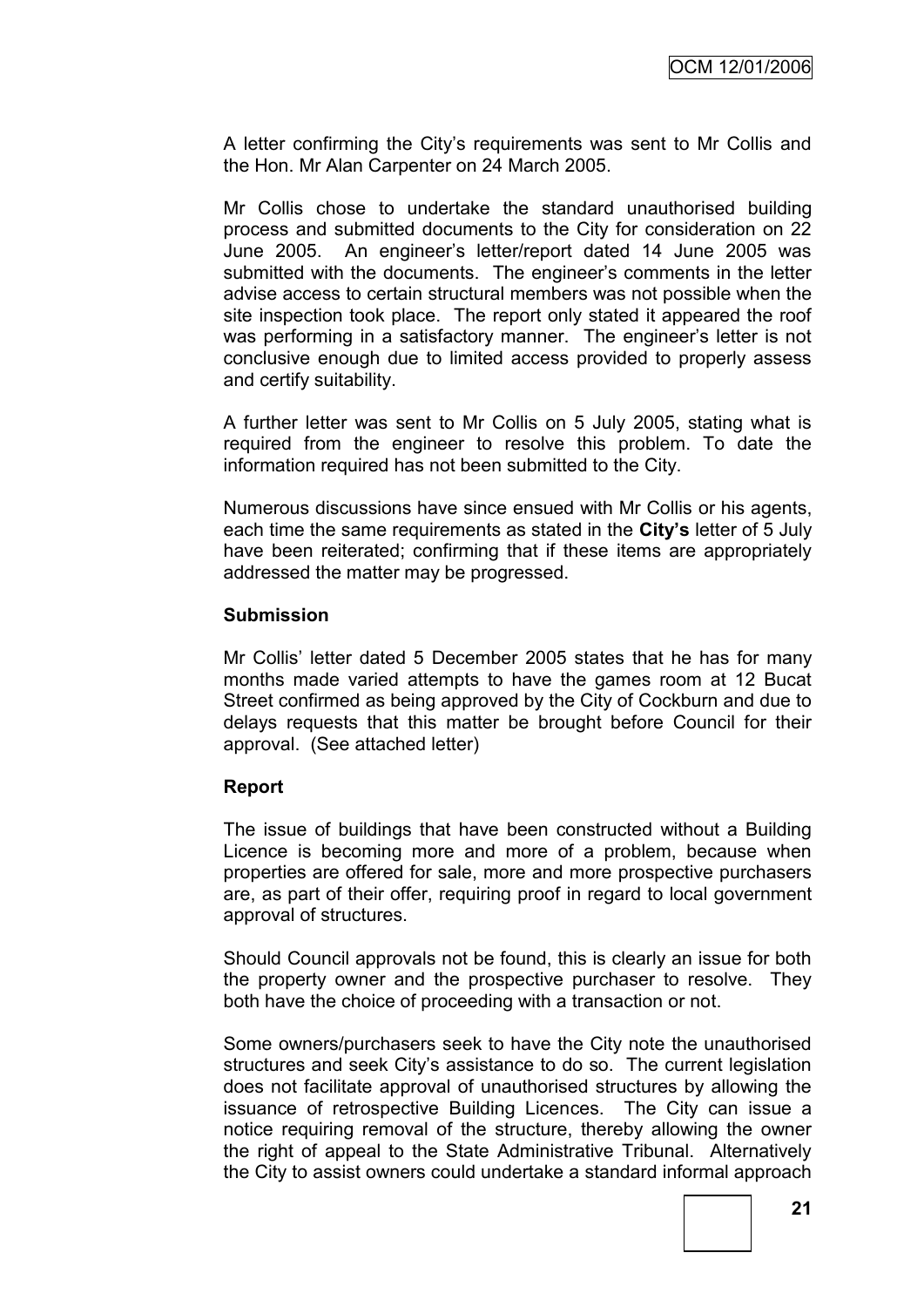A letter confirming the City"s requirements was sent to Mr Collis and the Hon. Mr Alan Carpenter on 24 March 2005.

Mr Collis chose to undertake the standard unauthorised building process and submitted documents to the City for consideration on 22 June 2005. An engineer"s letter/report dated 14 June 2005 was submitted with the documents. The engineer's comments in the letter advise access to certain structural members was not possible when the site inspection took place. The report only stated it appeared the roof was performing in a satisfactory manner. The engineer's letter is not conclusive enough due to limited access provided to properly assess and certify suitability.

A further letter was sent to Mr Collis on 5 July 2005, stating what is required from the engineer to resolve this problem. To date the information required has not been submitted to the City.

Numerous discussions have since ensued with Mr Collis or his agents, each time the same requirements as stated in the **City's** letter of 5 July have been reiterated; confirming that if these items are appropriately addressed the matter may be progressed.

#### **Submission**

Mr Collis" letter dated 5 December 2005 states that he has for many months made varied attempts to have the games room at 12 Bucat Street confirmed as being approved by the City of Cockburn and due to delays requests that this matter be brought before Council for their approval. (See attached letter)

### **Report**

The issue of buildings that have been constructed without a Building Licence is becoming more and more of a problem, because when properties are offered for sale, more and more prospective purchasers are, as part of their offer, requiring proof in regard to local government approval of structures.

Should Council approvals not be found, this is clearly an issue for both the property owner and the prospective purchaser to resolve. They both have the choice of proceeding with a transaction or not.

Some owners/purchasers seek to have the City note the unauthorised structures and seek City's assistance to do so. The current legislation does not facilitate approval of unauthorised structures by allowing the issuance of retrospective Building Licences. The City can issue a notice requiring removal of the structure, thereby allowing the owner the right of appeal to the State Administrative Tribunal. Alternatively the City to assist owners could undertake a standard informal approach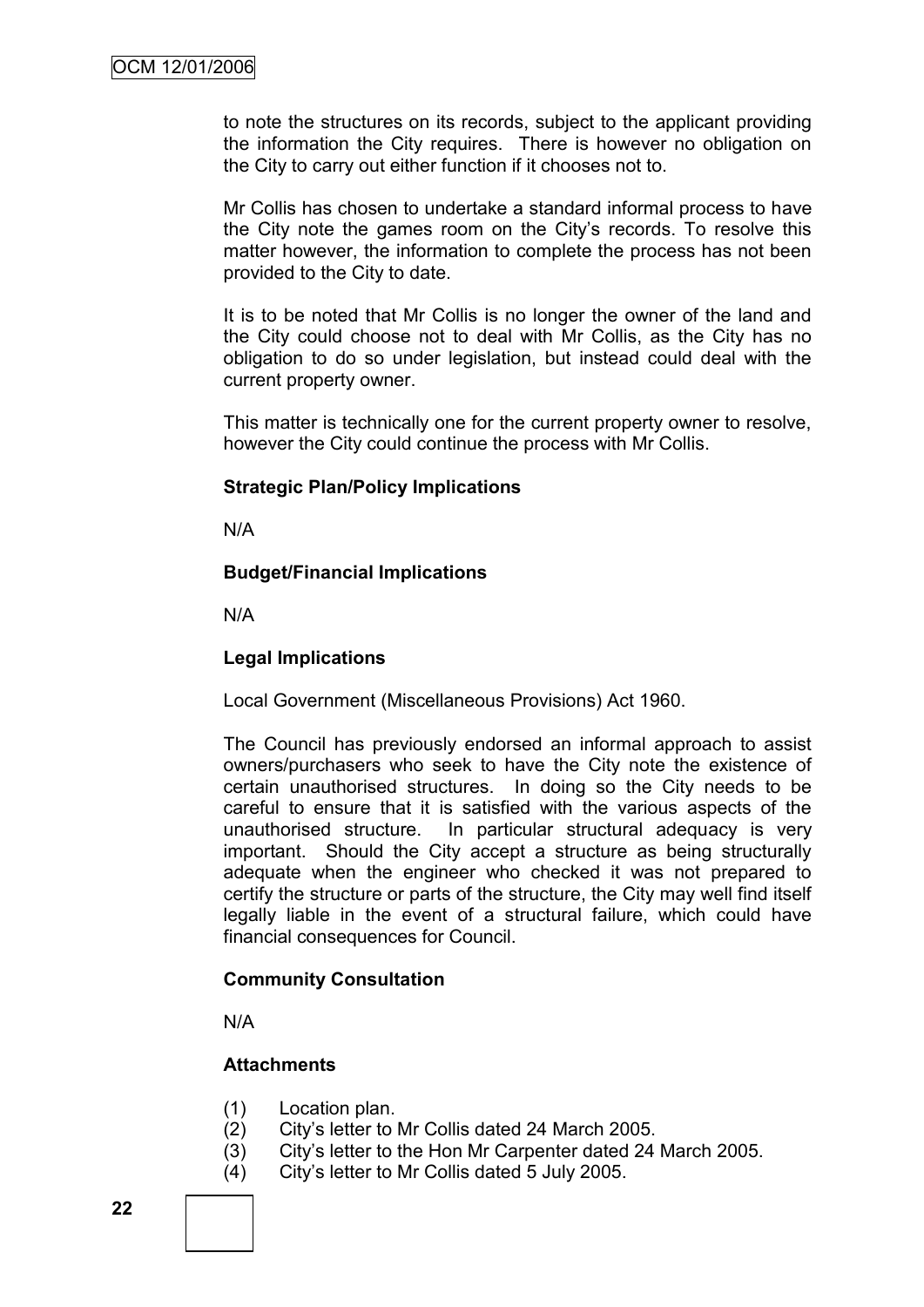to note the structures on its records, subject to the applicant providing the information the City requires. There is however no obligation on the City to carry out either function if it chooses not to.

Mr Collis has chosen to undertake a standard informal process to have the City note the games room on the City"s records. To resolve this matter however, the information to complete the process has not been provided to the City to date.

It is to be noted that Mr Collis is no longer the owner of the land and the City could choose not to deal with Mr Collis, as the City has no obligation to do so under legislation, but instead could deal with the current property owner.

This matter is technically one for the current property owner to resolve, however the City could continue the process with Mr Collis.

#### **Strategic Plan/Policy Implications**

N/A

#### **Budget/Financial Implications**

N/A

#### **Legal Implications**

Local Government (Miscellaneous Provisions) Act 1960.

The Council has previously endorsed an informal approach to assist owners/purchasers who seek to have the City note the existence of certain unauthorised structures. In doing so the City needs to be careful to ensure that it is satisfied with the various aspects of the unauthorised structure. In particular structural adequacy is very important. Should the City accept a structure as being structurally adequate when the engineer who checked it was not prepared to certify the structure or parts of the structure, the City may well find itself legally liable in the event of a structural failure, which could have financial consequences for Council.

#### **Community Consultation**

N/A

### **Attachments**

- (1) Location plan.
- (2) City"s letter to Mr Collis dated 24 March 2005.
- (3) City"s letter to the Hon Mr Carpenter dated 24 March 2005.
- (4) City"s letter to Mr Collis dated 5 July 2005.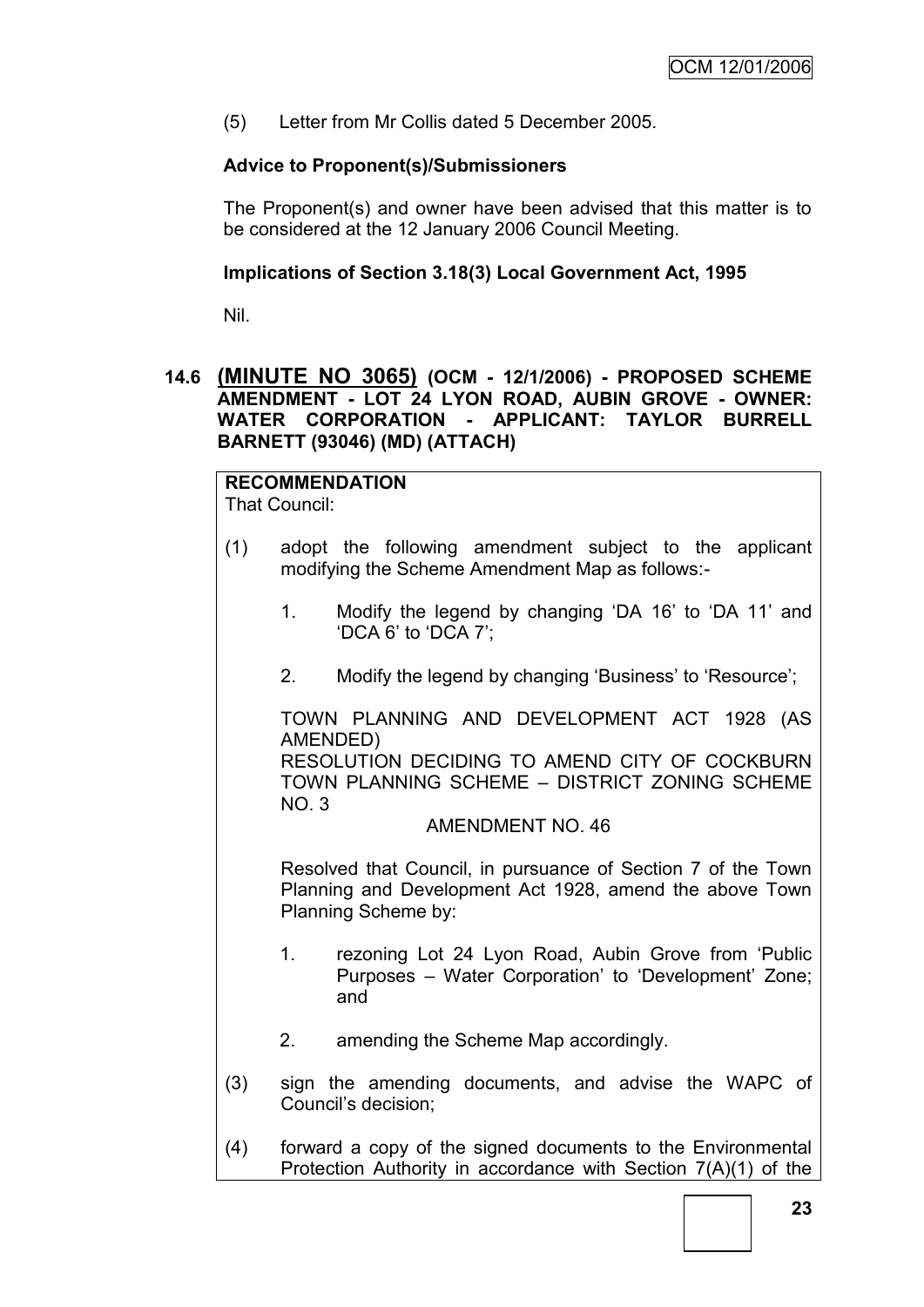(5) Letter from Mr Collis dated 5 December 2005.

### **Advice to Proponent(s)/Submissioners**

The Proponent(s) and owner have been advised that this matter is to be considered at the 12 January 2006 Council Meeting.

### **Implications of Section 3.18(3) Local Government Act, 1995**

Nil.

### **14.6 (MINUTE NO 3065) (OCM - 12/1/2006) - PROPOSED SCHEME AMENDMENT - LOT 24 LYON ROAD, AUBIN GROVE - OWNER: WATER CORPORATION - APPLICANT: TAYLOR BURRELL BARNETT (93046) (MD) (ATTACH)**

# **RECOMMENDATION**

That Council:

- (1) adopt the following amendment subject to the applicant modifying the Scheme Amendment Map as follows:-
	- 1. Modify the legend by changing "DA 16" to "DA 11" and "DCA 6" to "DCA 7";
	- 2. Modify the legend by changing "Business" to "Resource";

TOWN PLANNING AND DEVELOPMENT ACT 1928 (AS AMENDED)

RESOLUTION DECIDING TO AMEND CITY OF COCKBURN TOWN PLANNING SCHEME – DISTRICT ZONING SCHEME NO. 3

### AMENDMENT NO. 46

Resolved that Council, in pursuance of Section 7 of the Town Planning and Development Act 1928, amend the above Town Planning Scheme by:

- 1. rezoning Lot 24 Lyon Road, Aubin Grove from "Public Purposes – Water Corporation" to "Development" Zone; and
- 2. amending the Scheme Map accordingly.
- (3) sign the amending documents, and advise the WAPC of Council"s decision;
- (4) forward a copy of the signed documents to the Environmental Protection Authority in accordance with Section 7(A)(1) of the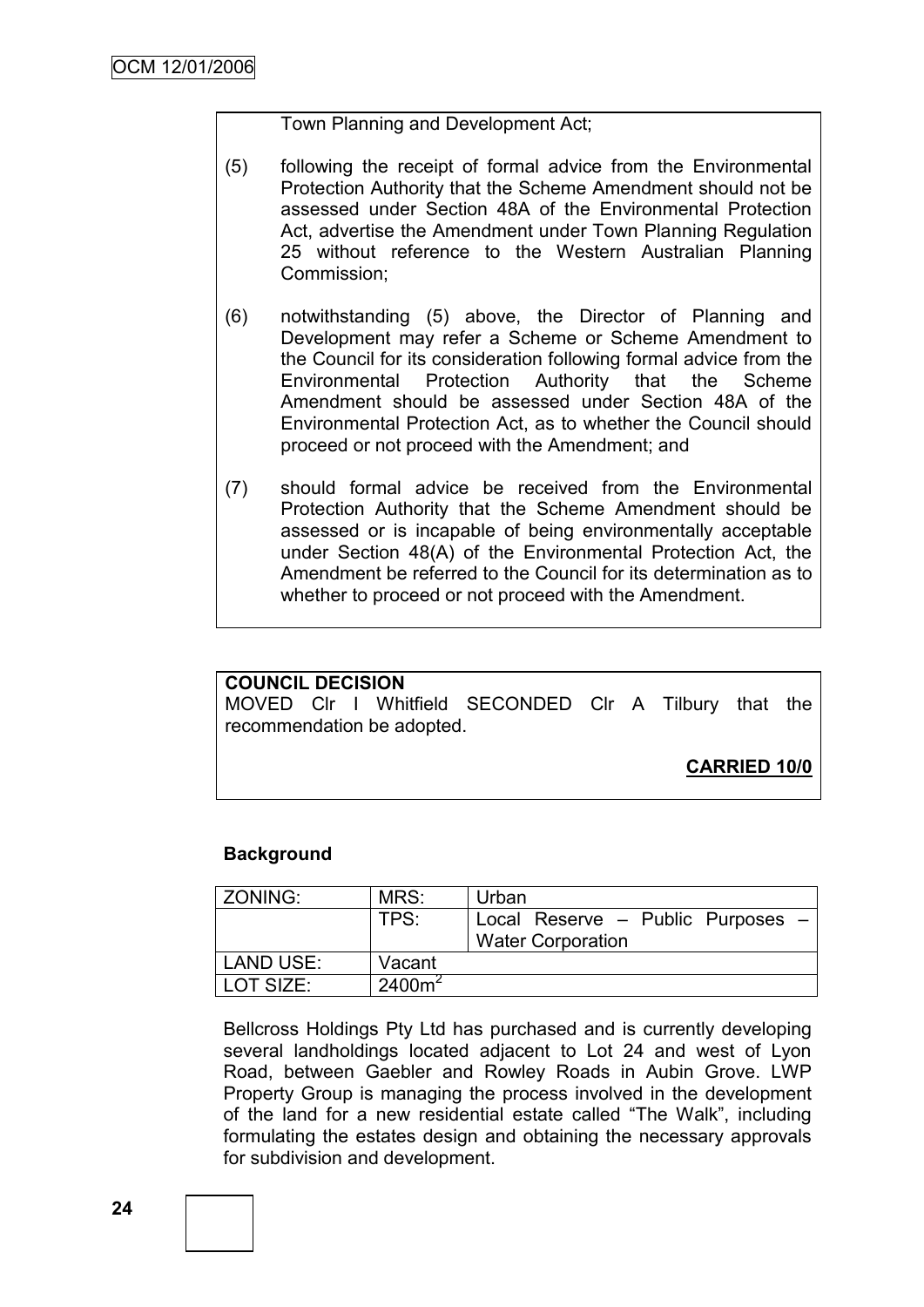### Town Planning and Development Act;

- (5) following the receipt of formal advice from the Environmental Protection Authority that the Scheme Amendment should not be assessed under Section 48A of the Environmental Protection Act, advertise the Amendment under Town Planning Regulation 25 without reference to the Western Australian Planning Commission;
- (6) notwithstanding (5) above, the Director of Planning and Development may refer a Scheme or Scheme Amendment to the Council for its consideration following formal advice from the Environmental Protection Authority that the Scheme Amendment should be assessed under Section 48A of the Environmental Protection Act, as to whether the Council should proceed or not proceed with the Amendment; and
- (7) should formal advice be received from the Environmental Protection Authority that the Scheme Amendment should be assessed or is incapable of being environmentally acceptable under Section 48(A) of the Environmental Protection Act, the Amendment be referred to the Council for its determination as to whether to proceed or not proceed with the Amendment.

#### **COUNCIL DECISION**

MOVED Clr I Whitfield SECONDED Clr A Tilbury that the recommendation be adopted.

**CARRIED 10/0**

### **Background**

| ZONING:          | MRS:      | Urban                                                         |
|------------------|-----------|---------------------------------------------------------------|
|                  | TPS:      | Local Reserve - Public Purposes -<br><b>Water Corporation</b> |
| <b>LAND USE:</b> | Vacant    |                                                               |
| LOT SIZE:        | $2400m^2$ |                                                               |

Bellcross Holdings Pty Ltd has purchased and is currently developing several landholdings located adjacent to Lot 24 and west of Lyon Road, between Gaebler and Rowley Roads in Aubin Grove. LWP Property Group is managing the process involved in the development of the land for a new residential estate called "The Walk", including formulating the estates design and obtaining the necessary approvals for subdivision and development.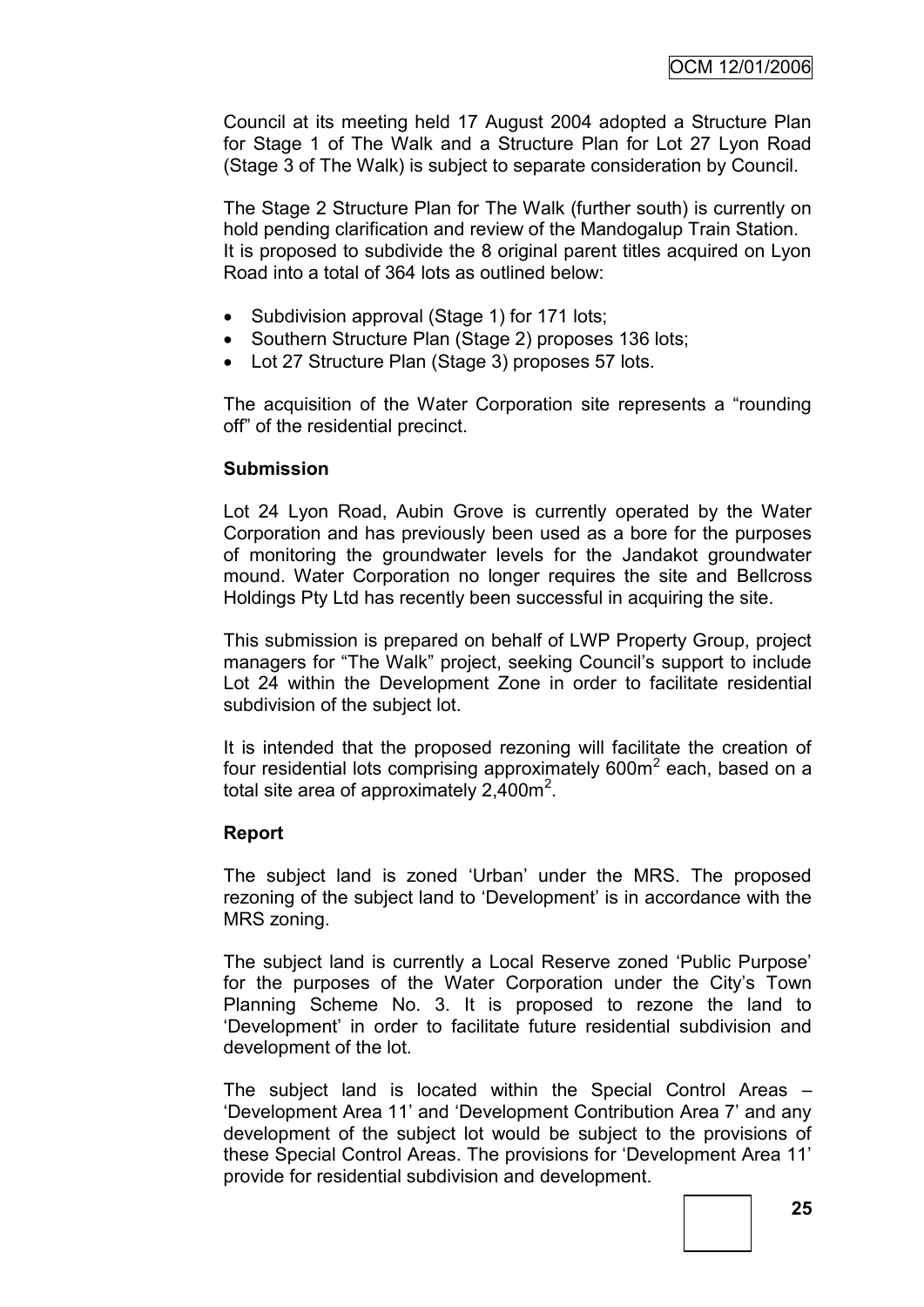Council at its meeting held 17 August 2004 adopted a Structure Plan for Stage 1 of The Walk and a Structure Plan for Lot 27 Lyon Road (Stage 3 of The Walk) is subject to separate consideration by Council.

The Stage 2 Structure Plan for The Walk (further south) is currently on hold pending clarification and review of the Mandogalup Train Station. It is proposed to subdivide the 8 original parent titles acquired on Lyon Road into a total of 364 lots as outlined below:

- Subdivision approval (Stage 1) for 171 lots;
- Southern Structure Plan (Stage 2) proposes 136 lots;
- Lot 27 Structure Plan (Stage 3) proposes 57 lots.

The acquisition of the Water Corporation site represents a "rounding off" of the residential precinct.

### **Submission**

Lot 24 Lyon Road, Aubin Grove is currently operated by the Water Corporation and has previously been used as a bore for the purposes of monitoring the groundwater levels for the Jandakot groundwater mound. Water Corporation no longer requires the site and Bellcross Holdings Pty Ltd has recently been successful in acquiring the site.

This submission is prepared on behalf of LWP Property Group, project managers for "The Walk" project, seeking Council's support to include Lot 24 within the Development Zone in order to facilitate residential subdivision of the subject lot.

It is intended that the proposed rezoning will facilitate the creation of four residential lots comprising approximately  $600m^2$  each, based on a total site area of approximately  $2,400$ m<sup>2</sup>.

### **Report**

The subject land is zoned "Urban" under the MRS. The proposed rezoning of the subject land to "Development" is in accordance with the MRS zoning.

The subject land is currently a Local Reserve zoned "Public Purpose" for the purposes of the Water Corporation under the City's Town Planning Scheme No. 3. It is proposed to rezone the land to "Development" in order to facilitate future residential subdivision and development of the lot.

The subject land is located within the Special Control Areas – "Development Area 11" and "Development Contribution Area 7" and any development of the subject lot would be subject to the provisions of these Special Control Areas. The provisions for "Development Area 11" provide for residential subdivision and development.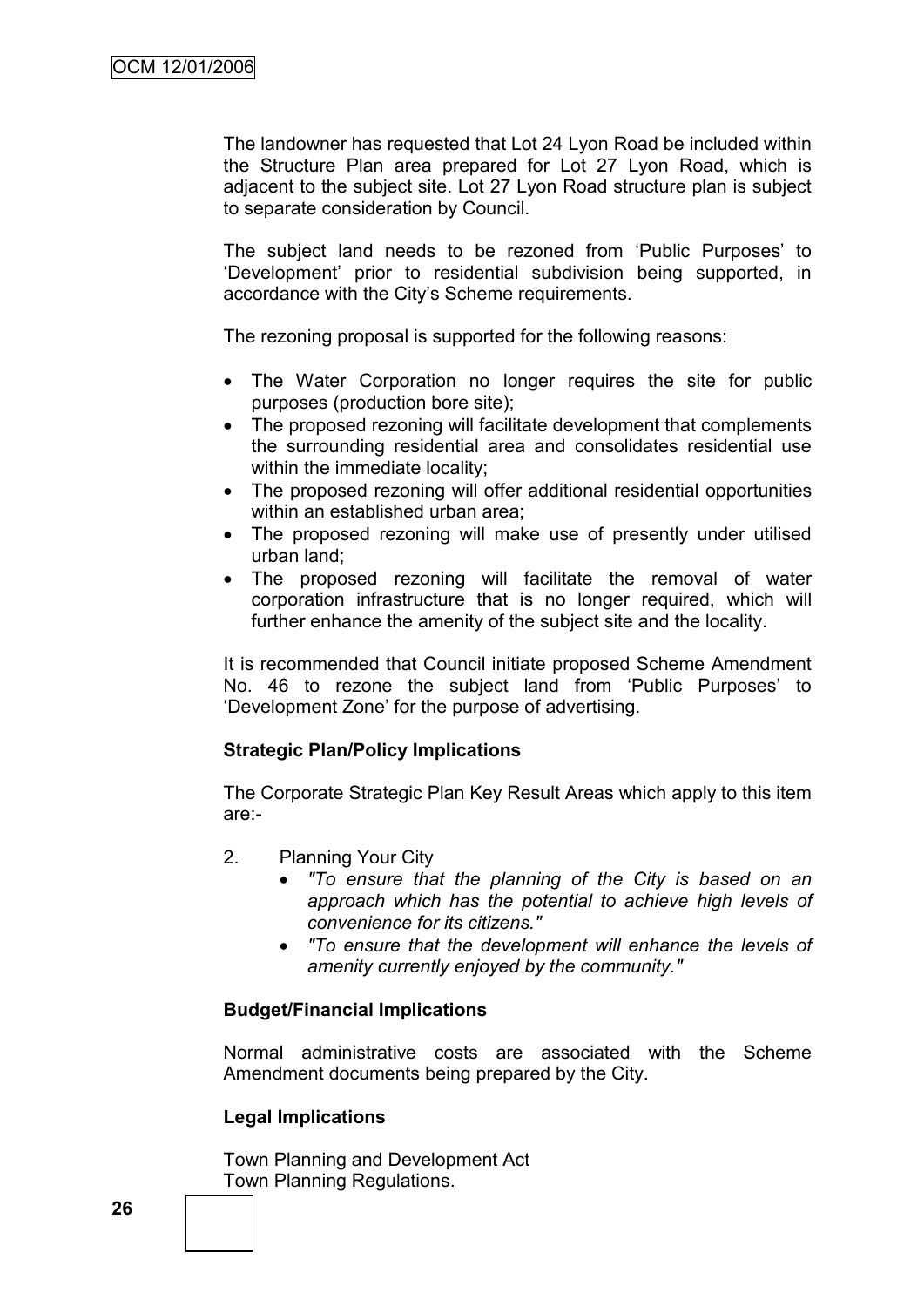The landowner has requested that Lot 24 Lyon Road be included within the Structure Plan area prepared for Lot 27 Lyon Road, which is adjacent to the subject site. Lot 27 Lyon Road structure plan is subject to separate consideration by Council.

The subject land needs to be rezoned from "Public Purposes" to "Development" prior to residential subdivision being supported, in accordance with the City"s Scheme requirements.

The rezoning proposal is supported for the following reasons:

- The Water Corporation no longer requires the site for public purposes (production bore site);
- The proposed rezoning will facilitate development that complements the surrounding residential area and consolidates residential use within the immediate locality:
- The proposed rezoning will offer additional residential opportunities within an established urban area:
- The proposed rezoning will make use of presently under utilised urban land;
- The proposed rezoning will facilitate the removal of water corporation infrastructure that is no longer required, which will further enhance the amenity of the subject site and the locality.

It is recommended that Council initiate proposed Scheme Amendment No. 46 to rezone the subject land from 'Public Purposes' to "Development Zone" for the purpose of advertising.

### **Strategic Plan/Policy Implications**

The Corporate Strategic Plan Key Result Areas which apply to this item are:-

- 2. Planning Your City
	- *"To ensure that the planning of the City is based on an approach which has the potential to achieve high levels of convenience for its citizens."*
	- *"To ensure that the development will enhance the levels of amenity currently enjoyed by the community."*

### **Budget/Financial Implications**

Normal administrative costs are associated with the Scheme Amendment documents being prepared by the City.

### **Legal Implications**

Town Planning and Development Act Town Planning Regulations.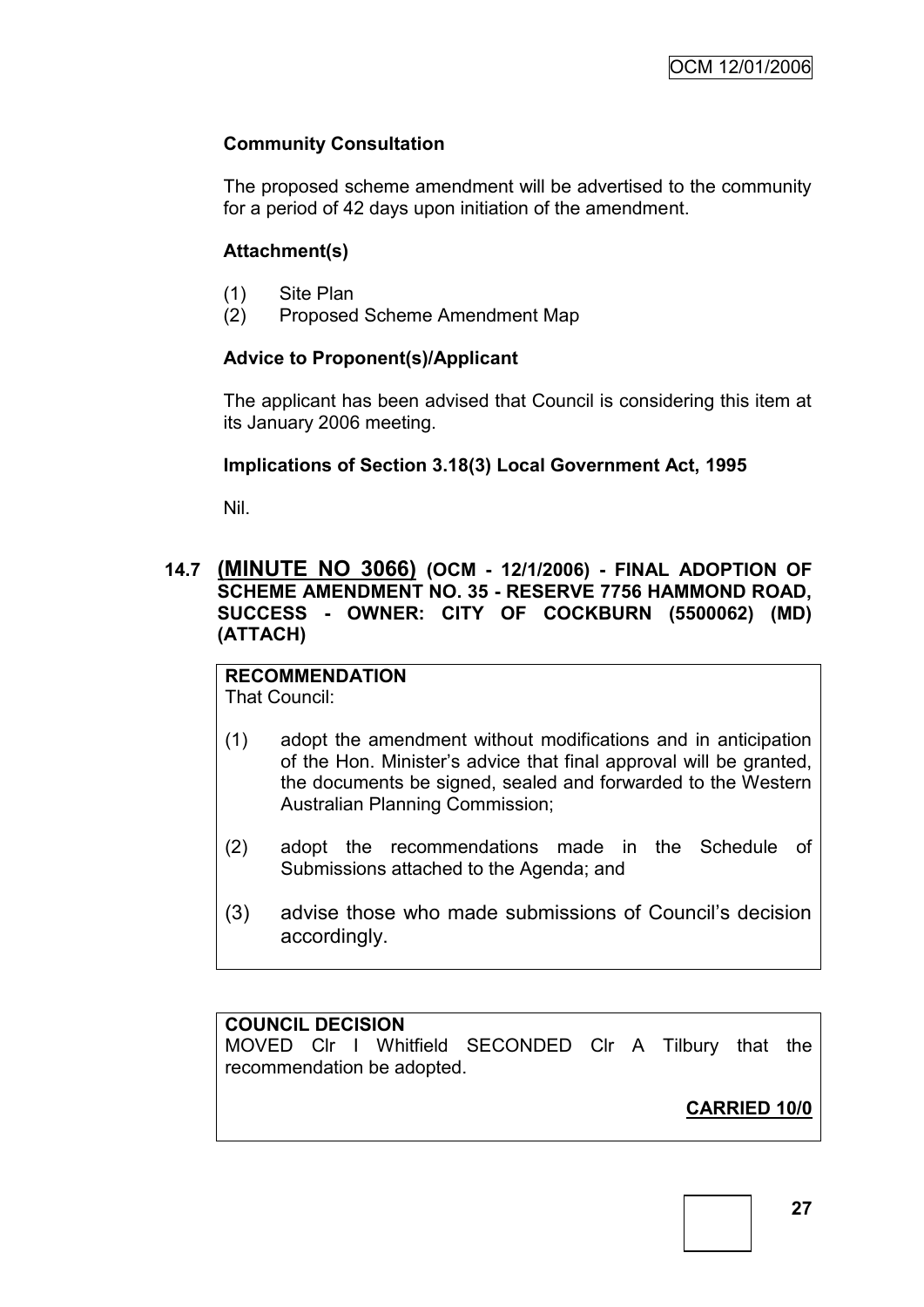### **Community Consultation**

The proposed scheme amendment will be advertised to the community for a period of 42 days upon initiation of the amendment.

### **Attachment(s)**

- (1) Site Plan
- (2) Proposed Scheme Amendment Map

# **Advice to Proponent(s)/Applicant**

The applicant has been advised that Council is considering this item at its January 2006 meeting.

### **Implications of Section 3.18(3) Local Government Act, 1995**

Nil.

### **14.7 (MINUTE NO 3066) (OCM - 12/1/2006) - FINAL ADOPTION OF SCHEME AMENDMENT NO. 35 - RESERVE 7756 HAMMOND ROAD, SUCCESS - OWNER: CITY OF COCKBURN (5500062) (MD) (ATTACH)**

# **RECOMMENDATION**

That Council:

- (1) adopt the amendment without modifications and in anticipation of the Hon. Minister"s advice that final approval will be granted, the documents be signed, sealed and forwarded to the Western Australian Planning Commission;
- (2) adopt the recommendations made in the Schedule of Submissions attached to the Agenda; and
- (3) advise those who made submissions of Council"s decision accordingly.

### **COUNCIL DECISION**

MOVED Clr I Whitfield SECONDED Clr A Tilbury that the recommendation be adopted.

# **CARRIED 10/0**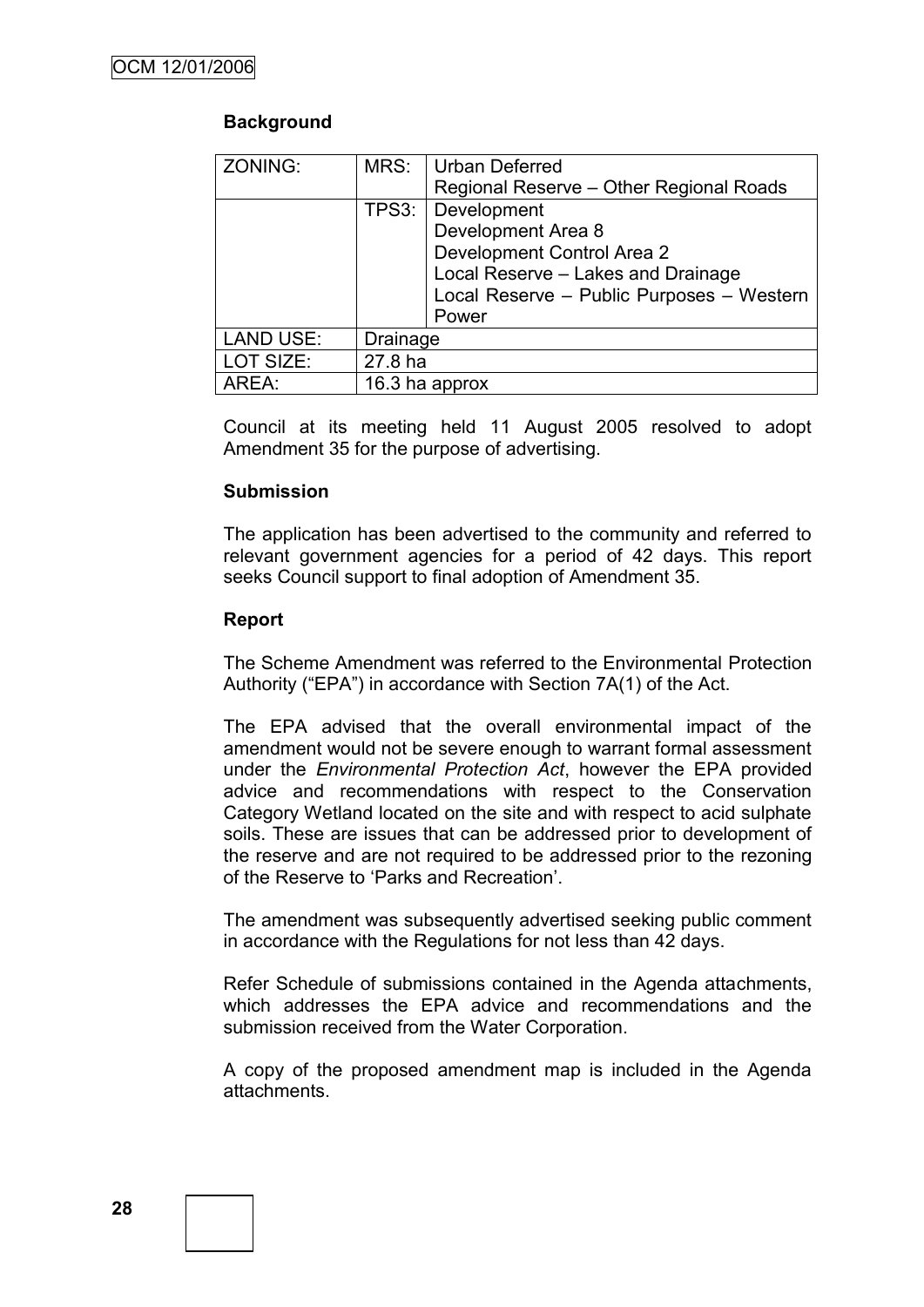# **Background**

| <b>ZONING:</b>   | MRS:           | Urban Deferred                            |
|------------------|----------------|-------------------------------------------|
|                  |                | Regional Reserve - Other Regional Roads   |
|                  | TPS3:          | Development                               |
|                  |                | Development Area 8                        |
|                  |                | Development Control Area 2                |
|                  |                | Local Reserve - Lakes and Drainage        |
|                  |                | Local Reserve - Public Purposes - Western |
|                  |                | Power                                     |
| <b>LAND USE:</b> | Drainage       |                                           |
| LOT SIZE:        | 27.8 ha        |                                           |
| AREA:            | 16.3 ha approx |                                           |

Council at its meeting held 11 August 2005 resolved to adopt Amendment 35 for the purpose of advertising.

### **Submission**

The application has been advertised to the community and referred to relevant government agencies for a period of 42 days. This report seeks Council support to final adoption of Amendment 35.

### **Report**

The Scheme Amendment was referred to the Environmental Protection Authority ("EPA") in accordance with Section 7A(1) of the Act.

The EPA advised that the overall environmental impact of the amendment would not be severe enough to warrant formal assessment under the *Environmental Protection Act*, however the EPA provided advice and recommendations with respect to the Conservation Category Wetland located on the site and with respect to acid sulphate soils. These are issues that can be addressed prior to development of the reserve and are not required to be addressed prior to the rezoning of the Reserve to "Parks and Recreation".

The amendment was subsequently advertised seeking public comment in accordance with the Regulations for not less than 42 days.

Refer Schedule of submissions contained in the Agenda attachments, which addresses the EPA advice and recommendations and the submission received from the Water Corporation.

A copy of the proposed amendment map is included in the Agenda attachments.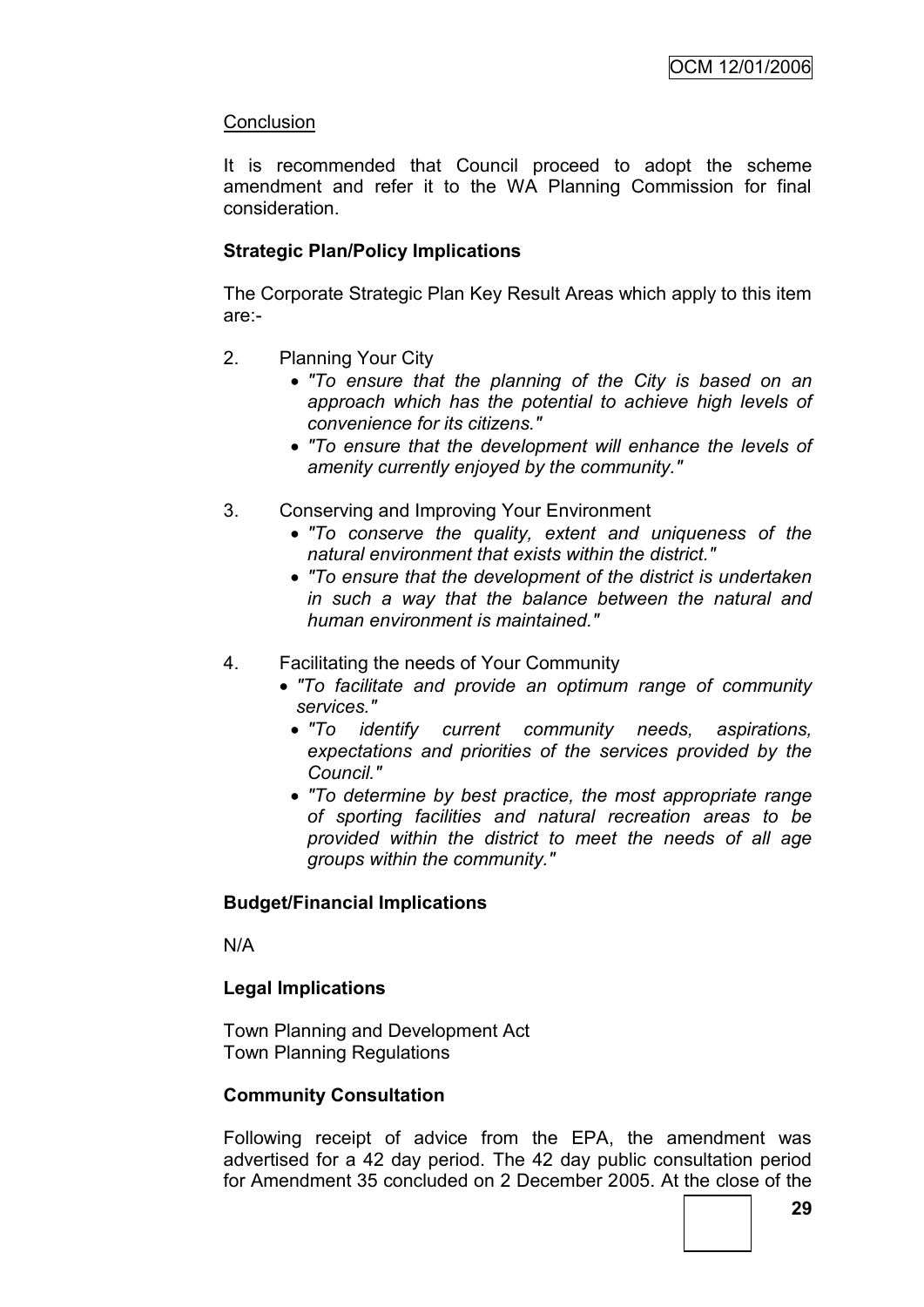### **Conclusion**

It is recommended that Council proceed to adopt the scheme amendment and refer it to the WA Planning Commission for final consideration.

### **Strategic Plan/Policy Implications**

The Corporate Strategic Plan Key Result Areas which apply to this item are:-

- 2. Planning Your City
	- *"To ensure that the planning of the City is based on an approach which has the potential to achieve high levels of convenience for its citizens."*
	- *"To ensure that the development will enhance the levels of amenity currently enjoyed by the community."*
- 3. Conserving and Improving Your Environment
	- *"To conserve the quality, extent and uniqueness of the natural environment that exists within the district."*
	- *"To ensure that the development of the district is undertaken in such a way that the balance between the natural and human environment is maintained."*
- 4. Facilitating the needs of Your Community
	- *"To facilitate and provide an optimum range of community services."*
		- *"To identify current community needs, aspirations, expectations and priorities of the services provided by the Council."*
		- *"To determine by best practice, the most appropriate range of sporting facilities and natural recreation areas to be provided within the district to meet the needs of all age groups within the community."*

### **Budget/Financial Implications**

N/A

### **Legal Implications**

Town Planning and Development Act Town Planning Regulations

### **Community Consultation**

Following receipt of advice from the EPA, the amendment was advertised for a 42 day period. The 42 day public consultation period for Amendment 35 concluded on 2 December 2005. At the close of the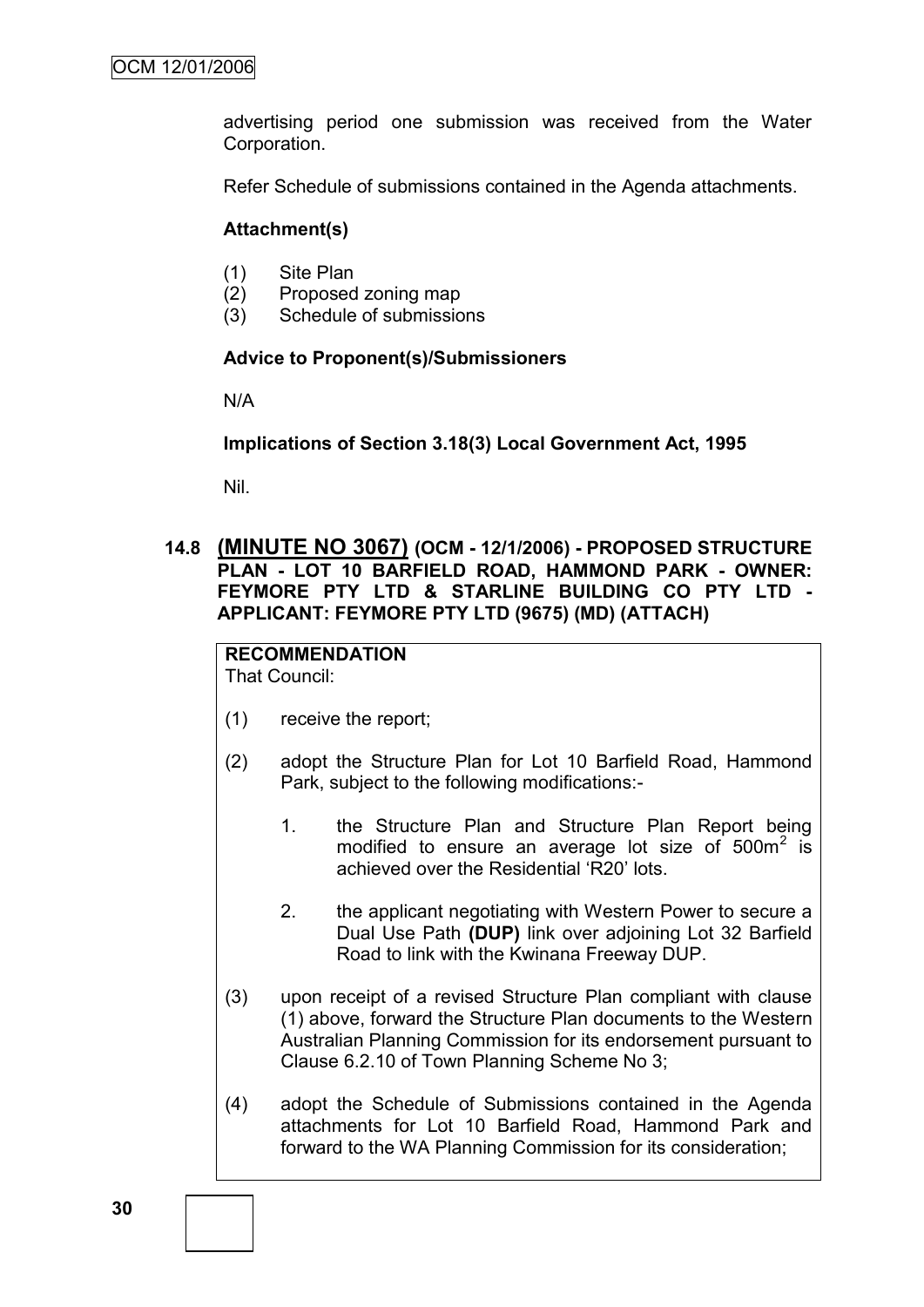advertising period one submission was received from the Water Corporation.

Refer Schedule of submissions contained in the Agenda attachments.

#### **Attachment(s)**

- (1) Site Plan
- (2) Proposed zoning map
- (3) Schedule of submissions

#### **Advice to Proponent(s)/Submissioners**

N/A

**Implications of Section 3.18(3) Local Government Act, 1995**

Nil.

### **14.8 (MINUTE NO 3067) (OCM - 12/1/2006) - PROPOSED STRUCTURE PLAN - LOT 10 BARFIELD ROAD, HAMMOND PARK - OWNER: FEYMORE PTY LTD & STARLINE BUILDING CO PTY LTD - APPLICANT: FEYMORE PTY LTD (9675) (MD) (ATTACH)**

#### **RECOMMENDATION** That Council:

- (1) receive the report;
- (2) adopt the Structure Plan for Lot 10 Barfield Road, Hammond Park, subject to the following modifications:-
	- 1. the Structure Plan and Structure Plan Report being modified to ensure an average lot size of  $500m^2$  is achieved over the Residential "R20" lots.
	- 2. the applicant negotiating with Western Power to secure a Dual Use Path **(DUP)** link over adjoining Lot 32 Barfield Road to link with the Kwinana Freeway DUP.
- (3) upon receipt of a revised Structure Plan compliant with clause (1) above, forward the Structure Plan documents to the Western Australian Planning Commission for its endorsement pursuant to Clause 6.2.10 of Town Planning Scheme No 3;
- (4) adopt the Schedule of Submissions contained in the Agenda attachments for Lot 10 Barfield Road, Hammond Park and forward to the WA Planning Commission for its consideration;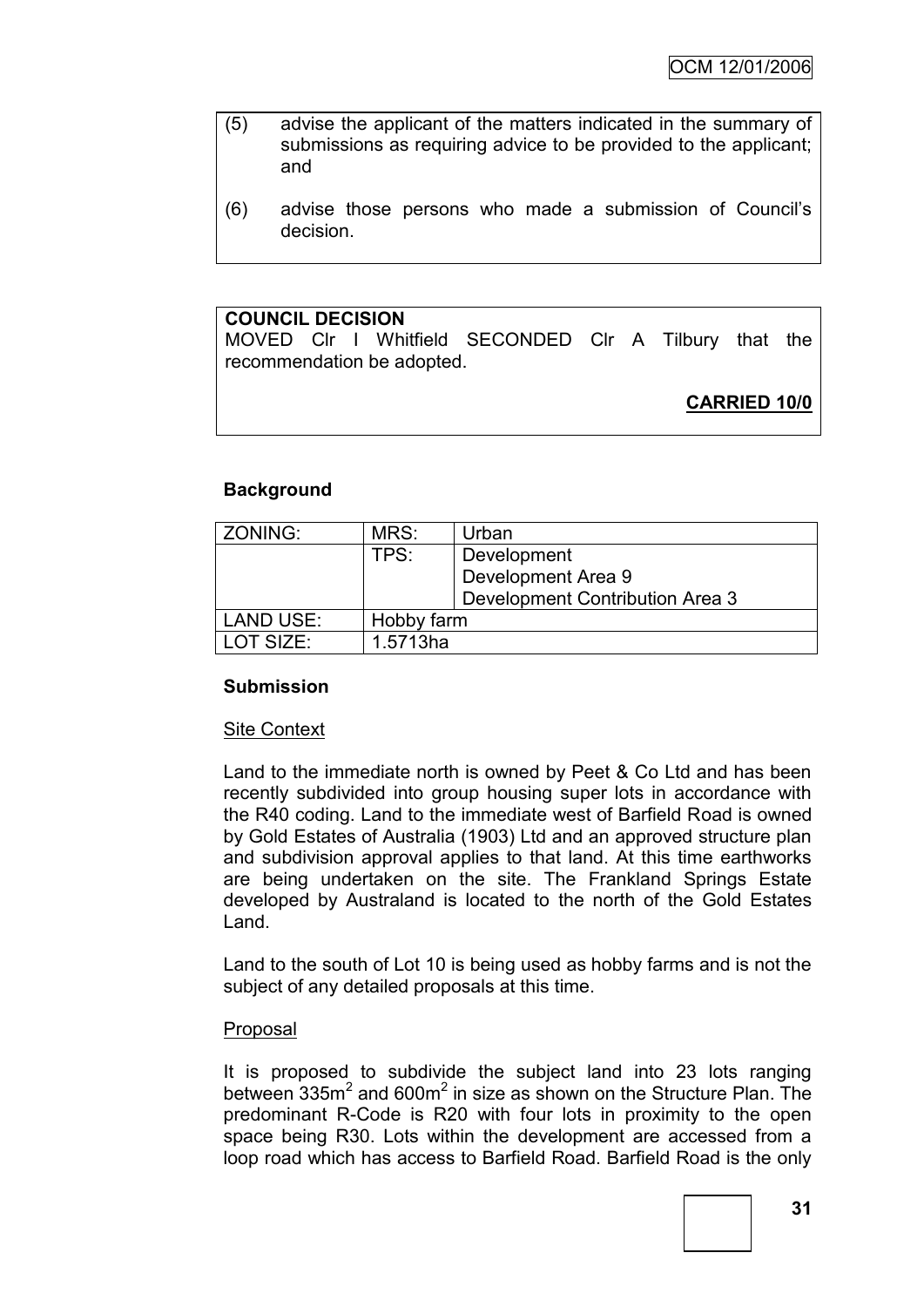- (5) advise the applicant of the matters indicated in the summary of submissions as requiring advice to be provided to the applicant; and
- (6) advise those persons who made a submission of Council"s decision.

### **COUNCIL DECISION**

MOVED Clr I Whitfield SECONDED Clr A Tilbury that the recommendation be adopted.

**CARRIED 10/0**

### **Background**

| ZONING:          | MRS:       | Urban                           |  |
|------------------|------------|---------------------------------|--|
|                  | TPS:       | Development                     |  |
|                  |            | Development Area 9              |  |
|                  |            | Development Contribution Area 3 |  |
| <b>LAND USE:</b> | Hobby farm |                                 |  |
| LOT SIZE:        | 1.5713ha   |                                 |  |

### **Submission**

#### Site Context

Land to the immediate north is owned by Peet & Co Ltd and has been recently subdivided into group housing super lots in accordance with the R40 coding. Land to the immediate west of Barfield Road is owned by Gold Estates of Australia (1903) Ltd and an approved structure plan and subdivision approval applies to that land. At this time earthworks are being undertaken on the site. The Frankland Springs Estate developed by Australand is located to the north of the Gold Estates Land.

Land to the south of Lot 10 is being used as hobby farms and is not the subject of any detailed proposals at this time.

#### Proposal

It is proposed to subdivide the subject land into 23 lots ranging between  $335m^2$  and 600 $m^2$  in size as shown on the Structure Plan. The predominant R-Code is R20 with four lots in proximity to the open space being R30. Lots within the development are accessed from a loop road which has access to Barfield Road. Barfield Road is the only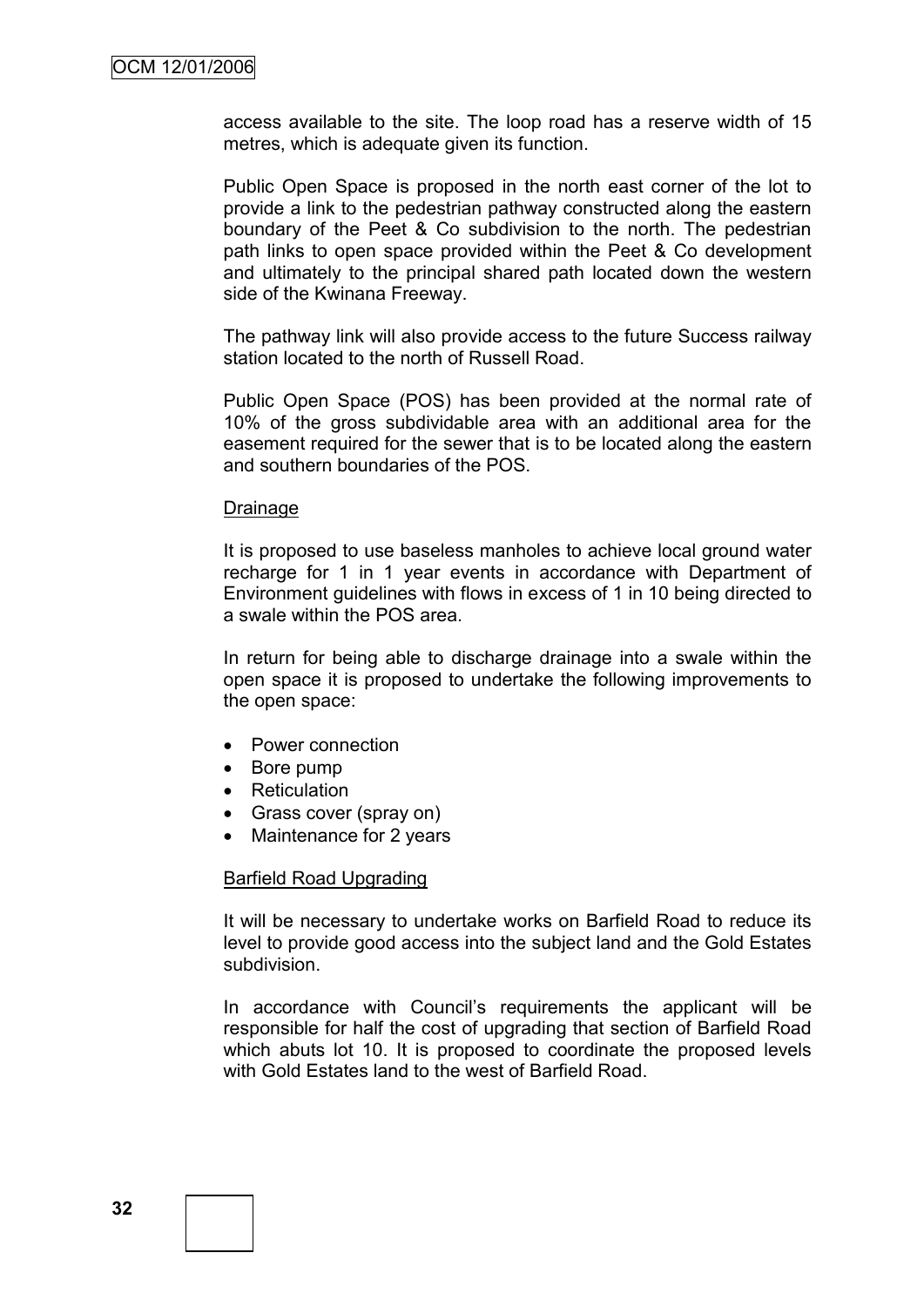access available to the site. The loop road has a reserve width of 15 metres, which is adequate given its function.

Public Open Space is proposed in the north east corner of the lot to provide a link to the pedestrian pathway constructed along the eastern boundary of the Peet & Co subdivision to the north. The pedestrian path links to open space provided within the Peet & Co development and ultimately to the principal shared path located down the western side of the Kwinana Freeway.

The pathway link will also provide access to the future Success railway station located to the north of Russell Road.

Public Open Space (POS) has been provided at the normal rate of 10% of the gross subdividable area with an additional area for the easement required for the sewer that is to be located along the eastern and southern boundaries of the POS.

#### Drainage

It is proposed to use baseless manholes to achieve local ground water recharge for 1 in 1 year events in accordance with Department of Environment guidelines with flows in excess of 1 in 10 being directed to a swale within the POS area.

In return for being able to discharge drainage into a swale within the open space it is proposed to undertake the following improvements to the open space:

- Power connection
- Bore pump
- Reticulation
- Grass cover (spray on)
- Maintenance for 2 years

#### Barfield Road Upgrading

It will be necessary to undertake works on Barfield Road to reduce its level to provide good access into the subject land and the Gold Estates subdivision.

In accordance with Council's requirements the applicant will be responsible for half the cost of upgrading that section of Barfield Road which abuts lot 10. It is proposed to coordinate the proposed levels with Gold Estates land to the west of Barfield Road.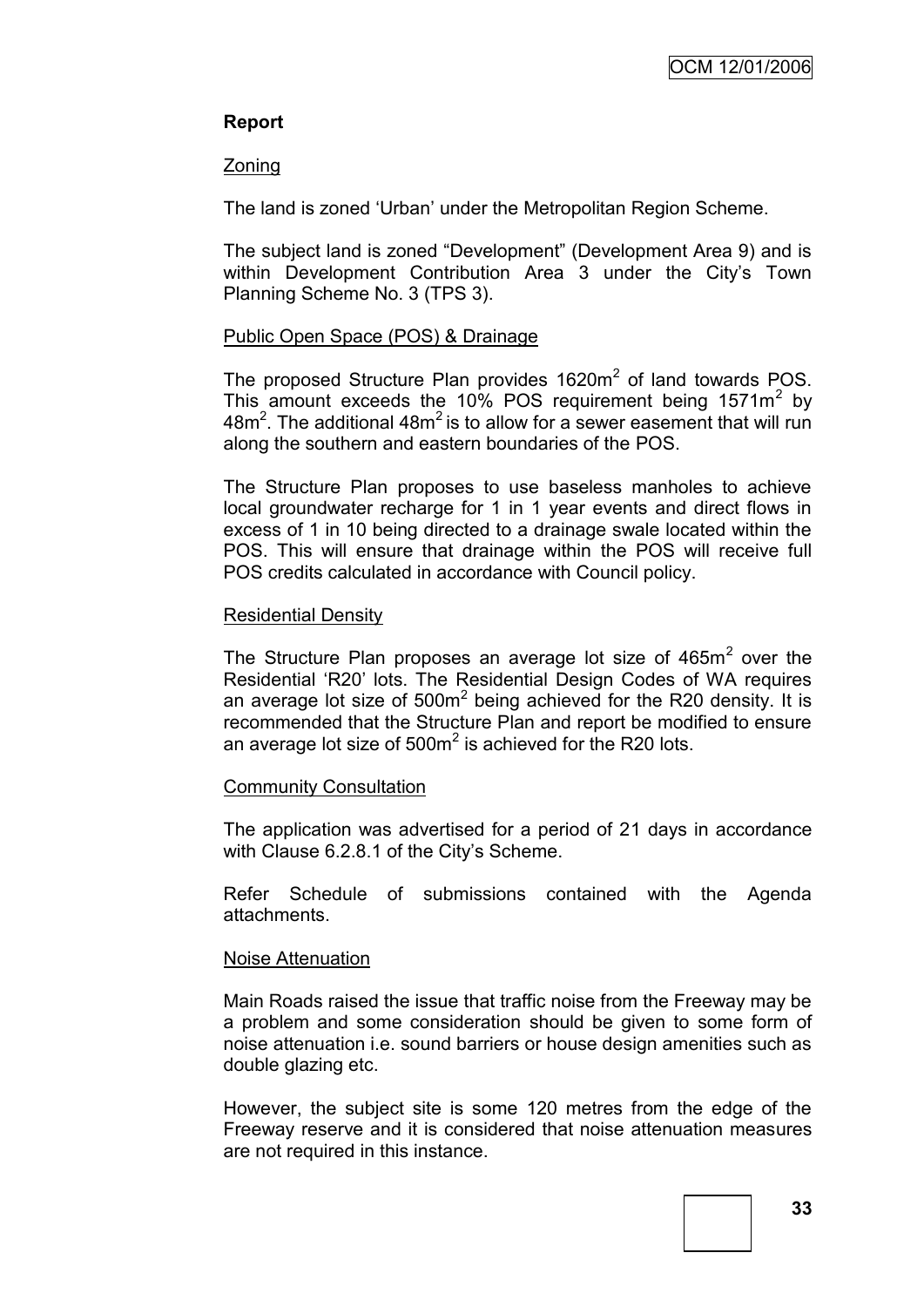## **Report**

#### Zoning

The land is zoned "Urban" under the Metropolitan Region Scheme.

The subject land is zoned "Development" (Development Area 9) and is within Development Contribution Area 3 under the City's Town Planning Scheme No. 3 (TPS 3).

### Public Open Space (POS) & Drainage

The proposed Structure Plan provides  $1620m^2$  of land towards POS. This amount exceeds the 10% POS requirement being  $1571m^2$  by 48 $m<sup>2</sup>$ . The additional 48 $m<sup>2</sup>$  is to allow for a sewer easement that will run along the southern and eastern boundaries of the POS.

The Structure Plan proposes to use baseless manholes to achieve local groundwater recharge for 1 in 1 year events and direct flows in excess of 1 in 10 being directed to a drainage swale located within the POS. This will ensure that drainage within the POS will receive full POS credits calculated in accordance with Council policy.

#### Residential Density

The Structure Plan proposes an average lot size of  $465m<sup>2</sup>$  over the Residential "R20" lots. The Residential Design Codes of WA requires an average lot size of  $500m^2$  being achieved for the R20 density. It is recommended that the Structure Plan and report be modified to ensure an average lot size of  $500<sup>m²</sup>$  is achieved for the R20 lots.

### Community Consultation

The application was advertised for a period of 21 days in accordance with Clause 6.2.8.1 of the City's Scheme.

Refer Schedule of submissions contained with the Agenda attachments.

### Noise Attenuation

Main Roads raised the issue that traffic noise from the Freeway may be a problem and some consideration should be given to some form of noise attenuation i.e. sound barriers or house design amenities such as double glazing etc.

However, the subject site is some 120 metres from the edge of the Freeway reserve and it is considered that noise attenuation measures are not required in this instance.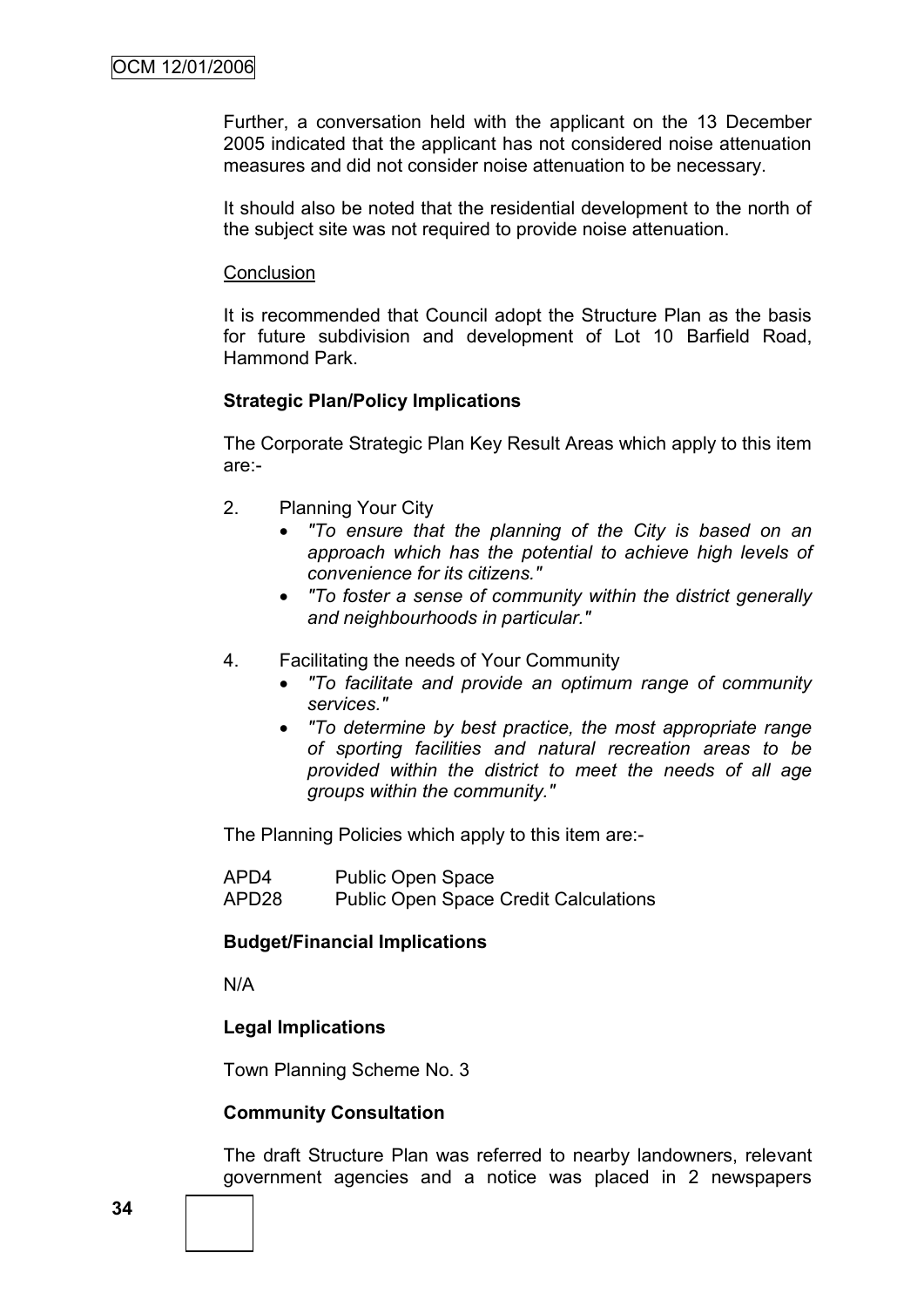Further, a conversation held with the applicant on the 13 December 2005 indicated that the applicant has not considered noise attenuation measures and did not consider noise attenuation to be necessary.

It should also be noted that the residential development to the north of the subject site was not required to provide noise attenuation.

#### **Conclusion**

It is recommended that Council adopt the Structure Plan as the basis for future subdivision and development of Lot 10 Barfield Road, Hammond Park.

#### **Strategic Plan/Policy Implications**

The Corporate Strategic Plan Key Result Areas which apply to this item are:-

- 2. Planning Your City
	- *"To ensure that the planning of the City is based on an approach which has the potential to achieve high levels of convenience for its citizens."*
	- *"To foster a sense of community within the district generally and neighbourhoods in particular."*
- 4. Facilitating the needs of Your Community
	- *"To facilitate and provide an optimum range of community services."*
	- *"To determine by best practice, the most appropriate range of sporting facilities and natural recreation areas to be provided within the district to meet the needs of all age groups within the community."*

The Planning Policies which apply to this item are:-

| APD4  | Public Open Space                            |
|-------|----------------------------------------------|
| APD28 | <b>Public Open Space Credit Calculations</b> |

#### **Budget/Financial Implications**

N/A

#### **Legal Implications**

Town Planning Scheme No. 3

#### **Community Consultation**

The draft Structure Plan was referred to nearby landowners, relevant government agencies and a notice was placed in 2 newspapers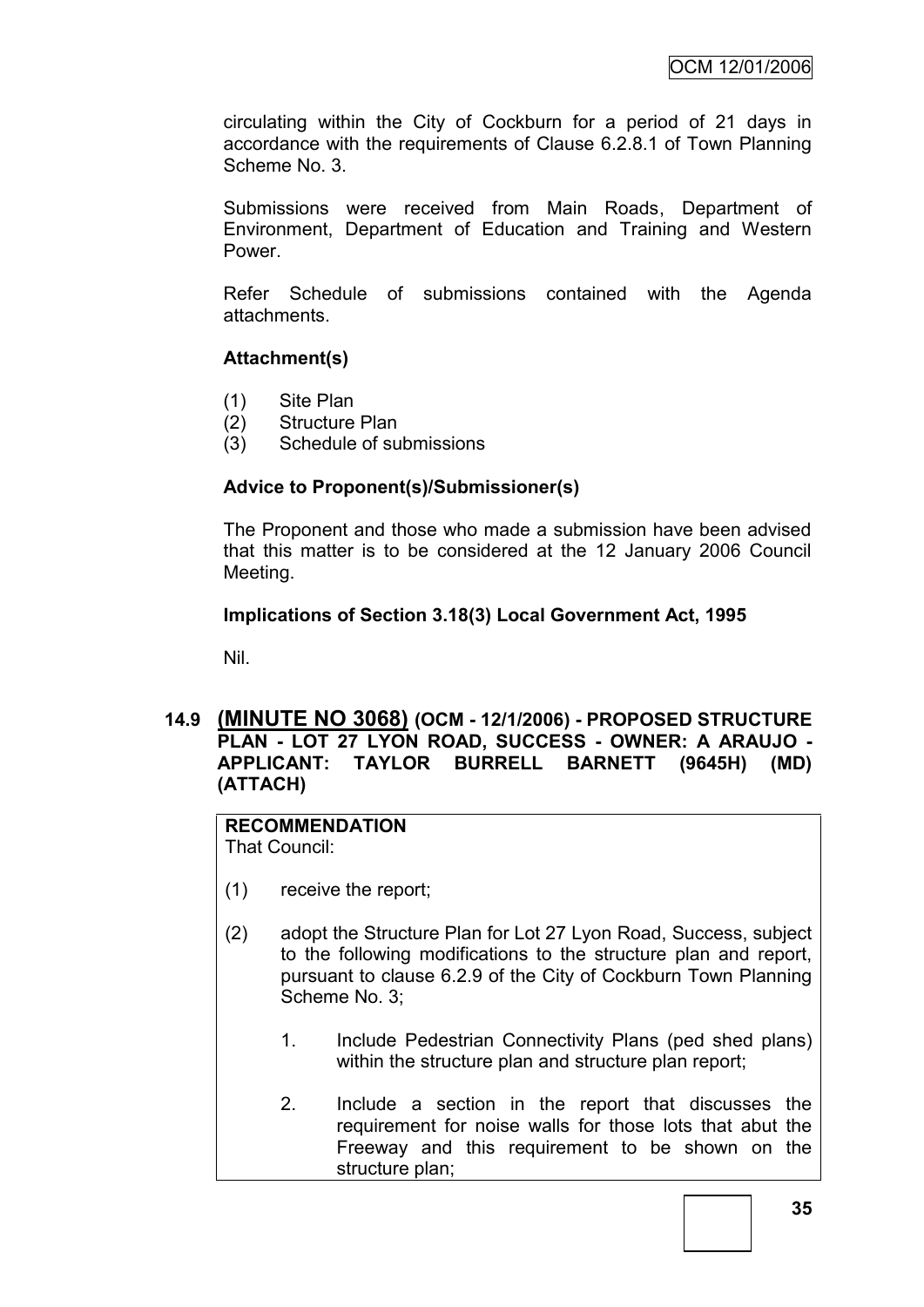circulating within the City of Cockburn for a period of 21 days in accordance with the requirements of Clause 6.2.8.1 of Town Planning Scheme No. 3.

Submissions were received from Main Roads, Department of Environment, Department of Education and Training and Western Power.

Refer Schedule of submissions contained with the Agenda attachments.

### **Attachment(s)**

- (1) Site Plan
- (2) Structure Plan
- (3) Schedule of submissions

#### **Advice to Proponent(s)/Submissioner(s)**

The Proponent and those who made a submission have been advised that this matter is to be considered at the 12 January 2006 Council Meeting.

#### **Implications of Section 3.18(3) Local Government Act, 1995**

Nil.

### **14.9 (MINUTE NO 3068) (OCM - 12/1/2006) - PROPOSED STRUCTURE PLAN - LOT 27 LYON ROAD, SUCCESS - OWNER: A ARAUJO - APPLICANT: TAYLOR BURRELL BARNETT (9645H) (MD) (ATTACH)**

## **RECOMMENDATION**

That Council:

- (1) receive the report;
- (2) adopt the Structure Plan for Lot 27 Lyon Road, Success, subject to the following modifications to the structure plan and report, pursuant to clause 6.2.9 of the City of Cockburn Town Planning Scheme No. 3:
	- 1. Include Pedestrian Connectivity Plans (ped shed plans) within the structure plan and structure plan report;
	- 2. Include a section in the report that discusses the requirement for noise walls for those lots that abut the Freeway and this requirement to be shown on the structure plan;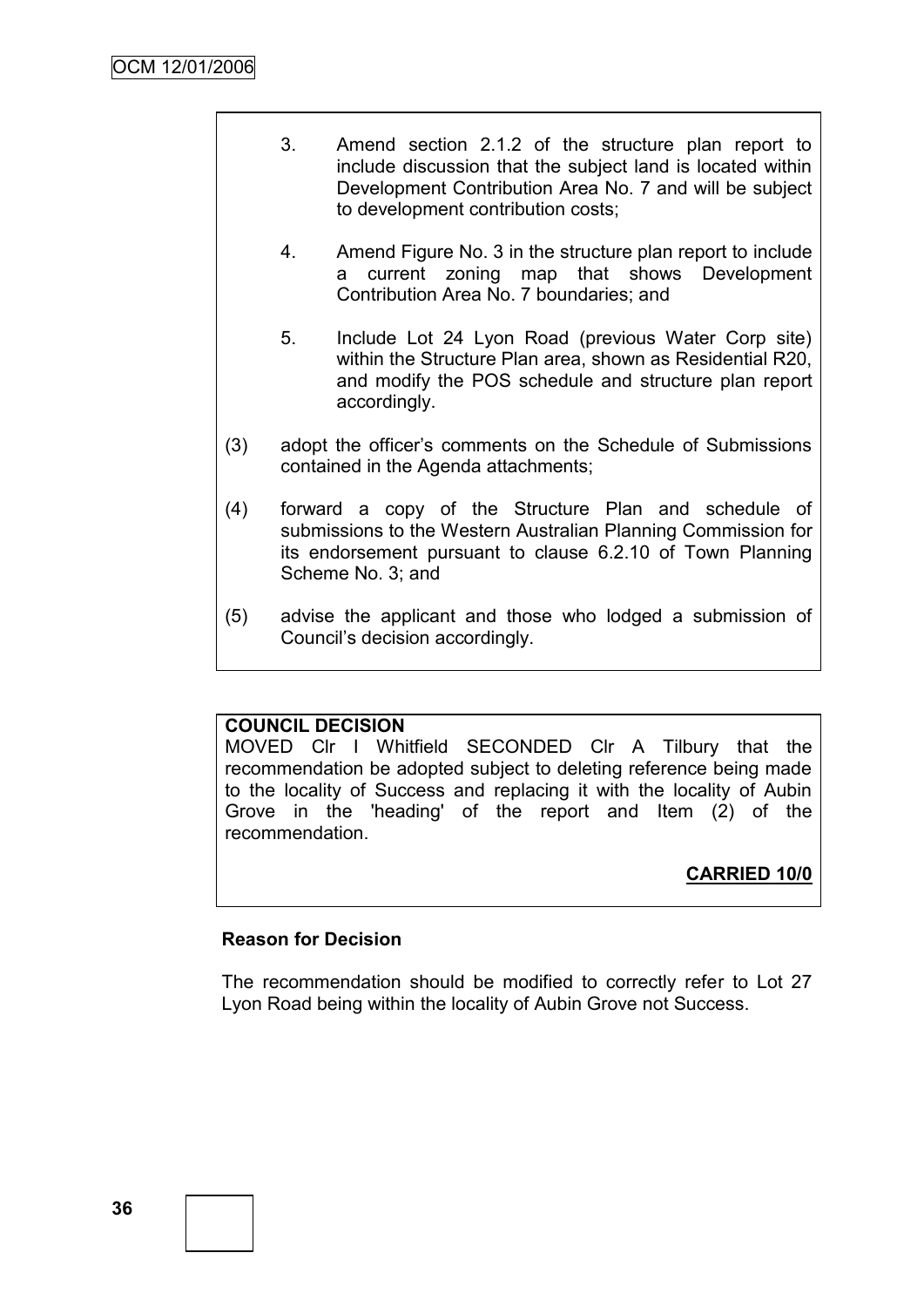- 3. Amend section 2.1.2 of the structure plan report to include discussion that the subject land is located within Development Contribution Area No. 7 and will be subject to development contribution costs;
- 4. Amend Figure No. 3 in the structure plan report to include a current zoning map that shows Development Contribution Area No. 7 boundaries; and
- 5. Include Lot 24 Lyon Road (previous Water Corp site) within the Structure Plan area, shown as Residential R20, and modify the POS schedule and structure plan report accordingly.
- (3) adopt the officer"s comments on the Schedule of Submissions contained in the Agenda attachments;
- (4) forward a copy of the Structure Plan and schedule of submissions to the Western Australian Planning Commission for its endorsement pursuant to clause 6.2.10 of Town Planning Scheme No. 3; and
- (5) advise the applicant and those who lodged a submission of Council"s decision accordingly.

### **COUNCIL DECISION**

MOVED Clr I Whitfield SECONDED Clr A Tilbury that the recommendation be adopted subject to deleting reference being made to the locality of Success and replacing it with the locality of Aubin Grove in the 'heading' of the report and Item (2) of the recommendation.

## **CARRIED 10/0**

### **Reason for Decision**

The recommendation should be modified to correctly refer to Lot 27 Lyon Road being within the locality of Aubin Grove not Success.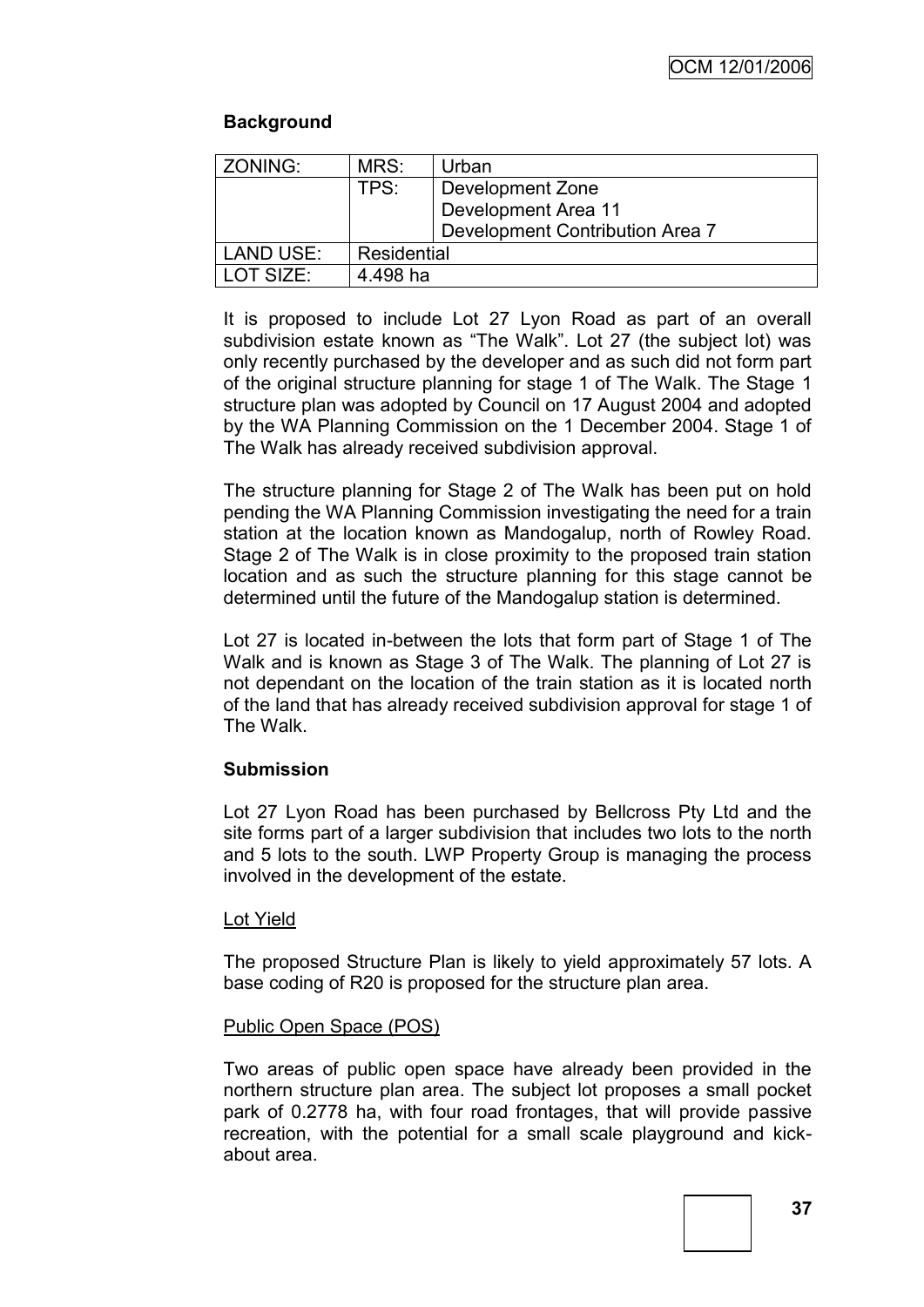## **Background**

| ZONING:          | MRS:        | Urban                           |  |
|------------------|-------------|---------------------------------|--|
|                  | TPS:        | Development Zone                |  |
|                  |             | Development Area 11             |  |
|                  |             | Development Contribution Area 7 |  |
| <b>LAND USE:</b> | Residential |                                 |  |
| LOT SIZE:        | 4.498 ha    |                                 |  |

It is proposed to include Lot 27 Lyon Road as part of an overall subdivision estate known as "The Walk". Lot 27 (the subject lot) was only recently purchased by the developer and as such did not form part of the original structure planning for stage 1 of The Walk. The Stage 1 structure plan was adopted by Council on 17 August 2004 and adopted by the WA Planning Commission on the 1 December 2004. Stage 1 of The Walk has already received subdivision approval.

The structure planning for Stage 2 of The Walk has been put on hold pending the WA Planning Commission investigating the need for a train station at the location known as Mandogalup, north of Rowley Road. Stage 2 of The Walk is in close proximity to the proposed train station location and as such the structure planning for this stage cannot be determined until the future of the Mandogalup station is determined.

Lot 27 is located in-between the lots that form part of Stage 1 of The Walk and is known as Stage 3 of The Walk. The planning of Lot 27 is not dependant on the location of the train station as it is located north of the land that has already received subdivision approval for stage 1 of The Walk.

### **Submission**

Lot 27 Lyon Road has been purchased by Bellcross Pty Ltd and the site forms part of a larger subdivision that includes two lots to the north and 5 lots to the south. LWP Property Group is managing the process involved in the development of the estate.

### Lot Yield

The proposed Structure Plan is likely to yield approximately 57 lots. A base coding of R20 is proposed for the structure plan area.

### Public Open Space (POS)

Two areas of public open space have already been provided in the northern structure plan area. The subject lot proposes a small pocket park of 0.2778 ha, with four road frontages, that will provide passive recreation, with the potential for a small scale playground and kickabout area.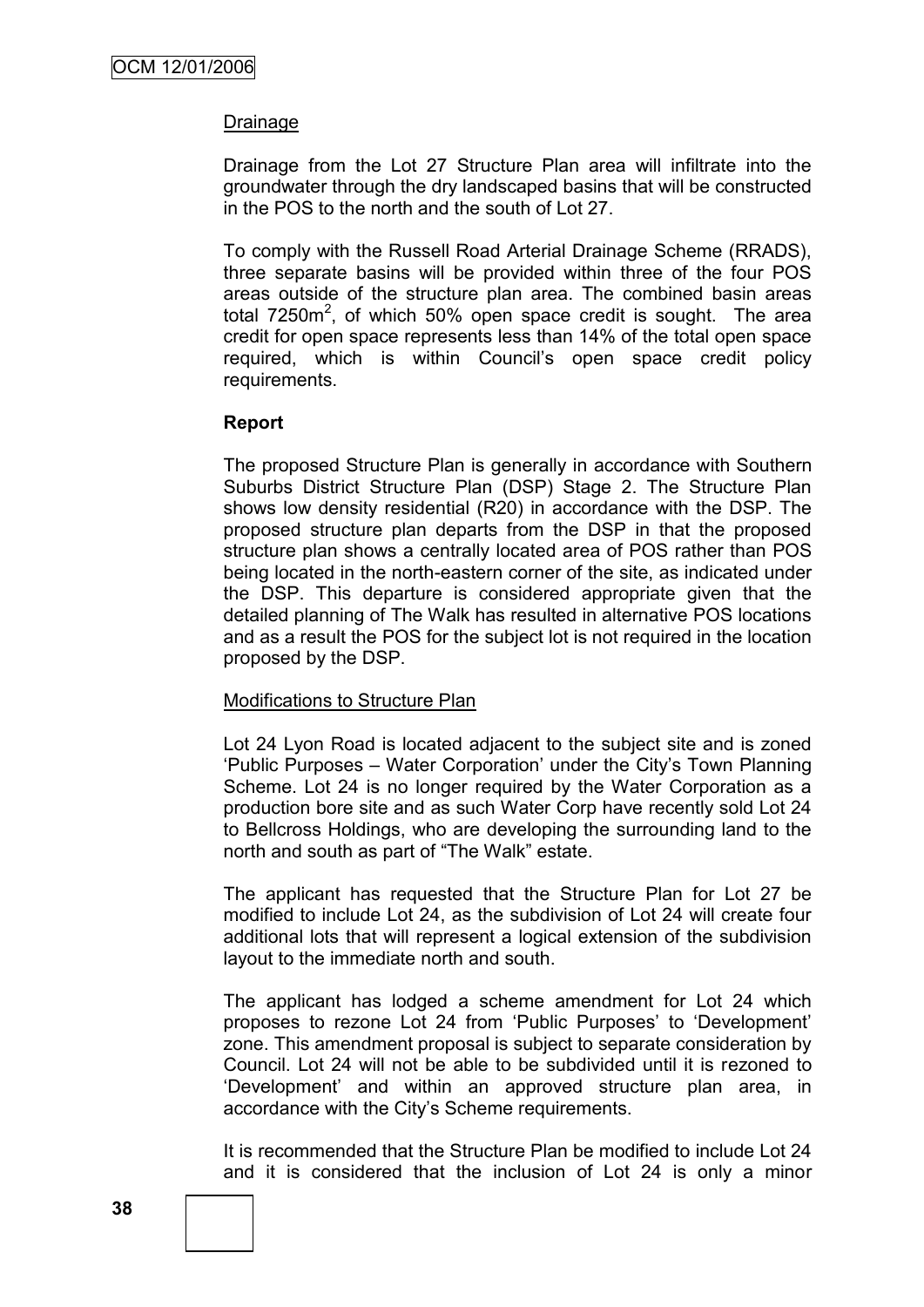#### Drainage

Drainage from the Lot 27 Structure Plan area will infiltrate into the groundwater through the dry landscaped basins that will be constructed in the POS to the north and the south of Lot 27.

To comply with the Russell Road Arterial Drainage Scheme (RRADS), three separate basins will be provided within three of the four POS areas outside of the structure plan area. The combined basin areas total 7250 $m^2$ , of which 50% open space credit is sought. The area credit for open space represents less than 14% of the total open space required, which is within Council"s open space credit policy requirements.

#### **Report**

The proposed Structure Plan is generally in accordance with Southern Suburbs District Structure Plan (DSP) Stage 2. The Structure Plan shows low density residential (R20) in accordance with the DSP. The proposed structure plan departs from the DSP in that the proposed structure plan shows a centrally located area of POS rather than POS being located in the north-eastern corner of the site, as indicated under the DSP. This departure is considered appropriate given that the detailed planning of The Walk has resulted in alternative POS locations and as a result the POS for the subject lot is not required in the location proposed by the DSP.

### Modifications to Structure Plan

Lot 24 Lyon Road is located adjacent to the subject site and is zoned "Public Purposes – Water Corporation" under the City"s Town Planning Scheme. Lot 24 is no longer required by the Water Corporation as a production bore site and as such Water Corp have recently sold Lot 24 to Bellcross Holdings, who are developing the surrounding land to the north and south as part of "The Walk" estate.

The applicant has requested that the Structure Plan for Lot 27 be modified to include Lot 24, as the subdivision of Lot 24 will create four additional lots that will represent a logical extension of the subdivision layout to the immediate north and south.

The applicant has lodged a scheme amendment for Lot 24 which proposes to rezone Lot 24 from "Public Purposes" to "Development" zone. This amendment proposal is subject to separate consideration by Council. Lot 24 will not be able to be subdivided until it is rezoned to "Development" and within an approved structure plan area, in accordance with the City"s Scheme requirements.

It is recommended that the Structure Plan be modified to include Lot 24 and it is considered that the inclusion of Lot 24 is only a minor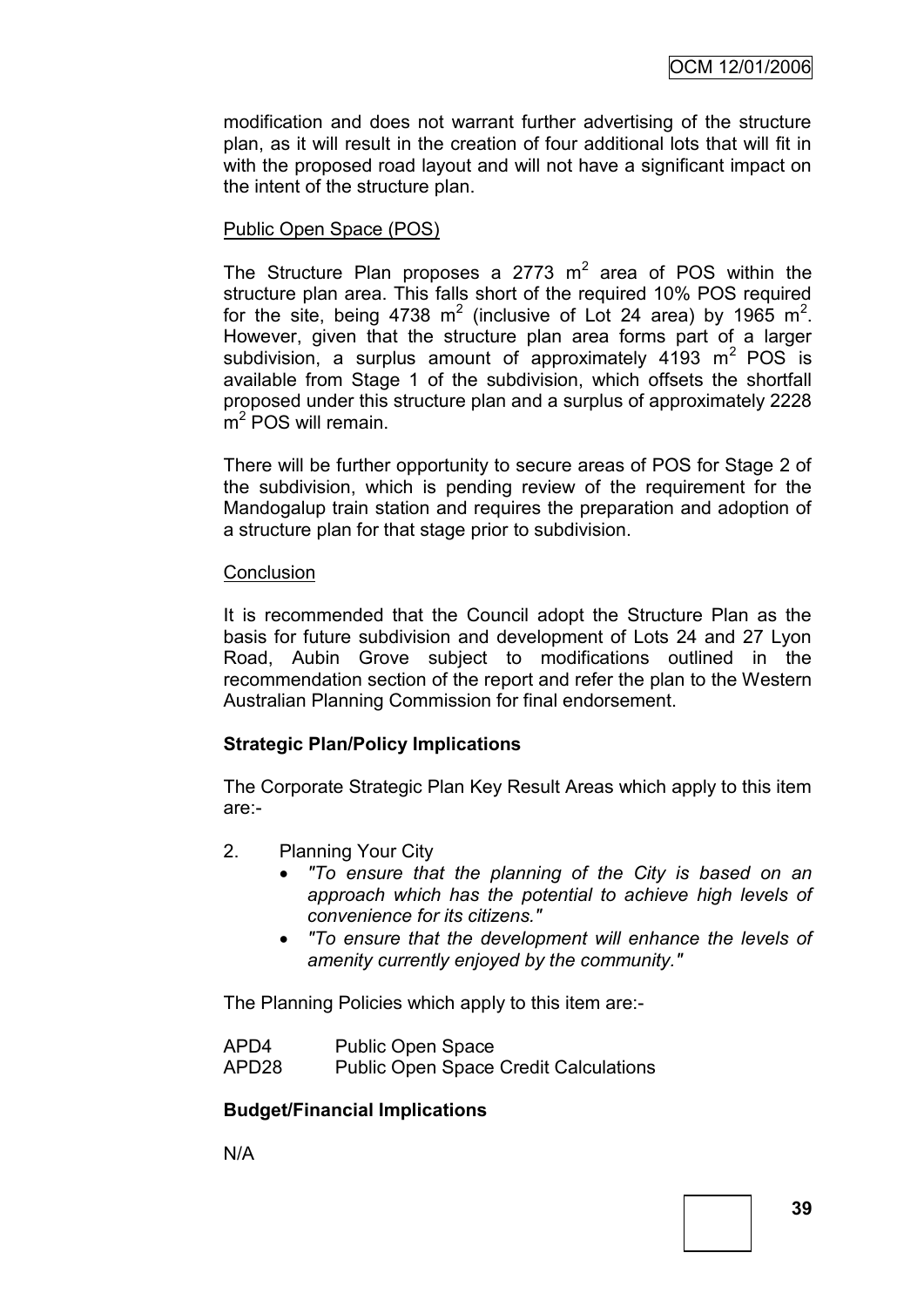modification and does not warrant further advertising of the structure plan, as it will result in the creation of four additional lots that will fit in with the proposed road layout and will not have a significant impact on the intent of the structure plan.

## Public Open Space (POS)

The Structure Plan proposes a 2773  $m^2$  area of POS within the structure plan area. This falls short of the required 10% POS required for the site, being 4738 m<sup>2</sup> (inclusive of Lot 24 area) by 1965 m<sup>2</sup>. However, given that the structure plan area forms part of a larger subdivision, a surplus amount of approximately 4193  $m^2$  POS is available from Stage 1 of the subdivision, which offsets the shortfall proposed under this structure plan and a surplus of approximately 2228 m<sup>2</sup> POS will remain.

There will be further opportunity to secure areas of POS for Stage 2 of the subdivision, which is pending review of the requirement for the Mandogalup train station and requires the preparation and adoption of a structure plan for that stage prior to subdivision.

### **Conclusion**

It is recommended that the Council adopt the Structure Plan as the basis for future subdivision and development of Lots 24 and 27 Lyon Road, Aubin Grove subject to modifications outlined in the recommendation section of the report and refer the plan to the Western Australian Planning Commission for final endorsement.

## **Strategic Plan/Policy Implications**

The Corporate Strategic Plan Key Result Areas which apply to this item are:-

- 2. Planning Your City
	- *"To ensure that the planning of the City is based on an approach which has the potential to achieve high levels of convenience for its citizens."*
	- *"To ensure that the development will enhance the levels of amenity currently enjoyed by the community."*

The Planning Policies which apply to this item are:-

| APD4  | <b>Public Open Space</b>                     |
|-------|----------------------------------------------|
| APD28 | <b>Public Open Space Credit Calculations</b> |

## **Budget/Financial Implications**

N/A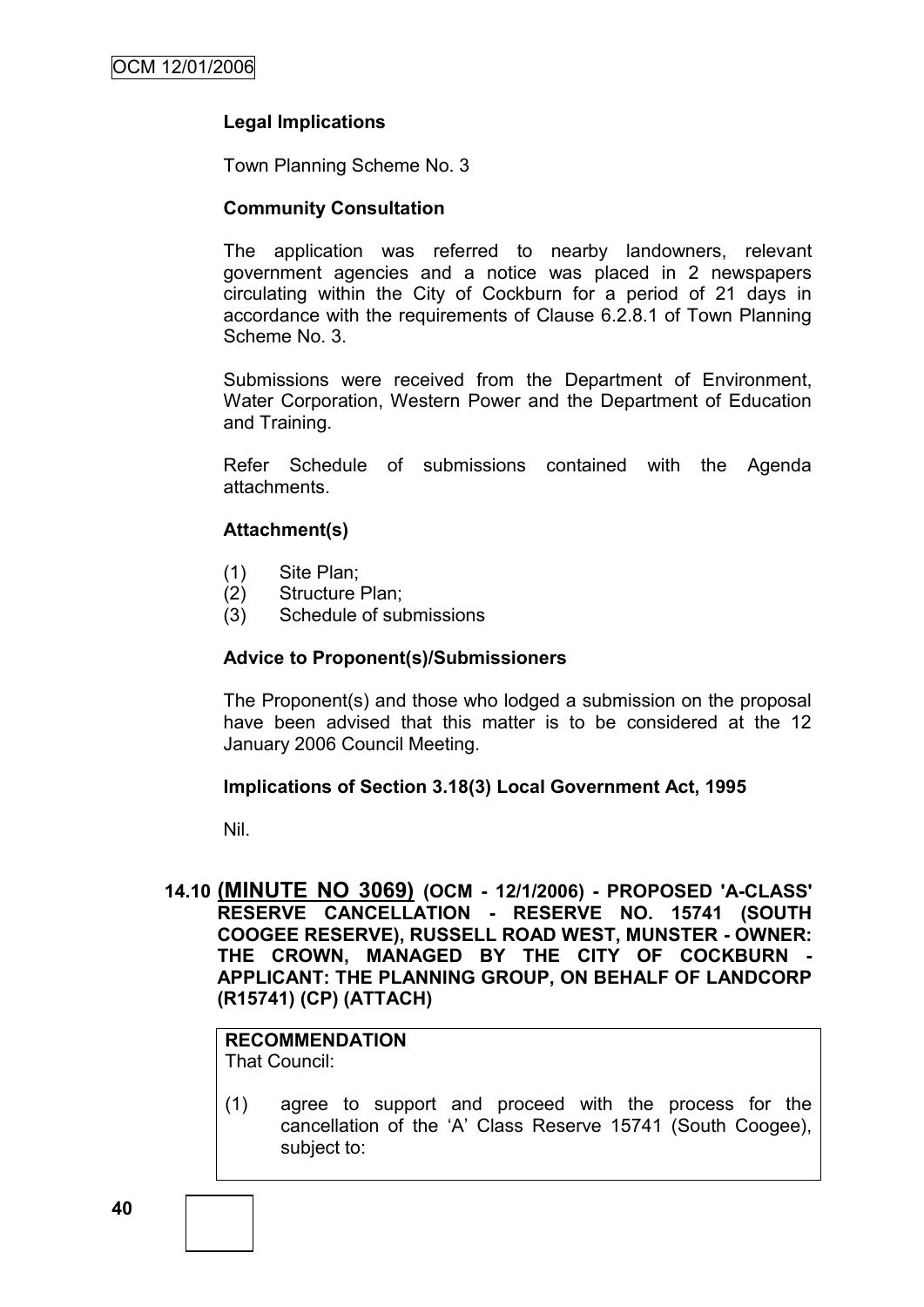### **Legal Implications**

Town Planning Scheme No. 3

#### **Community Consultation**

The application was referred to nearby landowners, relevant government agencies and a notice was placed in 2 newspapers circulating within the City of Cockburn for a period of 21 days in accordance with the requirements of Clause 6.2.8.1 of Town Planning Scheme No. 3.

Submissions were received from the Department of Environment, Water Corporation, Western Power and the Department of Education and Training.

Refer Schedule of submissions contained with the Agenda attachments.

### **Attachment(s)**

- (1) Site Plan;
- (2) Structure Plan;
- (3) Schedule of submissions

#### **Advice to Proponent(s)/Submissioners**

The Proponent(s) and those who lodged a submission on the proposal have been advised that this matter is to be considered at the 12 January 2006 Council Meeting.

#### **Implications of Section 3.18(3) Local Government Act, 1995**

Nil.

**14.10 (MINUTE NO 3069) (OCM - 12/1/2006) - PROPOSED 'A-CLASS' RESERVE CANCELLATION - RESERVE NO. 15741 (SOUTH COOGEE RESERVE), RUSSELL ROAD WEST, MUNSTER - OWNER:**  THE CROWN, MANAGED BY THE CITY OF COCKBURN **APPLICANT: THE PLANNING GROUP, ON BEHALF OF LANDCORP (R15741) (CP) (ATTACH)**

#### **RECOMMENDATION** That Council:

(1) agree to support and proceed with the process for the cancellation of the "A" Class Reserve 15741 (South Coogee), subject to: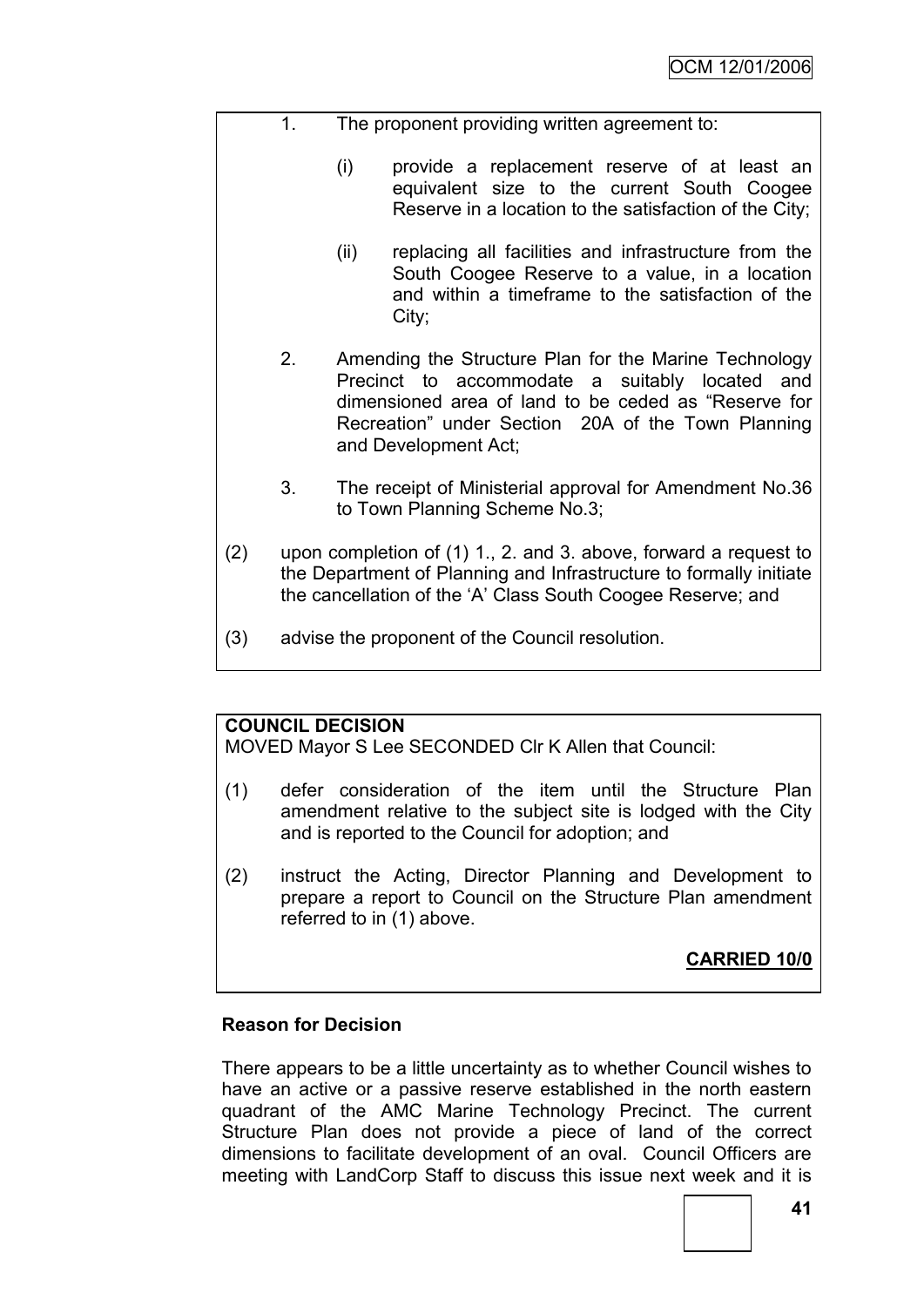- 1. The proponent providing written agreement to:
	- (i) provide a replacement reserve of at least an equivalent size to the current South Coogee Reserve in a location to the satisfaction of the City;
	- (ii) replacing all facilities and infrastructure from the South Coogee Reserve to a value, in a location and within a timeframe to the satisfaction of the City;
	- 2. Amending the Structure Plan for the Marine Technology Precinct to accommodate a suitably located and dimensioned area of land to be ceded as "Reserve for Recreation" under Section 20A of the Town Planning and Development Act;
	- 3. The receipt of Ministerial approval for Amendment No.36 to Town Planning Scheme No.3;
- (2) upon completion of (1) 1., 2. and 3. above, forward a request to the Department of Planning and Infrastructure to formally initiate the cancellation of the "A" Class South Coogee Reserve; and
- (3) advise the proponent of the Council resolution.

## **COUNCIL DECISION**

MOVED Mayor S Lee SECONDED Clr K Allen that Council:

- (1) defer consideration of the item until the Structure Plan amendment relative to the subject site is lodged with the City and is reported to the Council for adoption; and
- (2) instruct the Acting, Director Planning and Development to prepare a report to Council on the Structure Plan amendment referred to in (1) above.

**CARRIED 10/0**

### **Reason for Decision**

There appears to be a little uncertainty as to whether Council wishes to have an active or a passive reserve established in the north eastern quadrant of the AMC Marine Technology Precinct. The current Structure Plan does not provide a piece of land of the correct dimensions to facilitate development of an oval. Council Officers are meeting with LandCorp Staff to discuss this issue next week and it is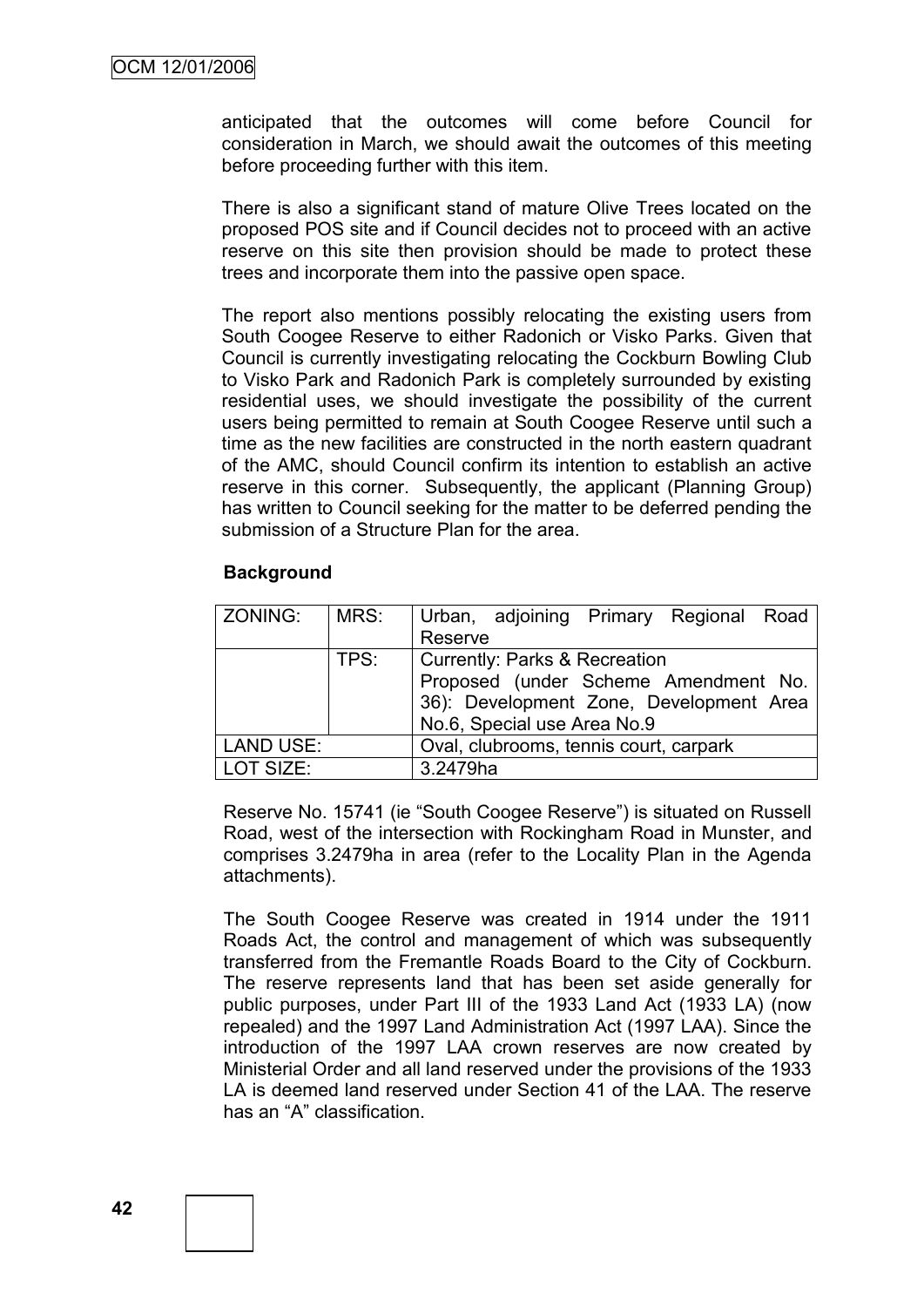anticipated that the outcomes will come before Council for consideration in March, we should await the outcomes of this meeting before proceeding further with this item.

There is also a significant stand of mature Olive Trees located on the proposed POS site and if Council decides not to proceed with an active reserve on this site then provision should be made to protect these trees and incorporate them into the passive open space.

The report also mentions possibly relocating the existing users from South Coogee Reserve to either Radonich or Visko Parks. Given that Council is currently investigating relocating the Cockburn Bowling Club to Visko Park and Radonich Park is completely surrounded by existing residential uses, we should investigate the possibility of the current users being permitted to remain at South Coogee Reserve until such a time as the new facilities are constructed in the north eastern quadrant of the AMC, should Council confirm its intention to establish an active reserve in this corner. Subsequently, the applicant (Planning Group) has written to Council seeking for the matter to be deferred pending the submission of a Structure Plan for the area.

#### **Background**

| ZONING:          | MRS: | Urban, adjoining Primary Regional Road   |  |  |  |
|------------------|------|------------------------------------------|--|--|--|
|                  |      | Reserve                                  |  |  |  |
|                  | TPS: | <b>Currently: Parks &amp; Recreation</b> |  |  |  |
|                  |      | Proposed (under Scheme Amendment No.     |  |  |  |
|                  |      | 36): Development Zone, Development Area  |  |  |  |
|                  |      | No.6, Special use Area No.9              |  |  |  |
| <b>LAND USE:</b> |      | Oval, clubrooms, tennis court, carpark   |  |  |  |
| LOT SIZE:        |      | 3.2479ha                                 |  |  |  |

Reserve No. 15741 (ie "South Coogee Reserve") is situated on Russell Road, west of the intersection with Rockingham Road in Munster, and comprises 3.2479ha in area (refer to the Locality Plan in the Agenda attachments).

The South Coogee Reserve was created in 1914 under the 1911 Roads Act, the control and management of which was subsequently transferred from the Fremantle Roads Board to the City of Cockburn. The reserve represents land that has been set aside generally for public purposes, under Part III of the 1933 Land Act (1933 LA) (now repealed) and the 1997 Land Administration Act (1997 LAA). Since the introduction of the 1997 LAA crown reserves are now created by Ministerial Order and all land reserved under the provisions of the 1933 LA is deemed land reserved under Section 41 of the LAA. The reserve has an "A" classification.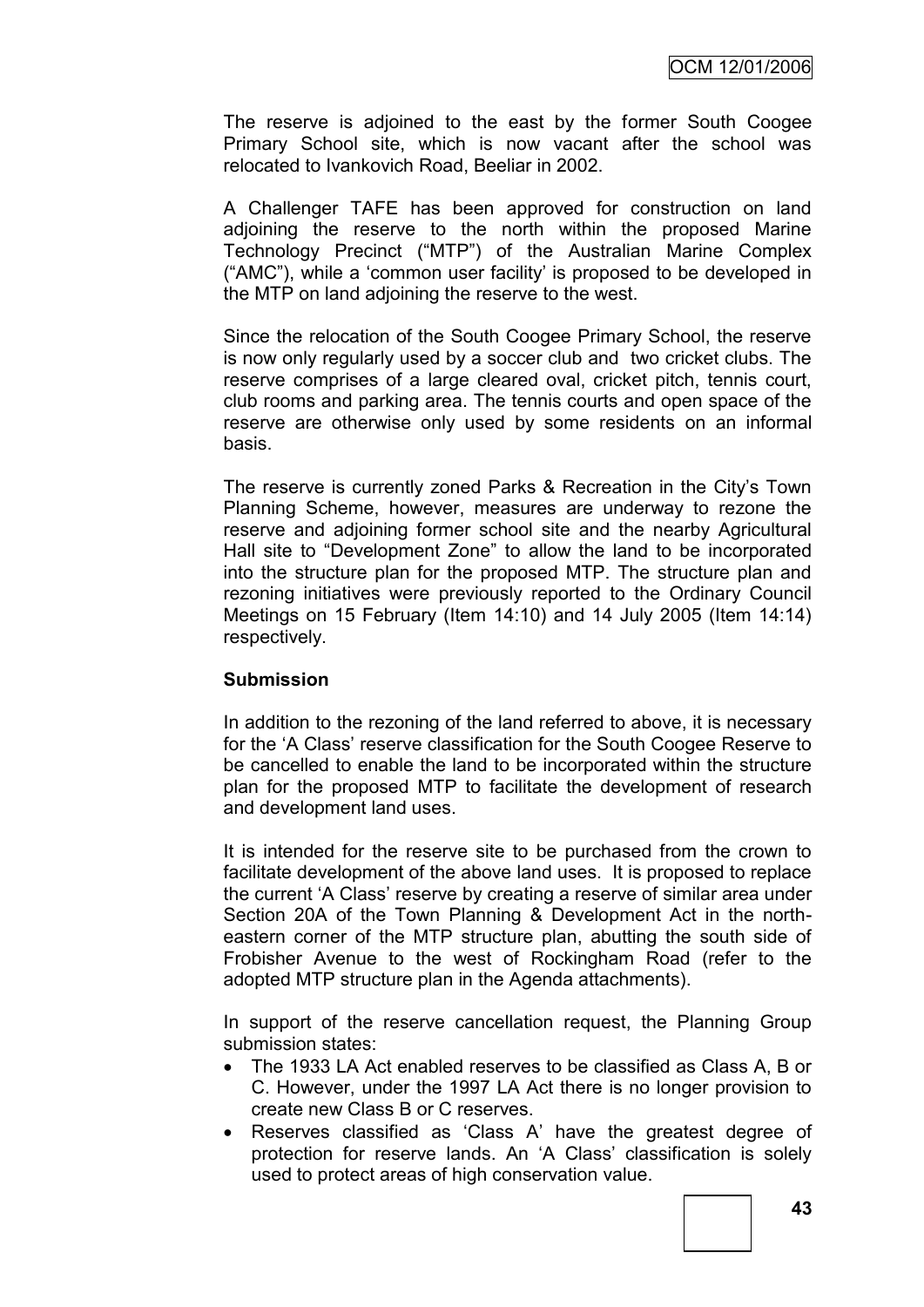The reserve is adjoined to the east by the former South Coogee Primary School site, which is now vacant after the school was relocated to Ivankovich Road, Beeliar in 2002.

A Challenger TAFE has been approved for construction on land adjoining the reserve to the north within the proposed Marine Technology Precinct ("MTP") of the Australian Marine Complex ("AMC"), while a "common user facility" is proposed to be developed in the MTP on land adjoining the reserve to the west.

Since the relocation of the South Coogee Primary School, the reserve is now only regularly used by a soccer club and two cricket clubs. The reserve comprises of a large cleared oval, cricket pitch, tennis court, club rooms and parking area. The tennis courts and open space of the reserve are otherwise only used by some residents on an informal basis.

The reserve is currently zoned Parks & Recreation in the City"s Town Planning Scheme, however, measures are underway to rezone the reserve and adjoining former school site and the nearby Agricultural Hall site to "Development Zone" to allow the land to be incorporated into the structure plan for the proposed MTP. The structure plan and rezoning initiatives were previously reported to the Ordinary Council Meetings on 15 February (Item 14:10) and 14 July 2005 (Item 14:14) respectively.

### **Submission**

In addition to the rezoning of the land referred to above, it is necessary for the "A Class" reserve classification for the South Coogee Reserve to be cancelled to enable the land to be incorporated within the structure plan for the proposed MTP to facilitate the development of research and development land uses.

It is intended for the reserve site to be purchased from the crown to facilitate development of the above land uses. It is proposed to replace the current "A Class" reserve by creating a reserve of similar area under Section 20A of the Town Planning & Development Act in the northeastern corner of the MTP structure plan, abutting the south side of Frobisher Avenue to the west of Rockingham Road (refer to the adopted MTP structure plan in the Agenda attachments).

In support of the reserve cancellation request, the Planning Group submission states:

- The 1933 LA Act enabled reserves to be classified as Class A, B or C. However, under the 1997 LA Act there is no longer provision to create new Class B or C reserves.
- Reserves classified as "Class A" have the greatest degree of protection for reserve lands. An "A Class" classification is solely used to protect areas of high conservation value.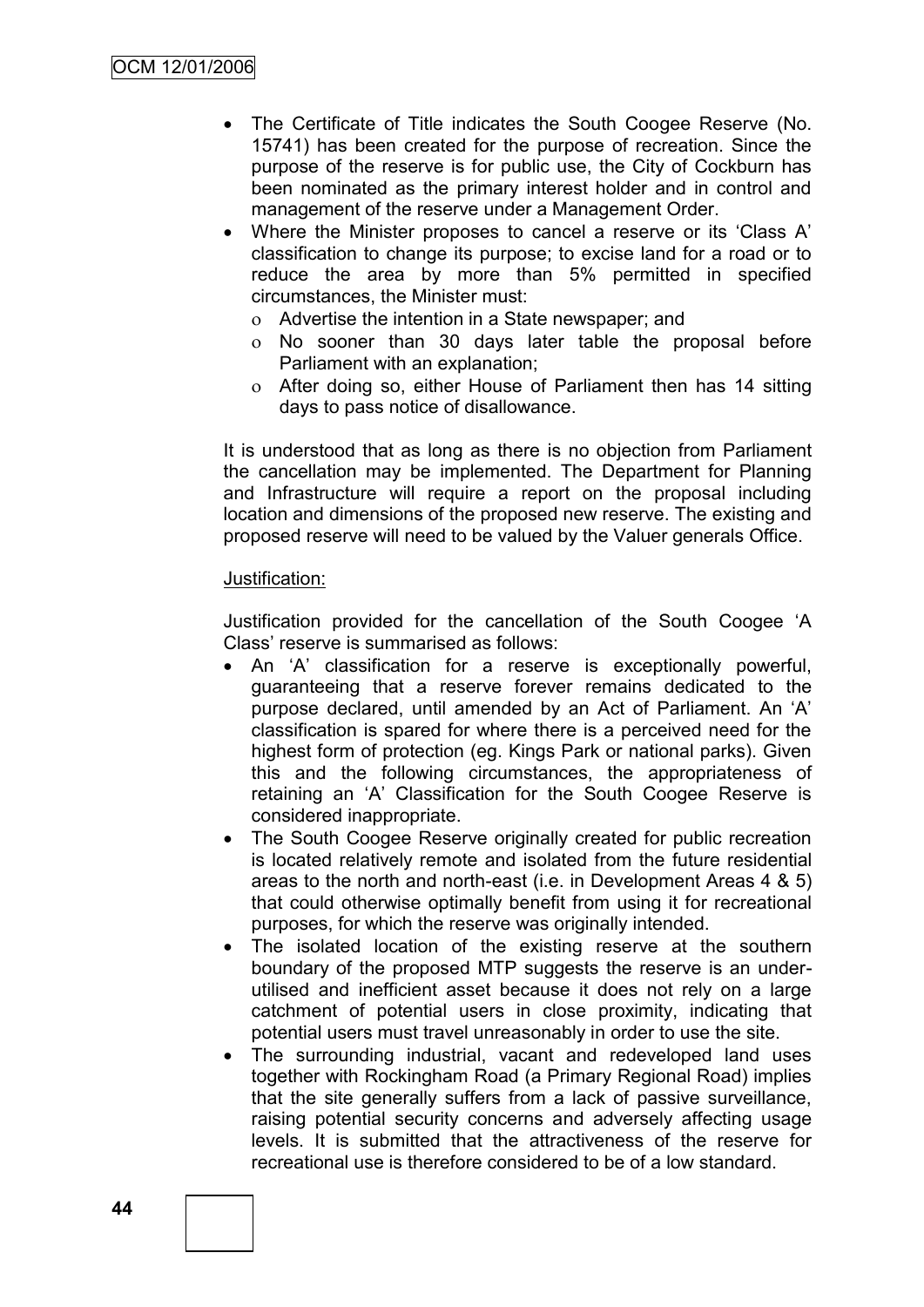- The Certificate of Title indicates the South Coogee Reserve (No. 15741) has been created for the purpose of recreation. Since the purpose of the reserve is for public use, the City of Cockburn has been nominated as the primary interest holder and in control and management of the reserve under a Management Order.
- Where the Minister proposes to cancel a reserve or its "Class A" classification to change its purpose; to excise land for a road or to reduce the area by more than 5% permitted in specified circumstances, the Minister must:
	- Advertise the intention in a State newspaper; and
	- No sooner than 30 days later table the proposal before Parliament with an explanation;
	- After doing so, either House of Parliament then has 14 sitting days to pass notice of disallowance.

It is understood that as long as there is no objection from Parliament the cancellation may be implemented. The Department for Planning and Infrastructure will require a report on the proposal including location and dimensions of the proposed new reserve. The existing and proposed reserve will need to be valued by the Valuer generals Office.

### Justification:

Justification provided for the cancellation of the South Coogee "A Class" reserve is summarised as follows:

- An "A" classification for a reserve is exceptionally powerful, guaranteeing that a reserve forever remains dedicated to the purpose declared, until amended by an Act of Parliament. An 'A' classification is spared for where there is a perceived need for the highest form of protection (eg. Kings Park or national parks). Given this and the following circumstances, the appropriateness of retaining an "A" Classification for the South Coogee Reserve is considered inappropriate.
- The South Coogee Reserve originally created for public recreation is located relatively remote and isolated from the future residential areas to the north and north-east (i.e. in Development Areas 4 & 5) that could otherwise optimally benefit from using it for recreational purposes, for which the reserve was originally intended.
- The isolated location of the existing reserve at the southern boundary of the proposed MTP suggests the reserve is an underutilised and inefficient asset because it does not rely on a large catchment of potential users in close proximity, indicating that potential users must travel unreasonably in order to use the site.
- The surrounding industrial, vacant and redeveloped land uses together with Rockingham Road (a Primary Regional Road) implies that the site generally suffers from a lack of passive surveillance, raising potential security concerns and adversely affecting usage levels. It is submitted that the attractiveness of the reserve for recreational use is therefore considered to be of a low standard.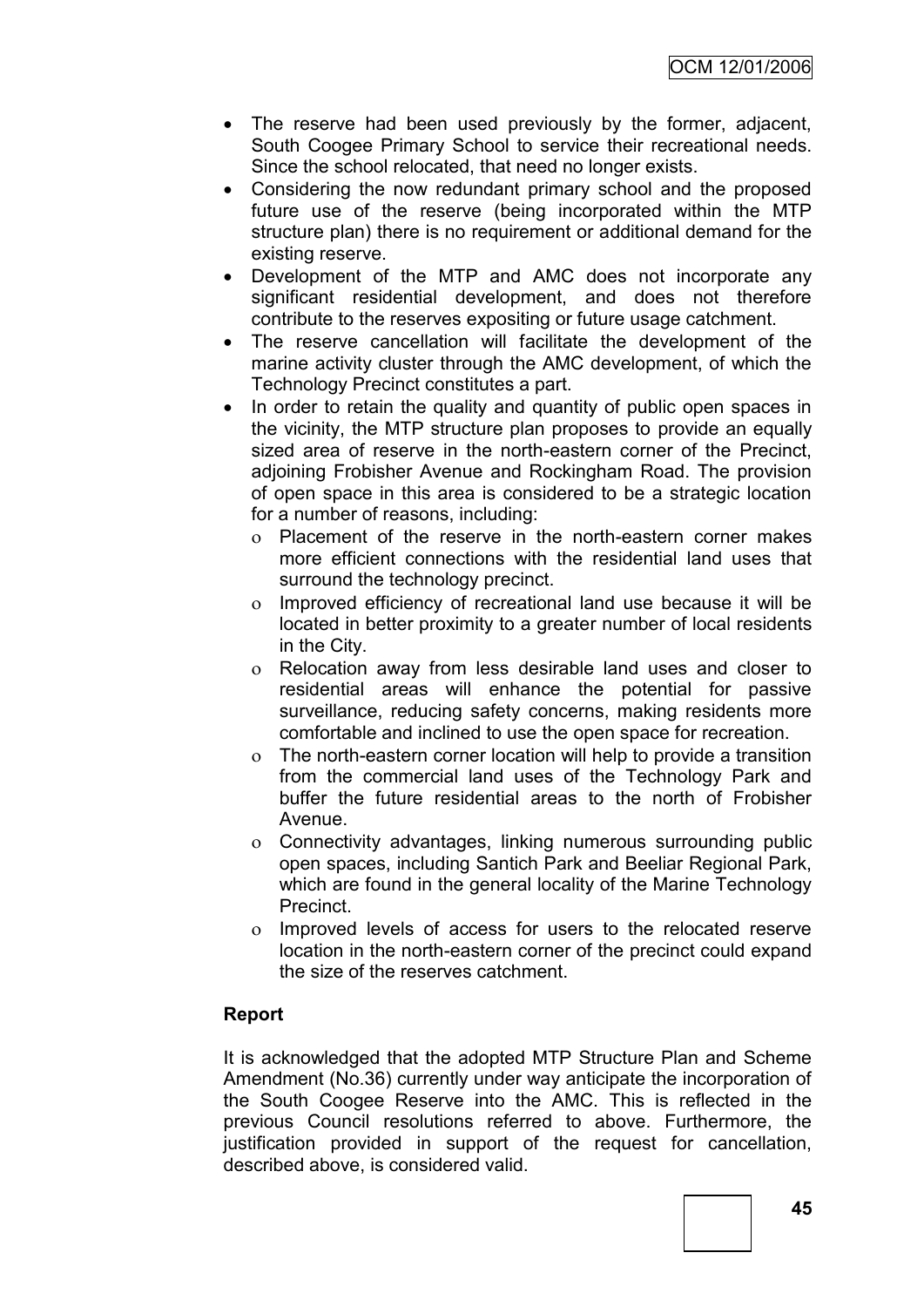- The reserve had been used previously by the former, adjacent, South Coogee Primary School to service their recreational needs. Since the school relocated, that need no longer exists.
- Considering the now redundant primary school and the proposed future use of the reserve (being incorporated within the MTP structure plan) there is no requirement or additional demand for the existing reserve.
- Development of the MTP and AMC does not incorporate any significant residential development, and does not therefore contribute to the reserves expositing or future usage catchment.
- The reserve cancellation will facilitate the development of the marine activity cluster through the AMC development, of which the Technology Precinct constitutes a part.
- In order to retain the quality and quantity of public open spaces in the vicinity, the MTP structure plan proposes to provide an equally sized area of reserve in the north-eastern corner of the Precinct, adjoining Frobisher Avenue and Rockingham Road. The provision of open space in this area is considered to be a strategic location for a number of reasons, including:
	- Placement of the reserve in the north-eastern corner makes more efficient connections with the residential land uses that surround the technology precinct.
	- Improved efficiency of recreational land use because it will be located in better proximity to a greater number of local residents in the City.
	- Relocation away from less desirable land uses and closer to residential areas will enhance the potential for passive surveillance, reducing safety concerns, making residents more comfortable and inclined to use the open space for recreation.
	- The north-eastern corner location will help to provide a transition from the commercial land uses of the Technology Park and buffer the future residential areas to the north of Frobisher Avenue.
	- Connectivity advantages, linking numerous surrounding public open spaces, including Santich Park and Beeliar Regional Park, which are found in the general locality of the Marine Technology Precinct.
	- Improved levels of access for users to the relocated reserve location in the north-eastern corner of the precinct could expand the size of the reserves catchment.

## **Report**

It is acknowledged that the adopted MTP Structure Plan and Scheme Amendment (No.36) currently under way anticipate the incorporation of the South Coogee Reserve into the AMC. This is reflected in the previous Council resolutions referred to above. Furthermore, the justification provided in support of the request for cancellation, described above, is considered valid.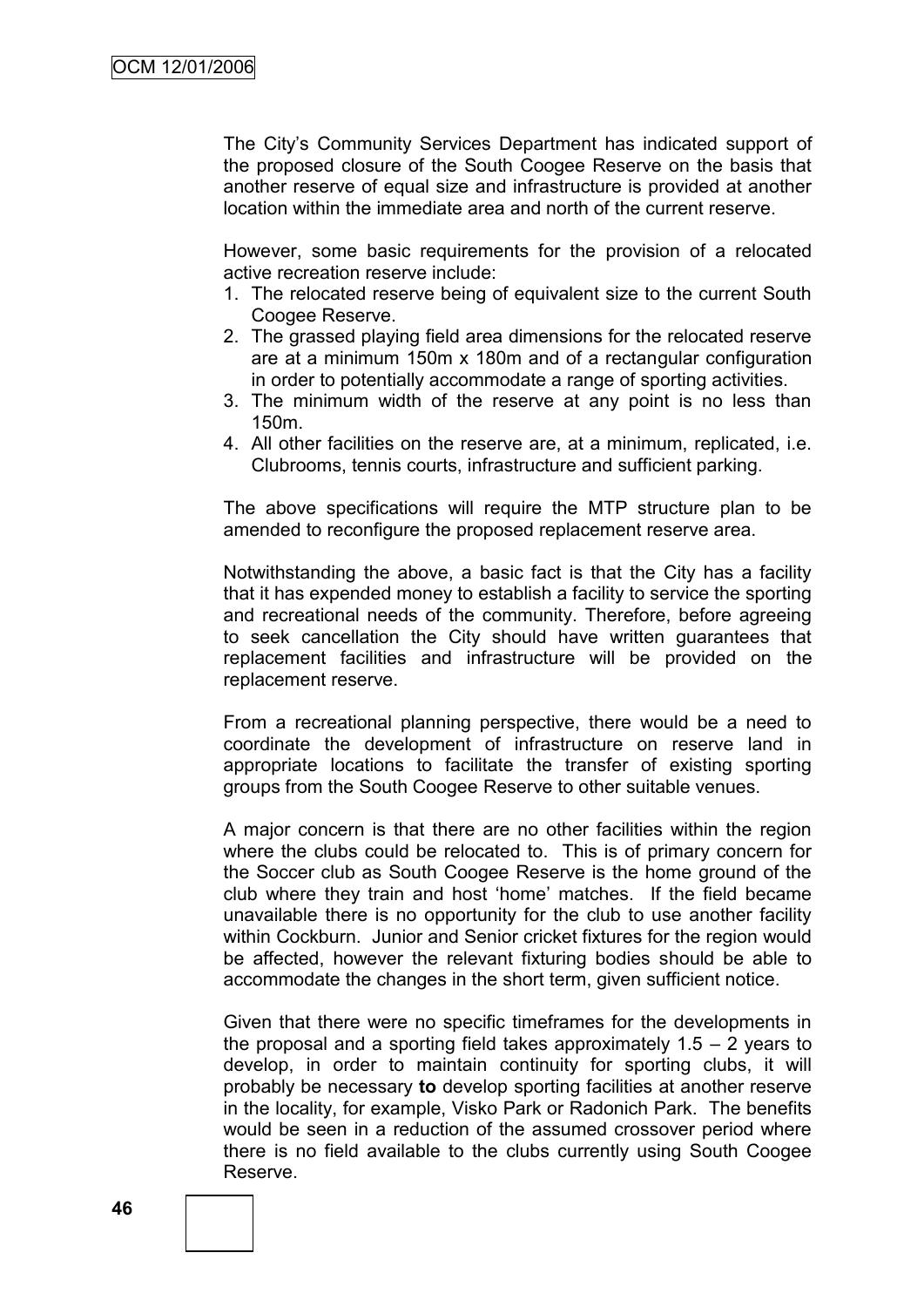The City"s Community Services Department has indicated support of the proposed closure of the South Coogee Reserve on the basis that another reserve of equal size and infrastructure is provided at another location within the immediate area and north of the current reserve.

However, some basic requirements for the provision of a relocated active recreation reserve include:

- 1. The relocated reserve being of equivalent size to the current South Coogee Reserve.
- 2. The grassed playing field area dimensions for the relocated reserve are at a minimum 150m x 180m and of a rectangular configuration in order to potentially accommodate a range of sporting activities.
- 3. The minimum width of the reserve at any point is no less than 150m.
- 4. All other facilities on the reserve are, at a minimum, replicated, i.e. Clubrooms, tennis courts, infrastructure and sufficient parking.

The above specifications will require the MTP structure plan to be amended to reconfigure the proposed replacement reserve area.

Notwithstanding the above, a basic fact is that the City has a facility that it has expended money to establish a facility to service the sporting and recreational needs of the community. Therefore, before agreeing to seek cancellation the City should have written guarantees that replacement facilities and infrastructure will be provided on the replacement reserve.

From a recreational planning perspective, there would be a need to coordinate the development of infrastructure on reserve land in appropriate locations to facilitate the transfer of existing sporting groups from the South Coogee Reserve to other suitable venues.

A major concern is that there are no other facilities within the region where the clubs could be relocated to. This is of primary concern for the Soccer club as South Coogee Reserve is the home ground of the club where they train and host "home" matches. If the field became unavailable there is no opportunity for the club to use another facility within Cockburn. Junior and Senior cricket fixtures for the region would be affected, however the relevant fixturing bodies should be able to accommodate the changes in the short term, given sufficient notice.

Given that there were no specific timeframes for the developments in the proposal and a sporting field takes approximately  $1.5 - 2$  years to develop, in order to maintain continuity for sporting clubs, it will probably be necessary **to** develop sporting facilities at another reserve in the locality, for example, Visko Park or Radonich Park. The benefits would be seen in a reduction of the assumed crossover period where there is no field available to the clubs currently using South Coogee Reserve.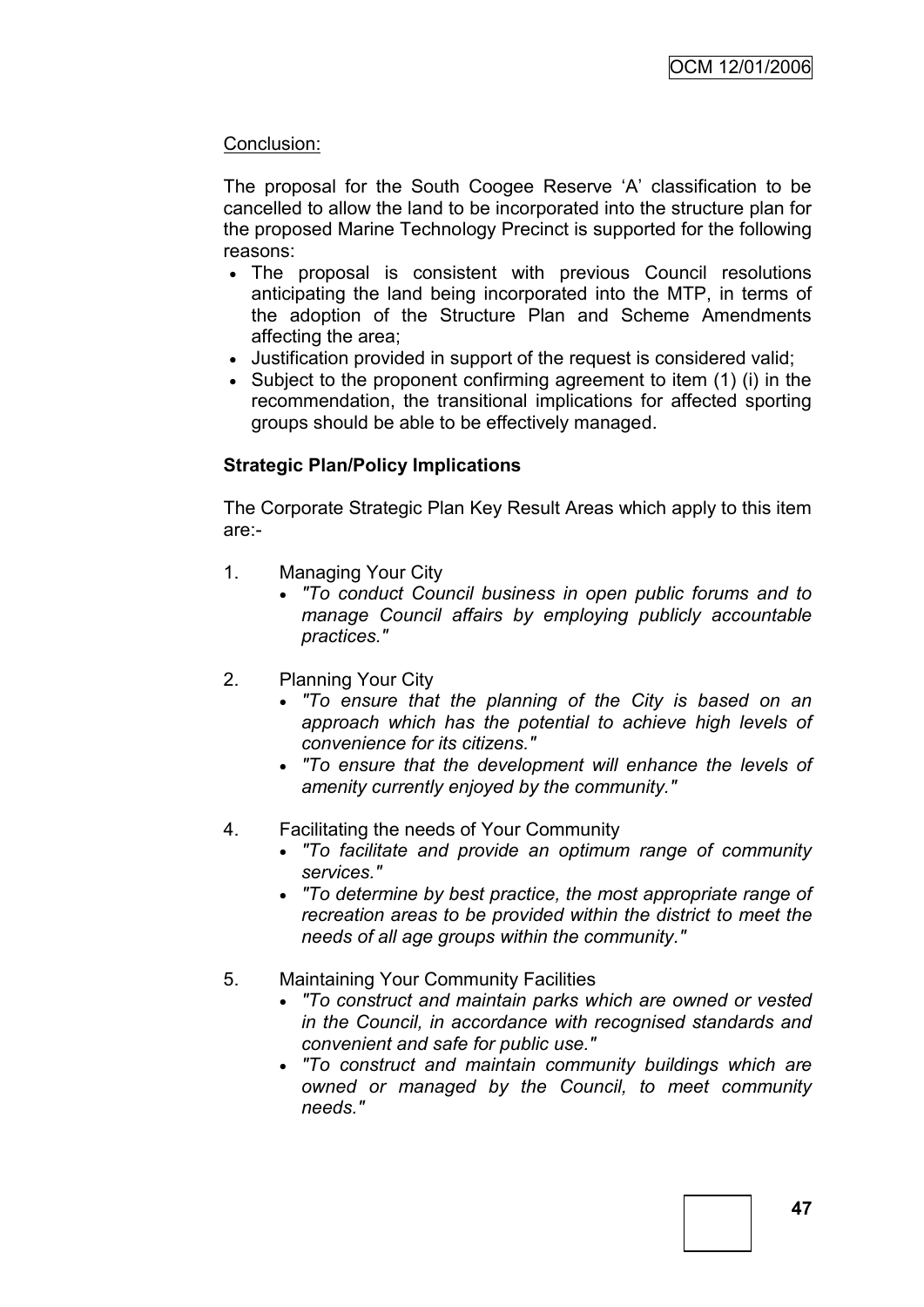## Conclusion:

The proposal for the South Coogee Reserve "A" classification to be cancelled to allow the land to be incorporated into the structure plan for the proposed Marine Technology Precinct is supported for the following reasons:

- The proposal is consistent with previous Council resolutions anticipating the land being incorporated into the MTP, in terms of the adoption of the Structure Plan and Scheme Amendments affecting the area;
- Justification provided in support of the request is considered valid;
- Subject to the proponent confirming agreement to item (1) (i) in the recommendation, the transitional implications for affected sporting groups should be able to be effectively managed.

## **Strategic Plan/Policy Implications**

The Corporate Strategic Plan Key Result Areas which apply to this item are:-

- 1. Managing Your City
	- *"To conduct Council business in open public forums and to manage Council affairs by employing publicly accountable practices."*
- 2. Planning Your City
	- *"To ensure that the planning of the City is based on an approach which has the potential to achieve high levels of convenience for its citizens."*
	- *"To ensure that the development will enhance the levels of amenity currently enjoyed by the community."*
- 4. Facilitating the needs of Your Community
	- *"To facilitate and provide an optimum range of community services."*
	- *"To determine by best practice, the most appropriate range of recreation areas to be provided within the district to meet the needs of all age groups within the community."*
- 5. Maintaining Your Community Facilities
	- *"To construct and maintain parks which are owned or vested in the Council, in accordance with recognised standards and convenient and safe for public use."*
	- *"To construct and maintain community buildings which are owned or managed by the Council, to meet community needs."*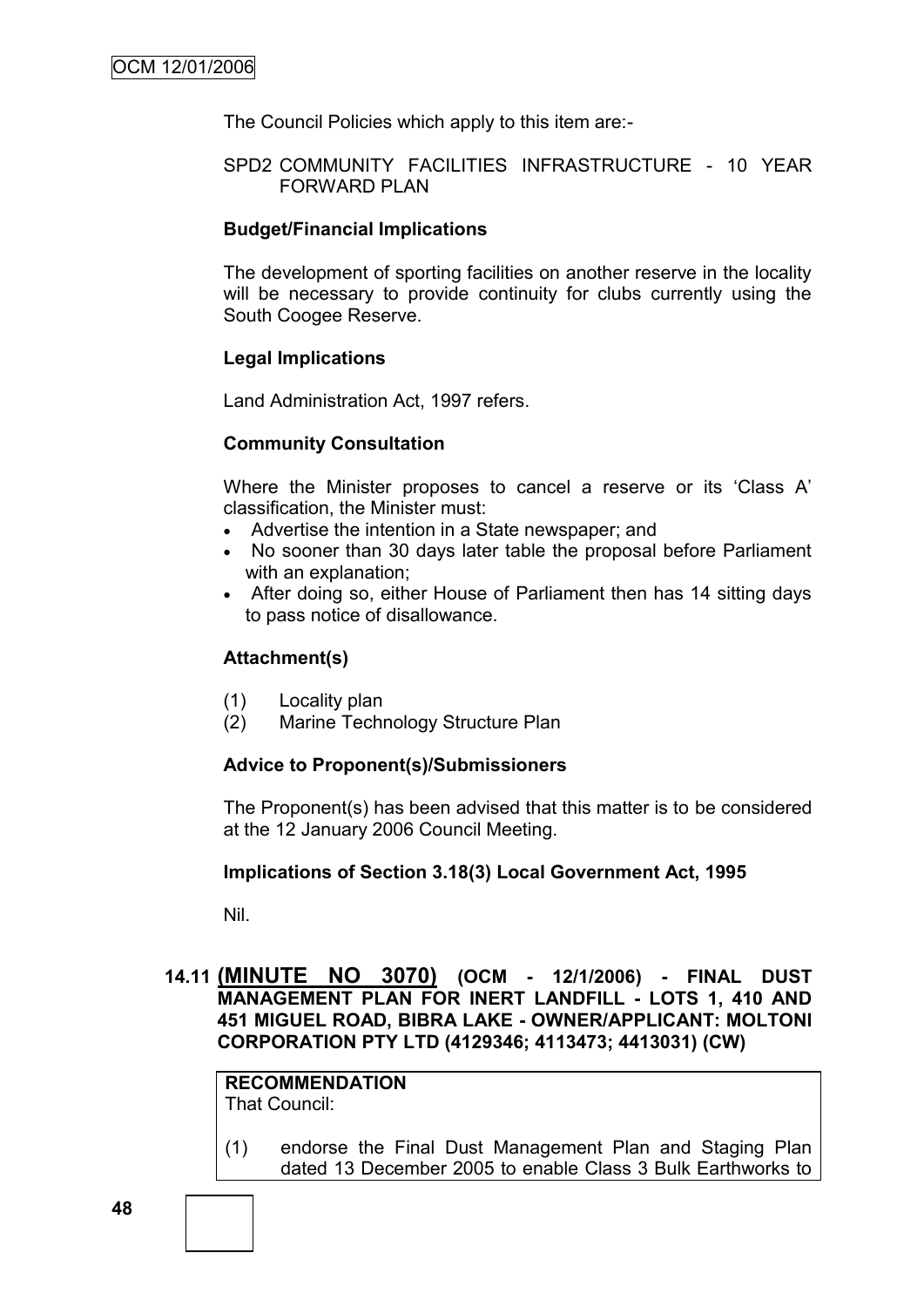The Council Policies which apply to this item are:-

#### SPD2 COMMUNITY FACILITIES INFRASTRUCTURE - 10 YEAR FORWARD PLAN

#### **Budget/Financial Implications**

The development of sporting facilities on another reserve in the locality will be necessary to provide continuity for clubs currently using the South Coogee Reserve.

#### **Legal Implications**

Land Administration Act, 1997 refers.

#### **Community Consultation**

Where the Minister proposes to cancel a reserve or its "Class A" classification, the Minister must:

- Advertise the intention in a State newspaper; and
- No sooner than 30 days later table the proposal before Parliament with an explanation;
- After doing so, either House of Parliament then has 14 sitting days to pass notice of disallowance.

#### **Attachment(s)**

- (1) Locality plan
- (2) Marine Technology Structure Plan

#### **Advice to Proponent(s)/Submissioners**

The Proponent(s) has been advised that this matter is to be considered at the 12 January 2006 Council Meeting.

#### **Implications of Section 3.18(3) Local Government Act, 1995**

Nil.

**14.11 (MINUTE NO 3070) (OCM - 12/1/2006) - FINAL DUST MANAGEMENT PLAN FOR INERT LANDFILL - LOTS 1, 410 AND 451 MIGUEL ROAD, BIBRA LAKE - OWNER/APPLICANT: MOLTONI CORPORATION PTY LTD (4129346; 4113473; 4413031) (CW)**

**RECOMMENDATION** That Council:

(1) endorse the Final Dust Management Plan and Staging Plan dated 13 December 2005 to enable Class 3 Bulk Earthworks to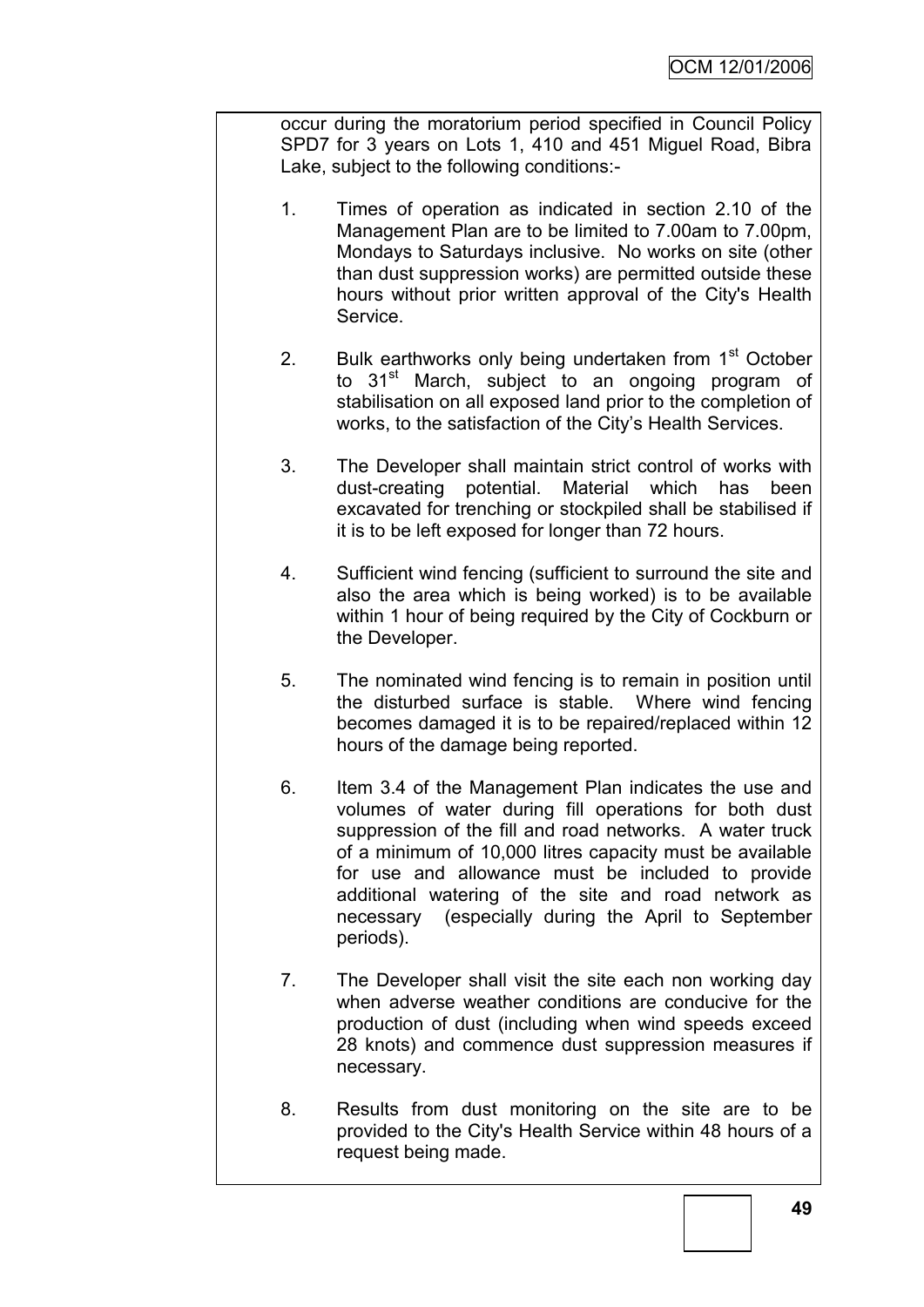occur during the moratorium period specified in Council Policy SPD7 for 3 years on Lots 1, 410 and 451 Miguel Road, Bibra Lake, subject to the following conditions:-

- 1. Times of operation as indicated in section 2.10 of the Management Plan are to be limited to 7.00am to 7.00pm, Mondays to Saturdays inclusive. No works on site (other than dust suppression works) are permitted outside these hours without prior written approval of the City's Health Service.
- 2. Bulk earthworks only being undertaken from  $1<sup>st</sup>$  October to 31<sup>st</sup> March, subject to an ongoing program of stabilisation on all exposed land prior to the completion of works, to the satisfaction of the City"s Health Services.
- 3. The Developer shall maintain strict control of works with dust-creating potential. Material which has been excavated for trenching or stockpiled shall be stabilised if it is to be left exposed for longer than 72 hours.
- 4. Sufficient wind fencing (sufficient to surround the site and also the area which is being worked) is to be available within 1 hour of being required by the City of Cockburn or the Developer.
- 5. The nominated wind fencing is to remain in position until the disturbed surface is stable. Where wind fencing becomes damaged it is to be repaired/replaced within 12 hours of the damage being reported.
- 6. Item 3.4 of the Management Plan indicates the use and volumes of water during fill operations for both dust suppression of the fill and road networks. A water truck of a minimum of 10,000 litres capacity must be available for use and allowance must be included to provide additional watering of the site and road network as necessary (especially during the April to September periods).
- 7. The Developer shall visit the site each non working day when adverse weather conditions are conducive for the production of dust (including when wind speeds exceed 28 knots) and commence dust suppression measures if necessary.
- 8. Results from dust monitoring on the site are to be provided to the City's Health Service within 48 hours of a request being made.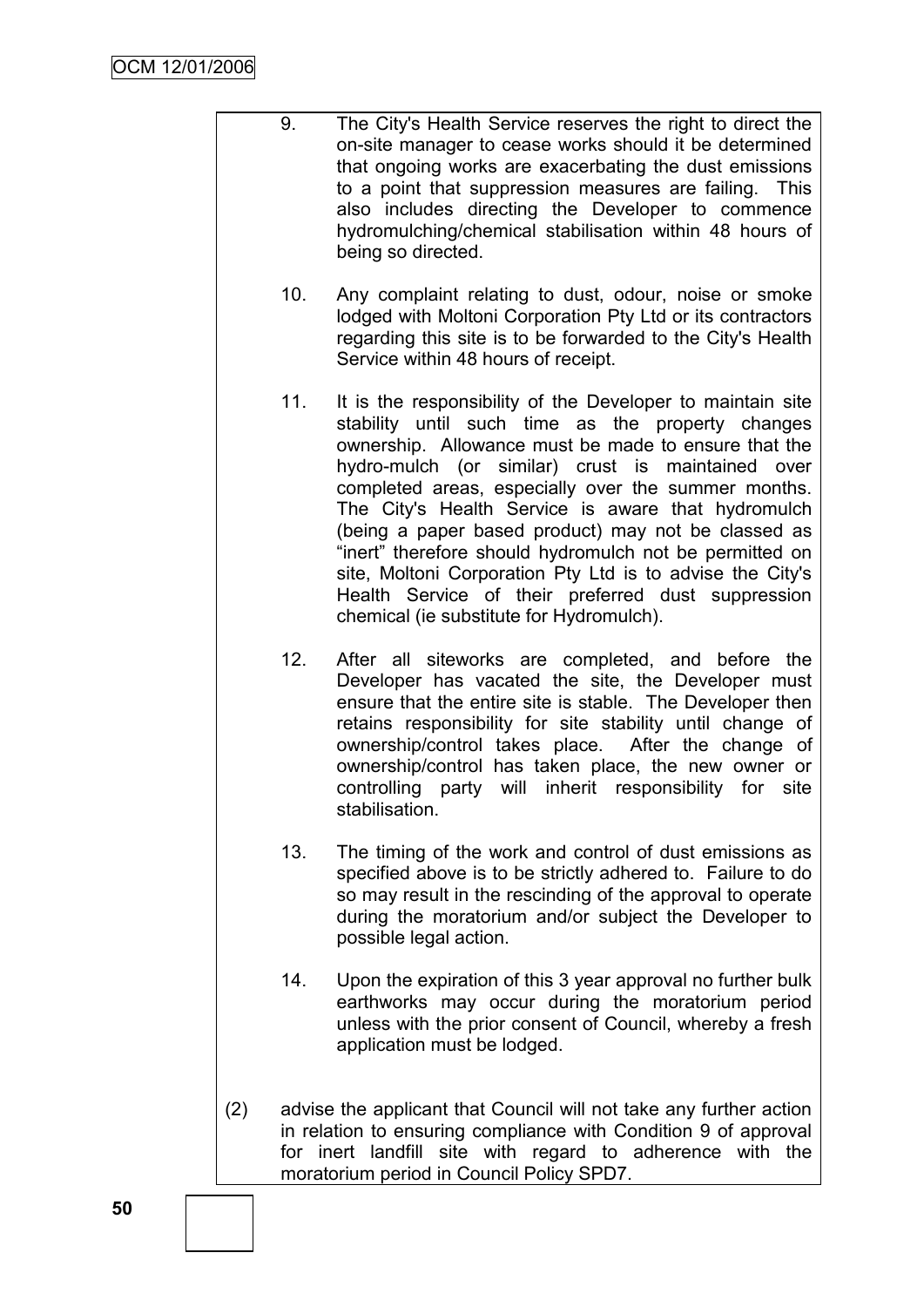- 9. The City's Health Service reserves the right to direct the on-site manager to cease works should it be determined that ongoing works are exacerbating the dust emissions to a point that suppression measures are failing. This also includes directing the Developer to commence hydromulching/chemical stabilisation within 48 hours of being so directed.
	- 10. Any complaint relating to dust, odour, noise or smoke lodged with Moltoni Corporation Pty Ltd or its contractors regarding this site is to be forwarded to the City's Health Service within 48 hours of receipt.
	- 11. It is the responsibility of the Developer to maintain site stability until such time as the property changes ownership. Allowance must be made to ensure that the hydro-mulch (or similar) crust is maintained over completed areas, especially over the summer months. The City's Health Service is aware that hydromulch (being a paper based product) may not be classed as "inert" therefore should hydromulch not be permitted on site, Moltoni Corporation Pty Ltd is to advise the City's Health Service of their preferred dust suppression chemical (ie substitute for Hydromulch).
	- 12. After all siteworks are completed, and before the Developer has vacated the site, the Developer must ensure that the entire site is stable. The Developer then retains responsibility for site stability until change of ownership/control takes place. After the change of ownership/control has taken place, the new owner or controlling party will inherit responsibility for site stabilisation
	- 13. The timing of the work and control of dust emissions as specified above is to be strictly adhered to. Failure to do so may result in the rescinding of the approval to operate during the moratorium and/or subject the Developer to possible legal action.
	- 14. Upon the expiration of this 3 year approval no further bulk earthworks may occur during the moratorium period unless with the prior consent of Council, whereby a fresh application must be lodged.
- (2) advise the applicant that Council will not take any further action in relation to ensuring compliance with Condition 9 of approval for inert landfill site with regard to adherence with the moratorium period in Council Policy SPD7.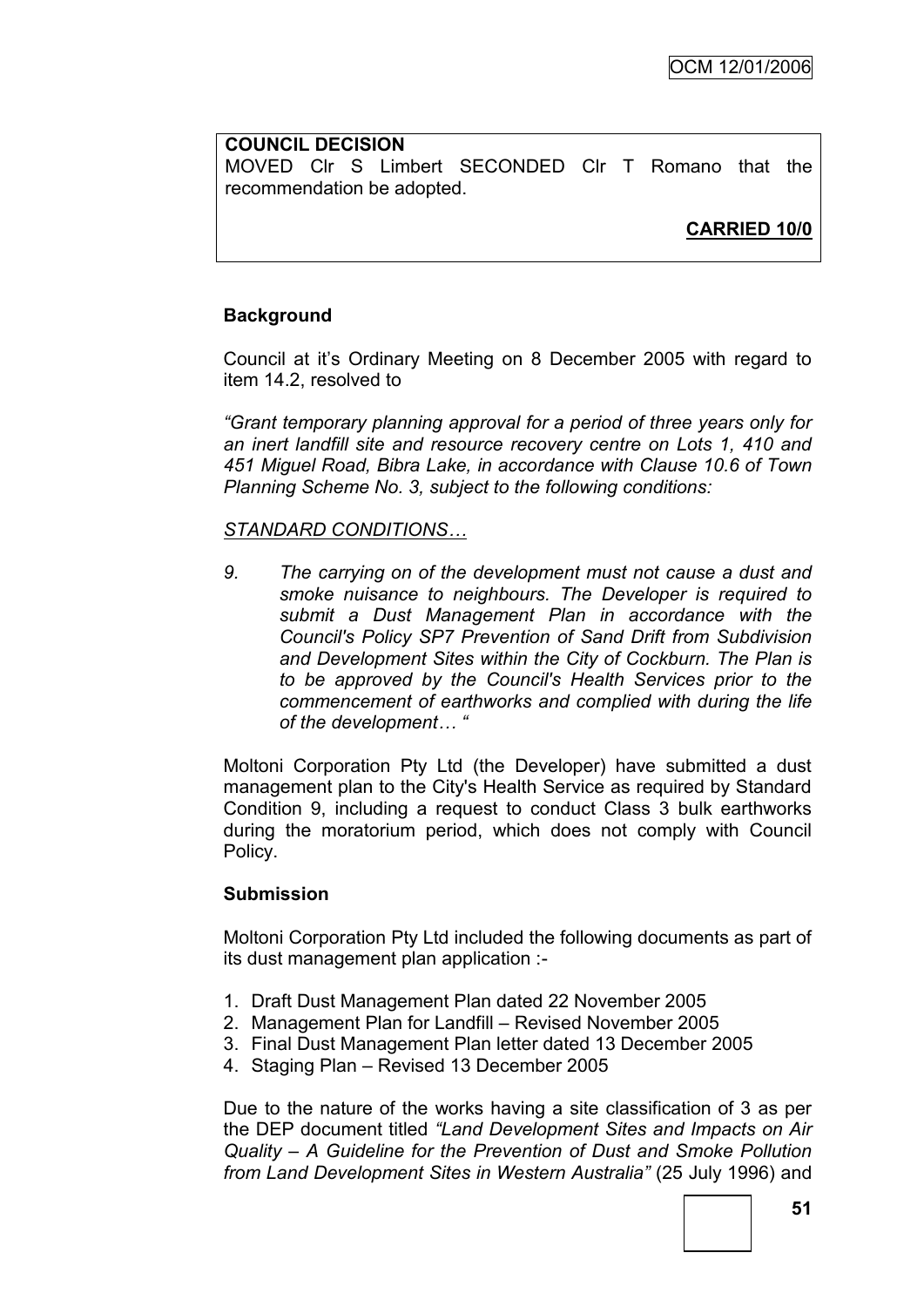#### **COUNCIL DECISION**

MOVED Clr S Limbert SECONDED Clr T Romano that the recommendation be adopted.

**CARRIED 10/0**

### **Background**

Council at it"s Ordinary Meeting on 8 December 2005 with regard to item 14.2, resolved to

*"Grant temporary planning approval for a period of three years only for an inert landfill site and resource recovery centre on Lots 1, 410 and 451 Miguel Road, Bibra Lake, in accordance with Clause 10.6 of Town Planning Scheme No. 3, subject to the following conditions:*

### *STANDARD CONDITIONS…*

*9. The carrying on of the development must not cause a dust and smoke nuisance to neighbours. The Developer is required to submit a Dust Management Plan in accordance with the Council's Policy SP7 Prevention of Sand Drift from Subdivision and Development Sites within the City of Cockburn. The Plan is to be approved by the Council's Health Services prior to the commencement of earthworks and complied with during the life of the development… "*

Moltoni Corporation Pty Ltd (the Developer) have submitted a dust management plan to the City's Health Service as required by Standard Condition 9, including a request to conduct Class 3 bulk earthworks during the moratorium period, which does not comply with Council Policy.

### **Submission**

Moltoni Corporation Pty Ltd included the following documents as part of its dust management plan application :-

- 1. Draft Dust Management Plan dated 22 November 2005
- 2. Management Plan for Landfill Revised November 2005
- 3. Final Dust Management Plan letter dated 13 December 2005
- 4. Staging Plan Revised 13 December 2005

Due to the nature of the works having a site classification of 3 as per the DEP document titled *"Land Development Sites and Impacts on Air Quality – A Guideline for the Prevention of Dust and Smoke Pollution from Land Development Sites in Western Australia"* (25 July 1996) and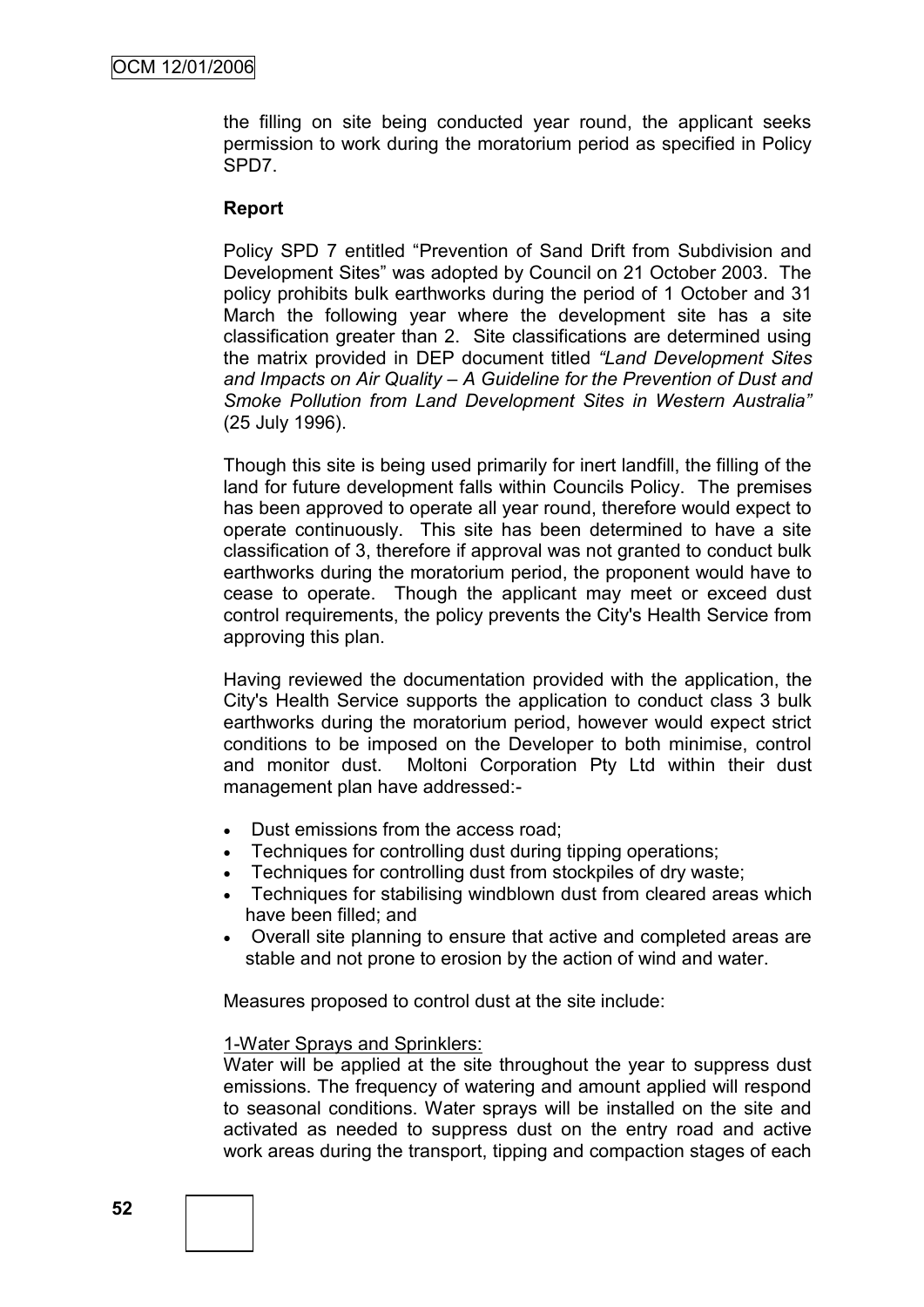the filling on site being conducted year round, the applicant seeks permission to work during the moratorium period as specified in Policy SPD7.

#### **Report**

Policy SPD 7 entitled "Prevention of Sand Drift from Subdivision and Development Sites" was adopted by Council on 21 October 2003. The policy prohibits bulk earthworks during the period of 1 October and 31 March the following year where the development site has a site classification greater than 2. Site classifications are determined using the matrix provided in DEP document titled *"Land Development Sites and Impacts on Air Quality – A Guideline for the Prevention of Dust and Smoke Pollution from Land Development Sites in Western Australia"*  (25 July 1996).

Though this site is being used primarily for inert landfill, the filling of the land for future development falls within Councils Policy. The premises has been approved to operate all year round, therefore would expect to operate continuously. This site has been determined to have a site classification of 3, therefore if approval was not granted to conduct bulk earthworks during the moratorium period, the proponent would have to cease to operate. Though the applicant may meet or exceed dust control requirements, the policy prevents the City's Health Service from approving this plan.

Having reviewed the documentation provided with the application, the City's Health Service supports the application to conduct class 3 bulk earthworks during the moratorium period, however would expect strict conditions to be imposed on the Developer to both minimise, control and monitor dust. Moltoni Corporation Pty Ltd within their dust management plan have addressed:-

- Dust emissions from the access road;
- Techniques for controlling dust during tipping operations;
- Techniques for controlling dust from stockpiles of dry waste;
- Techniques for stabilising windblown dust from cleared areas which have been filled; and
- Overall site planning to ensure that active and completed areas are stable and not prone to erosion by the action of wind and water.

Measures proposed to control dust at the site include:

#### 1-Water Sprays and Sprinklers:

Water will be applied at the site throughout the year to suppress dust emissions. The frequency of watering and amount applied will respond to seasonal conditions. Water sprays will be installed on the site and activated as needed to suppress dust on the entry road and active work areas during the transport, tipping and compaction stages of each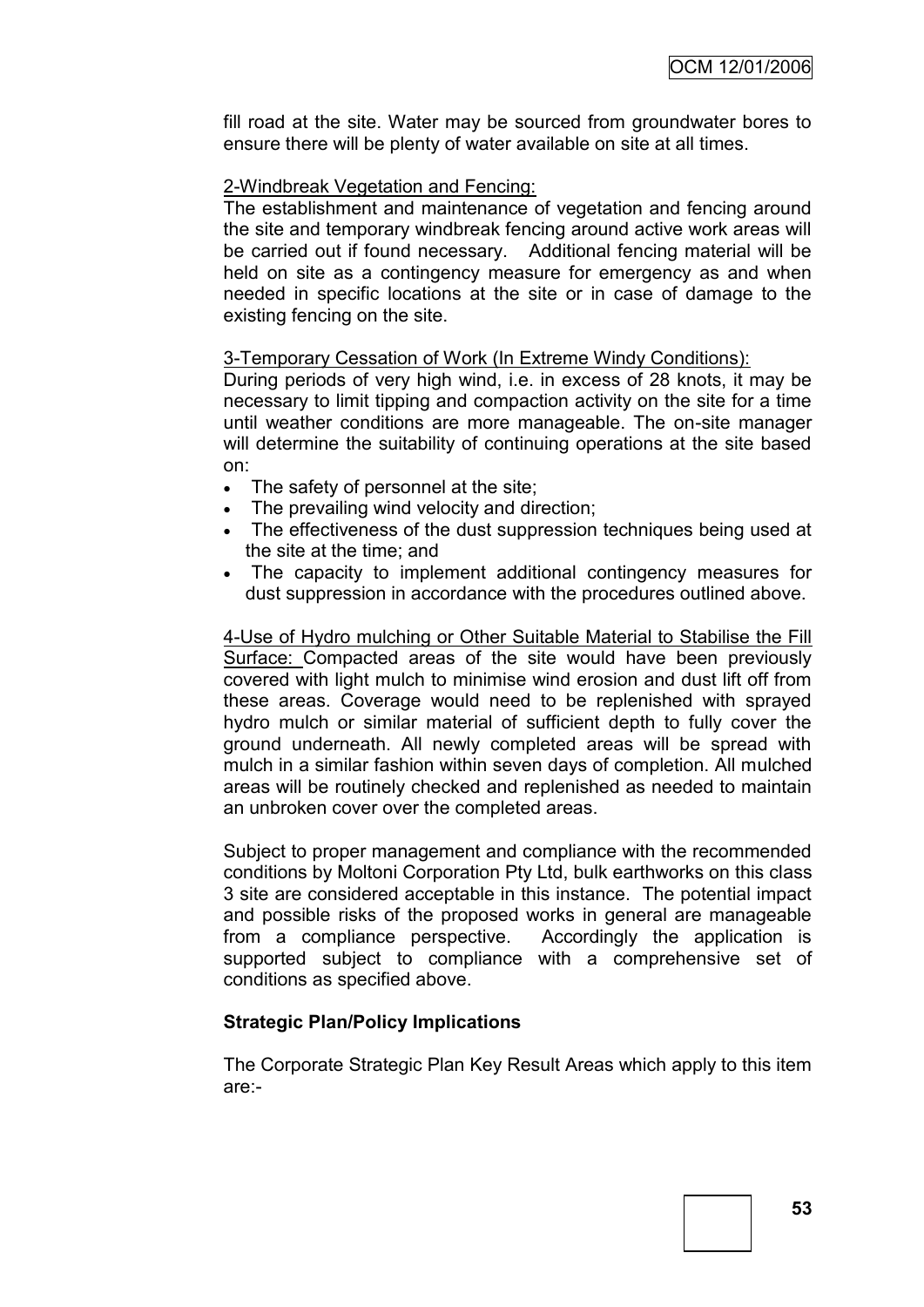fill road at the site. Water may be sourced from groundwater bores to ensure there will be plenty of water available on site at all times.

### 2-Windbreak Vegetation and Fencing:

The establishment and maintenance of vegetation and fencing around the site and temporary windbreak fencing around active work areas will be carried out if found necessary. Additional fencing material will be held on site as a contingency measure for emergency as and when needed in specific locations at the site or in case of damage to the existing fencing on the site.

## 3-Temporary Cessation of Work (In Extreme Windy Conditions):

During periods of very high wind, i.e. in excess of 28 knots, it may be necessary to limit tipping and compaction activity on the site for a time until weather conditions are more manageable. The on-site manager will determine the suitability of continuing operations at the site based on:

- The safety of personnel at the site;
- The prevailing wind velocity and direction;
- The effectiveness of the dust suppression techniques being used at the site at the time; and
- The capacity to implement additional contingency measures for dust suppression in accordance with the procedures outlined above.

4-Use of Hydro mulching or Other Suitable Material to Stabilise the Fill Surface: Compacted areas of the site would have been previously covered with light mulch to minimise wind erosion and dust lift off from these areas. Coverage would need to be replenished with sprayed hydro mulch or similar material of sufficient depth to fully cover the ground underneath. All newly completed areas will be spread with mulch in a similar fashion within seven days of completion. All mulched areas will be routinely checked and replenished as needed to maintain an unbroken cover over the completed areas.

Subject to proper management and compliance with the recommended conditions by Moltoni Corporation Pty Ltd, bulk earthworks on this class 3 site are considered acceptable in this instance. The potential impact and possible risks of the proposed works in general are manageable from a compliance perspective. Accordingly the application is supported subject to compliance with a comprehensive set of conditions as specified above.

### **Strategic Plan/Policy Implications**

The Corporate Strategic Plan Key Result Areas which apply to this item are:-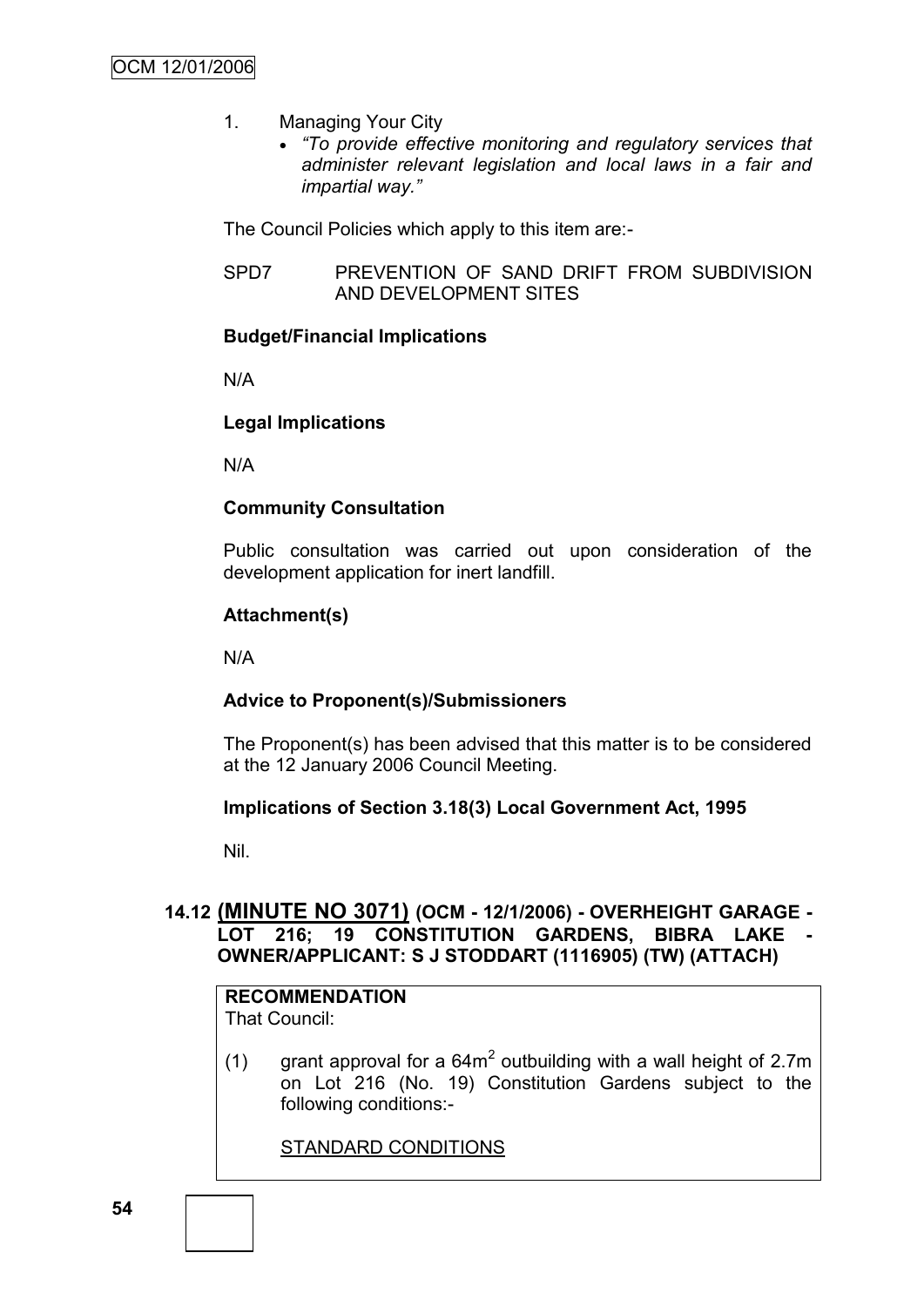- 1. Managing Your City
	- *"To provide effective monitoring and regulatory services that administer relevant legislation and local laws in a fair and impartial way."*

The Council Policies which apply to this item are:-

SPD7 PREVENTION OF SAND DRIFT FROM SUBDIVISION AND DEVELOPMENT SITES

## **Budget/Financial Implications**

N/A

## **Legal Implications**

N/A

## **Community Consultation**

Public consultation was carried out upon consideration of the development application for inert landfill.

## **Attachment(s)**

N/A

## **Advice to Proponent(s)/Submissioners**

The Proponent(s) has been advised that this matter is to be considered at the 12 January 2006 Council Meeting.

### **Implications of Section 3.18(3) Local Government Act, 1995**

Nil.

## **14.12 (MINUTE NO 3071) (OCM - 12/1/2006) - OVERHEIGHT GARAGE - LOT 216; 19 CONSTITUTION GARDENS, BIBRA LAKE - OWNER/APPLICANT: S J STODDART (1116905) (TW) (ATTACH)**

#### **RECOMMENDATION** That Council:

(1) grant approval for a  $64m^2$  outbuilding with a wall height of 2.7m on Lot 216 (No. 19) Constitution Gardens subject to the following conditions:-

STANDARD CONDITIONS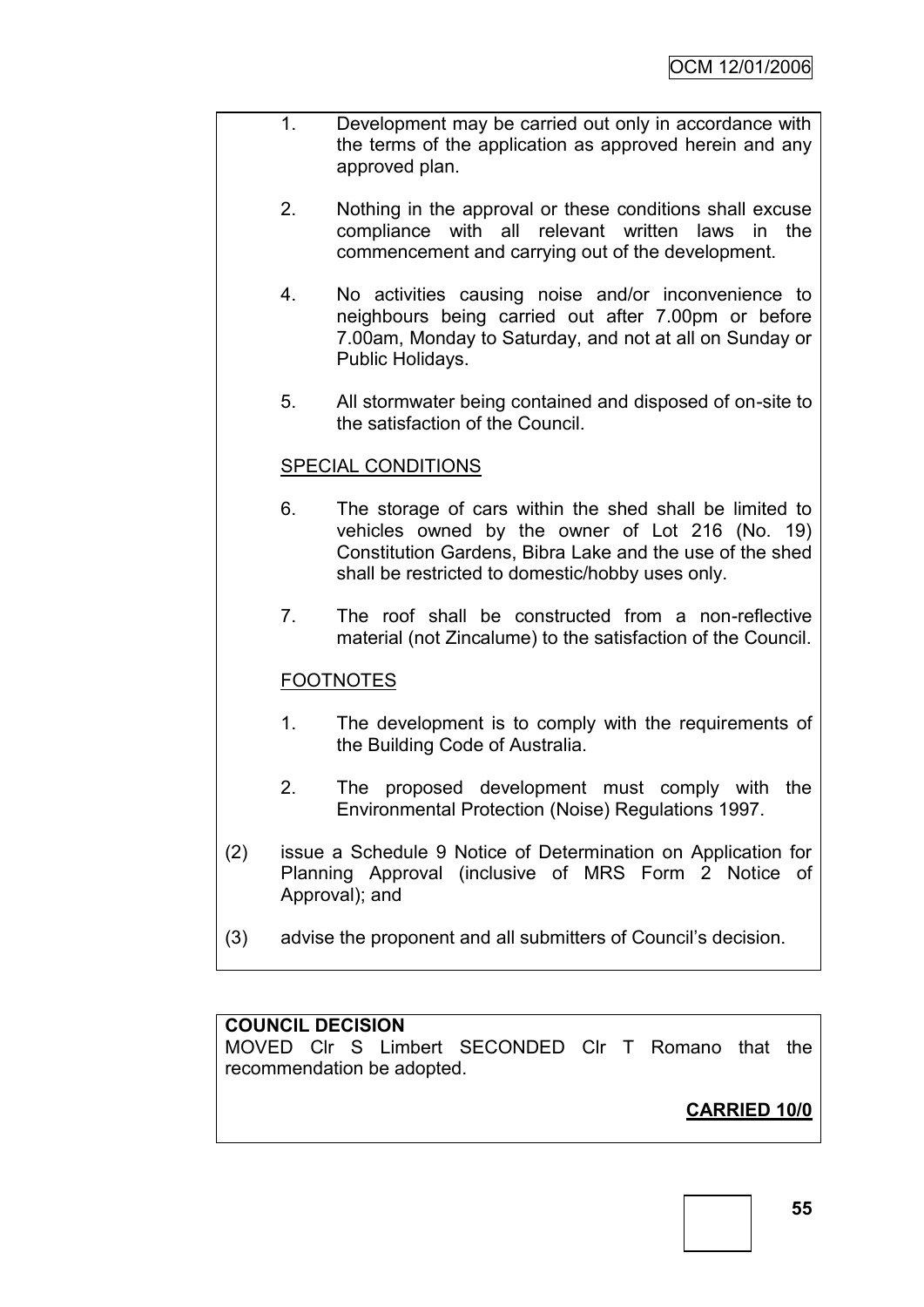- 1. Development may be carried out only in accordance with the terms of the application as approved herein and any approved plan.
	- 2. Nothing in the approval or these conditions shall excuse compliance with all relevant written laws in the commencement and carrying out of the development.
	- 4. No activities causing noise and/or inconvenience to neighbours being carried out after 7.00pm or before 7.00am, Monday to Saturday, and not at all on Sunday or Public Holidays.
	- 5. All stormwater being contained and disposed of on-site to the satisfaction of the Council.

## SPECIAL CONDITIONS

- 6. The storage of cars within the shed shall be limited to vehicles owned by the owner of Lot 216 (No. 19) Constitution Gardens, Bibra Lake and the use of the shed shall be restricted to domestic/hobby uses only.
- 7. The roof shall be constructed from a non-reflective material (not Zincalume) to the satisfaction of the Council.

## FOOTNOTES

- 1. The development is to comply with the requirements of the Building Code of Australia.
- 2. The proposed development must comply with the Environmental Protection (Noise) Regulations 1997.
- (2) issue a Schedule 9 Notice of Determination on Application for Planning Approval (inclusive of MRS Form 2 Notice of Approval); and
- (3) advise the proponent and all submitters of Council"s decision.

### **COUNCIL DECISION**

MOVED Clr S Limbert SECONDED Clr T Romano that the recommendation be adopted.

# **CARRIED 10/0**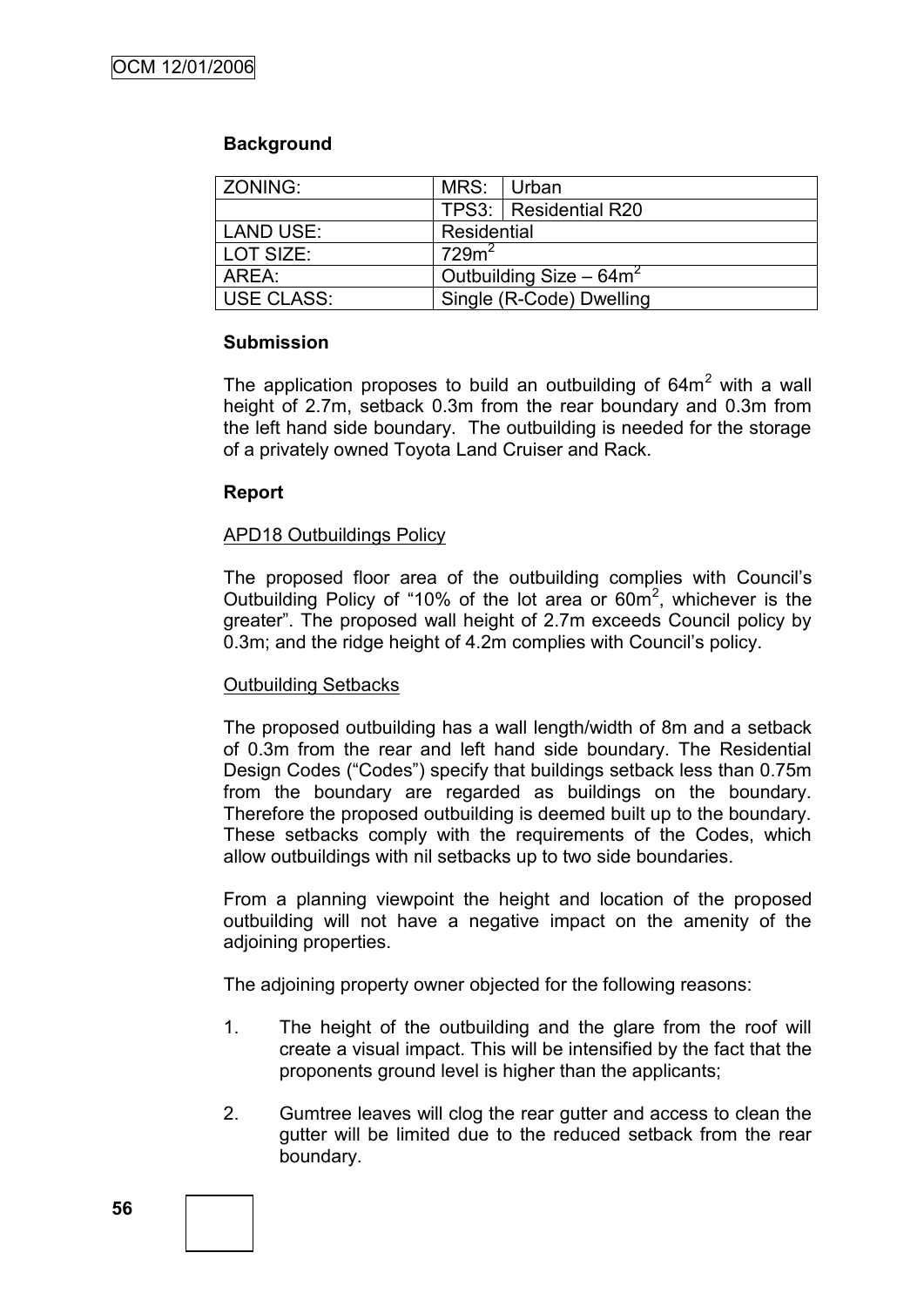### **Background**

| ZONING:    | MRS: Urban                |                         |  |
|------------|---------------------------|-------------------------|--|
|            |                           | TPS3:   Residential R20 |  |
| LAND USE:  | Residential               |                         |  |
| LOT SIZE:  | 729m <sup>2</sup>         |                         |  |
| AREA:      | Outbuilding Size $-64m^2$ |                         |  |
| USE CLASS: | Single (R-Code) Dwelling  |                         |  |

### **Submission**

The application proposes to build an outbuilding of  $64m<sup>2</sup>$  with a wall height of 2.7m, setback 0.3m from the rear boundary and 0.3m from the left hand side boundary. The outbuilding is needed for the storage of a privately owned Toyota Land Cruiser and Rack.

### **Report**

### APD18 Outbuildings Policy

The proposed floor area of the outbuilding complies with Council"s Outbuilding Policy of "10% of the lot area or  $60m^2$ , whichever is the greater". The proposed wall height of 2.7m exceeds Council policy by 0.3m; and the ridge height of 4.2m complies with Council"s policy.

### Outbuilding Setbacks

The proposed outbuilding has a wall length/width of 8m and a setback of 0.3m from the rear and left hand side boundary. The Residential Design Codes ("Codes") specify that buildings setback less than 0.75m from the boundary are regarded as buildings on the boundary. Therefore the proposed outbuilding is deemed built up to the boundary. These setbacks comply with the requirements of the Codes, which allow outbuildings with nil setbacks up to two side boundaries.

From a planning viewpoint the height and location of the proposed outbuilding will not have a negative impact on the amenity of the adjoining properties.

The adjoining property owner objected for the following reasons:

- 1. The height of the outbuilding and the glare from the roof will create a visual impact. This will be intensified by the fact that the proponents ground level is higher than the applicants;
- 2. Gumtree leaves will clog the rear gutter and access to clean the gutter will be limited due to the reduced setback from the rear boundary.

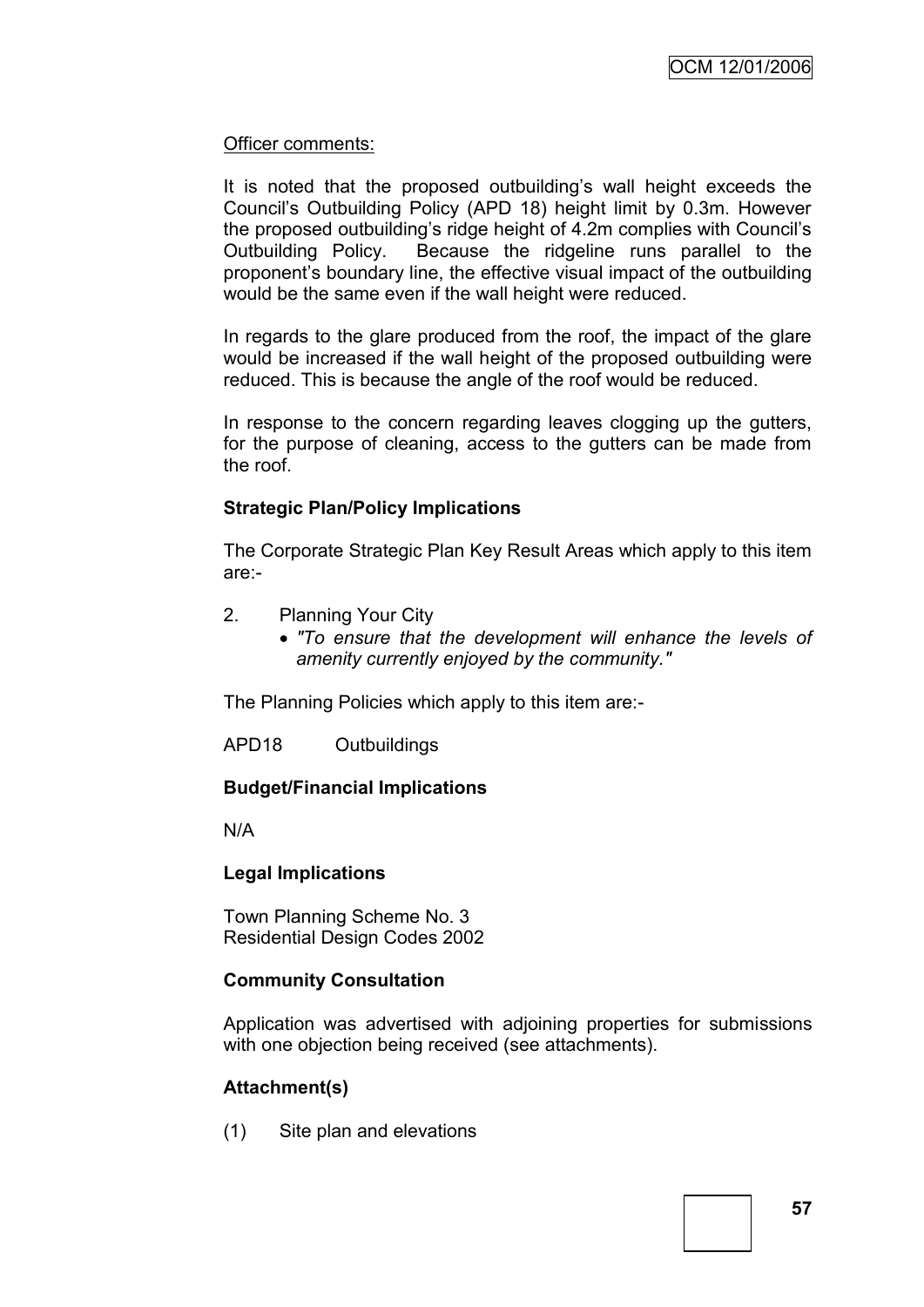### Officer comments:

It is noted that the proposed outbuilding"s wall height exceeds the Council"s Outbuilding Policy (APD 18) height limit by 0.3m. However the proposed outbuilding"s ridge height of 4.2m complies with Council"s Outbuilding Policy. Because the ridgeline runs parallel to the proponent"s boundary line, the effective visual impact of the outbuilding would be the same even if the wall height were reduced.

In regards to the glare produced from the roof, the impact of the glare would be increased if the wall height of the proposed outbuilding were reduced. This is because the angle of the roof would be reduced.

In response to the concern regarding leaves clogging up the gutters, for the purpose of cleaning, access to the gutters can be made from the roof.

### **Strategic Plan/Policy Implications**

The Corporate Strategic Plan Key Result Areas which apply to this item are:-

- 2. Planning Your City
	- *"To ensure that the development will enhance the levels of amenity currently enjoyed by the community."*

The Planning Policies which apply to this item are:-

APD18 Outbuildings

### **Budget/Financial Implications**

N/A

### **Legal Implications**

Town Planning Scheme No. 3 Residential Design Codes 2002

### **Community Consultation**

Application was advertised with adjoining properties for submissions with one objection being received (see attachments).

### **Attachment(s)**

(1) Site plan and elevations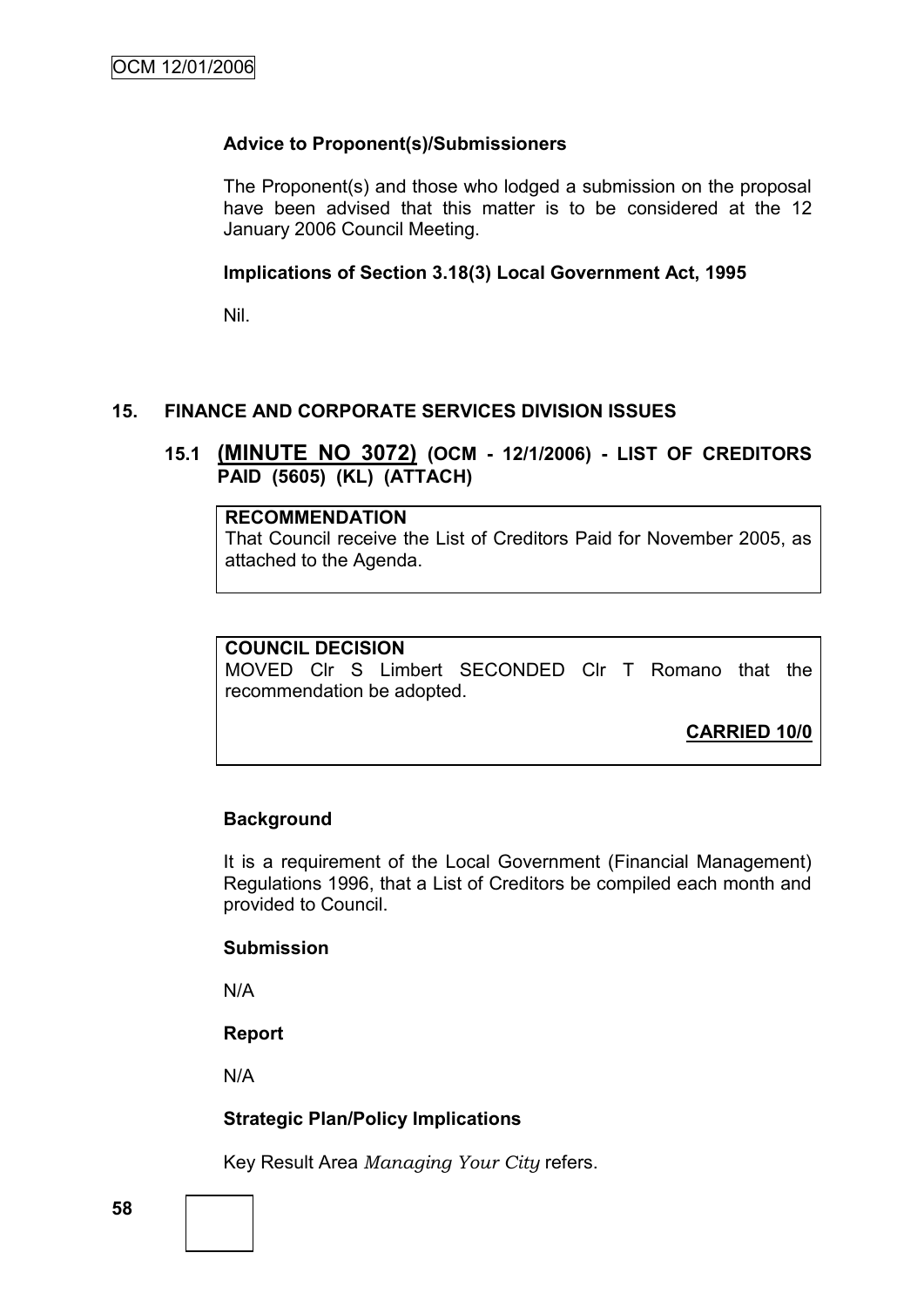## **Advice to Proponent(s)/Submissioners**

The Proponent(s) and those who lodged a submission on the proposal have been advised that this matter is to be considered at the 12 January 2006 Council Meeting.

#### **Implications of Section 3.18(3) Local Government Act, 1995**

Nil.

## **15. FINANCE AND CORPORATE SERVICES DIVISION ISSUES**

## **15.1 (MINUTE NO 3072) (OCM - 12/1/2006) - LIST OF CREDITORS PAID (5605) (KL) (ATTACH)**

#### **RECOMMENDATION**

That Council receive the List of Creditors Paid for November 2005, as attached to the Agenda.

### **COUNCIL DECISION**

MOVED Clr S Limbert SECONDED Clr T Romano that the recommendation be adopted.

**CARRIED 10/0**

### **Background**

It is a requirement of the Local Government (Financial Management) Regulations 1996, that a List of Creditors be compiled each month and provided to Council.

#### **Submission**

N/A

**Report**

N/A

### **Strategic Plan/Policy Implications**

Key Result Area *Managing Your City* refers.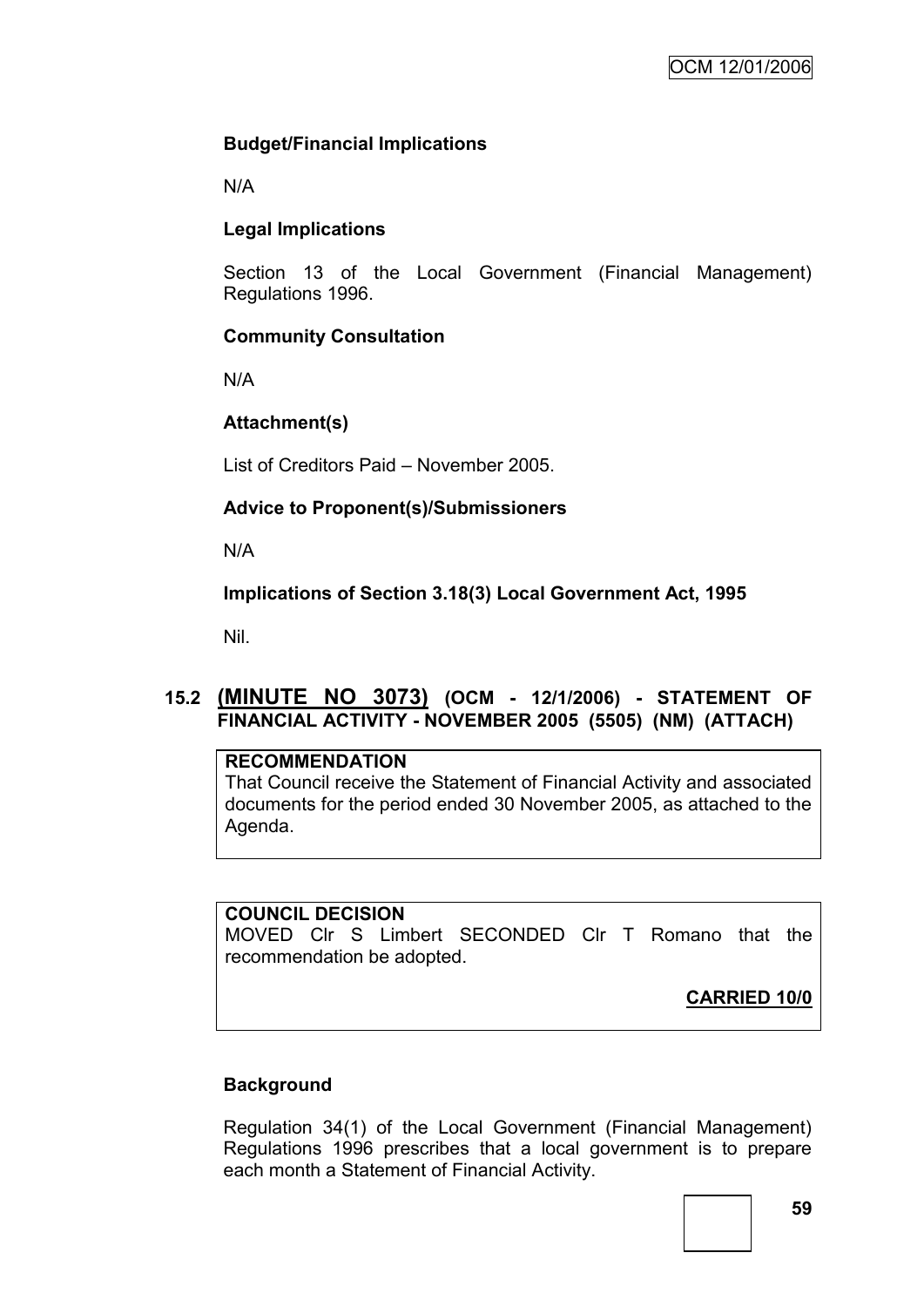## **Budget/Financial Implications**

N/A

# **Legal Implications**

Section 13 of the Local Government (Financial Management) Regulations 1996.

## **Community Consultation**

N/A

# **Attachment(s)**

List of Creditors Paid – November 2005.

# **Advice to Proponent(s)/Submissioners**

N/A

# **Implications of Section 3.18(3) Local Government Act, 1995**

Nil.

# **15.2 (MINUTE NO 3073) (OCM - 12/1/2006) - STATEMENT OF FINANCIAL ACTIVITY - NOVEMBER 2005 (5505) (NM) (ATTACH)**

### **RECOMMENDATION**

That Council receive the Statement of Financial Activity and associated documents for the period ended 30 November 2005, as attached to the Agenda.

## **COUNCIL DECISION**

MOVED Clr S Limbert SECONDED Clr T Romano that the recommendation be adopted.

**CARRIED 10/0**

## **Background**

Regulation 34(1) of the Local Government (Financial Management) Regulations 1996 prescribes that a local government is to prepare each month a Statement of Financial Activity.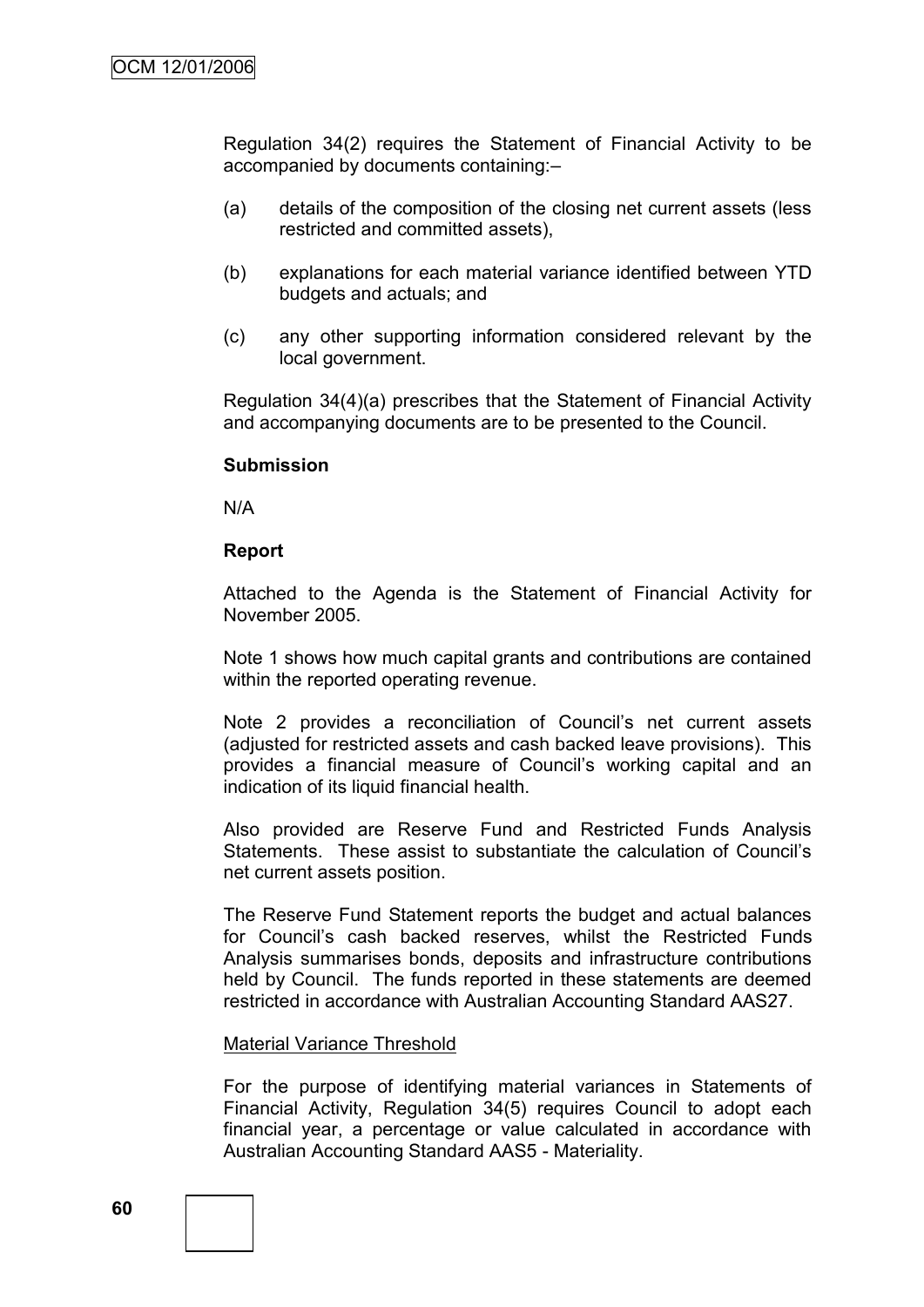Regulation 34(2) requires the Statement of Financial Activity to be accompanied by documents containing:–

- (a) details of the composition of the closing net current assets (less restricted and committed assets),
- (b) explanations for each material variance identified between YTD budgets and actuals; and
- (c) any other supporting information considered relevant by the local government.

Regulation 34(4)(a) prescribes that the Statement of Financial Activity and accompanying documents are to be presented to the Council.

#### **Submission**

N/A

#### **Report**

Attached to the Agenda is the Statement of Financial Activity for November 2005.

Note 1 shows how much capital grants and contributions are contained within the reported operating revenue.

Note 2 provides a reconciliation of Council's net current assets (adjusted for restricted assets and cash backed leave provisions). This provides a financial measure of Council"s working capital and an indication of its liquid financial health.

Also provided are Reserve Fund and Restricted Funds Analysis Statements. These assist to substantiate the calculation of Council"s net current assets position.

The Reserve Fund Statement reports the budget and actual balances for Council"s cash backed reserves, whilst the Restricted Funds Analysis summarises bonds, deposits and infrastructure contributions held by Council. The funds reported in these statements are deemed restricted in accordance with Australian Accounting Standard AAS27.

#### Material Variance Threshold

For the purpose of identifying material variances in Statements of Financial Activity, Regulation 34(5) requires Council to adopt each financial year, a percentage or value calculated in accordance with Australian Accounting Standard AAS5 - Materiality.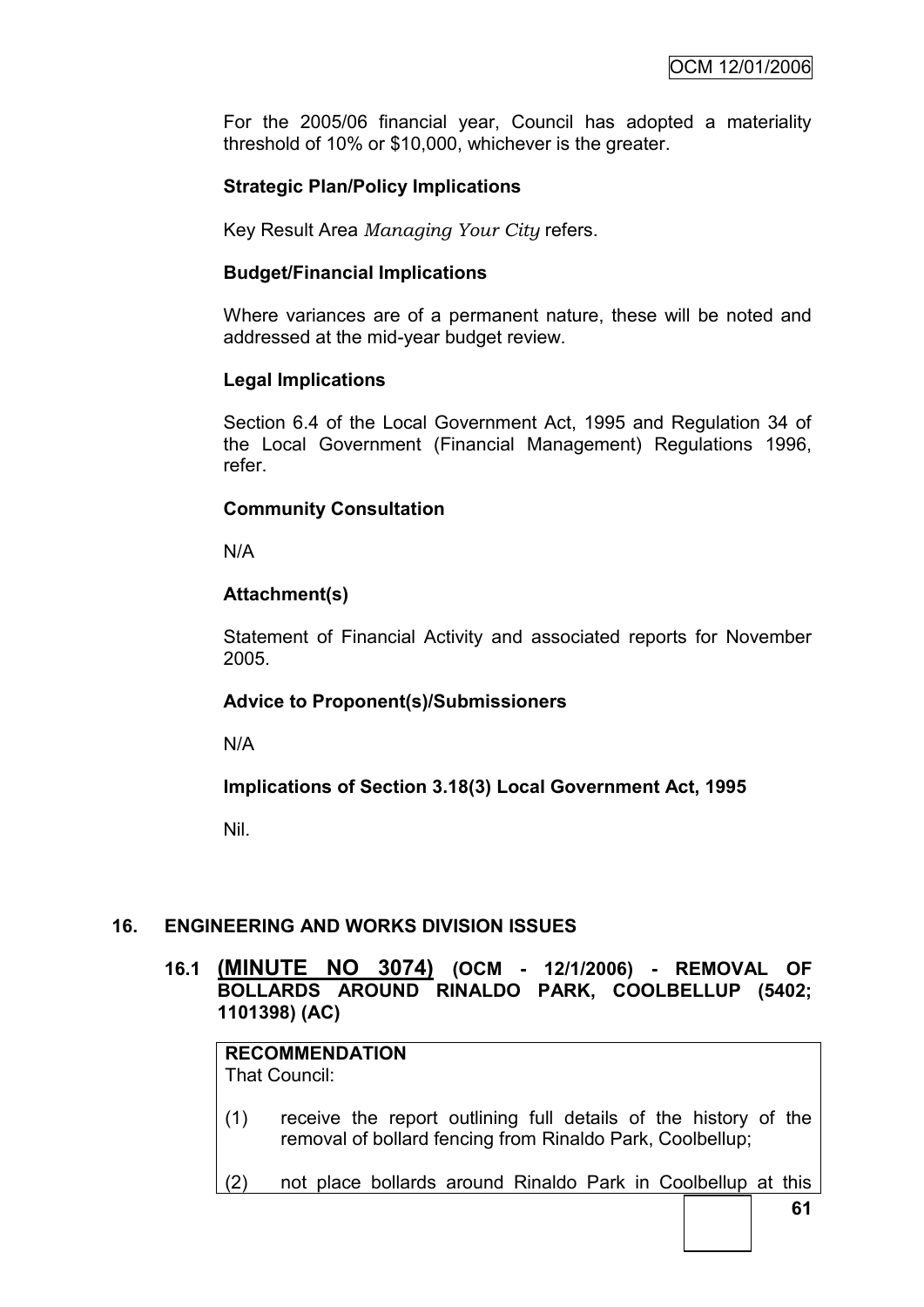For the 2005/06 financial year, Council has adopted a materiality threshold of 10% or \$10,000, whichever is the greater.

## **Strategic Plan/Policy Implications**

Key Result Area *Managing Your City* refers.

#### **Budget/Financial Implications**

Where variances are of a permanent nature, these will be noted and addressed at the mid-year budget review.

#### **Legal Implications**

Section 6.4 of the Local Government Act, 1995 and Regulation 34 of the Local Government (Financial Management) Regulations 1996, refer.

### **Community Consultation**

N/A

### **Attachment(s)**

Statement of Financial Activity and associated reports for November 2005.

### **Advice to Proponent(s)/Submissioners**

N/A

**Implications of Section 3.18(3) Local Government Act, 1995**

Nil.

## **16. ENGINEERING AND WORKS DIVISION ISSUES**

**16.1 (MINUTE NO 3074) (OCM - 12/1/2006) - REMOVAL OF BOLLARDS AROUND RINALDO PARK, COOLBELLUP (5402; 1101398) (AC)**

# **RECOMMENDATION**

That Council:

- (1) receive the report outlining full details of the history of the removal of bollard fencing from Rinaldo Park, Coolbellup;
- (2) not place bollards around Rinaldo Park in Coolbellup at this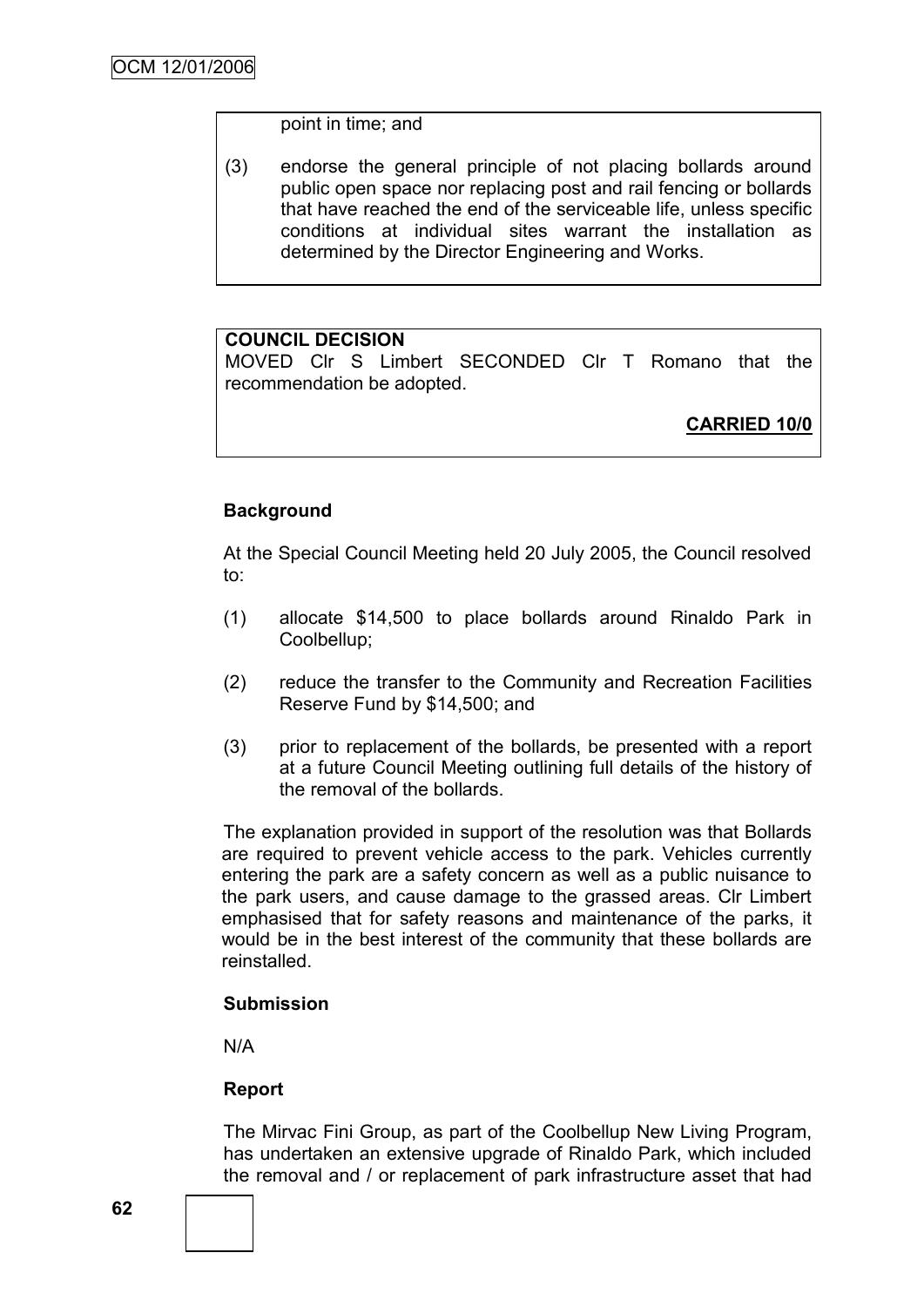#### point in time; and

(3) endorse the general principle of not placing bollards around public open space nor replacing post and rail fencing or bollards that have reached the end of the serviceable life, unless specific conditions at individual sites warrant the installation as determined by the Director Engineering and Works.

### **COUNCIL DECISION**

MOVED Clr S Limbert SECONDED Clr T Romano that the recommendation be adopted.

**CARRIED 10/0**

### **Background**

At the Special Council Meeting held 20 July 2005, the Council resolved to:

- (1) allocate \$14,500 to place bollards around Rinaldo Park in Coolbellup;
- (2) reduce the transfer to the Community and Recreation Facilities Reserve Fund by \$14,500; and
- (3) prior to replacement of the bollards, be presented with a report at a future Council Meeting outlining full details of the history of the removal of the bollards.

The explanation provided in support of the resolution was that Bollards are required to prevent vehicle access to the park. Vehicles currently entering the park are a safety concern as well as a public nuisance to the park users, and cause damage to the grassed areas. Clr Limbert emphasised that for safety reasons and maintenance of the parks, it would be in the best interest of the community that these bollards are reinstalled.

#### **Submission**

N/A

### **Report**

The Mirvac Fini Group, as part of the Coolbellup New Living Program, has undertaken an extensive upgrade of Rinaldo Park, which included the removal and / or replacement of park infrastructure asset that had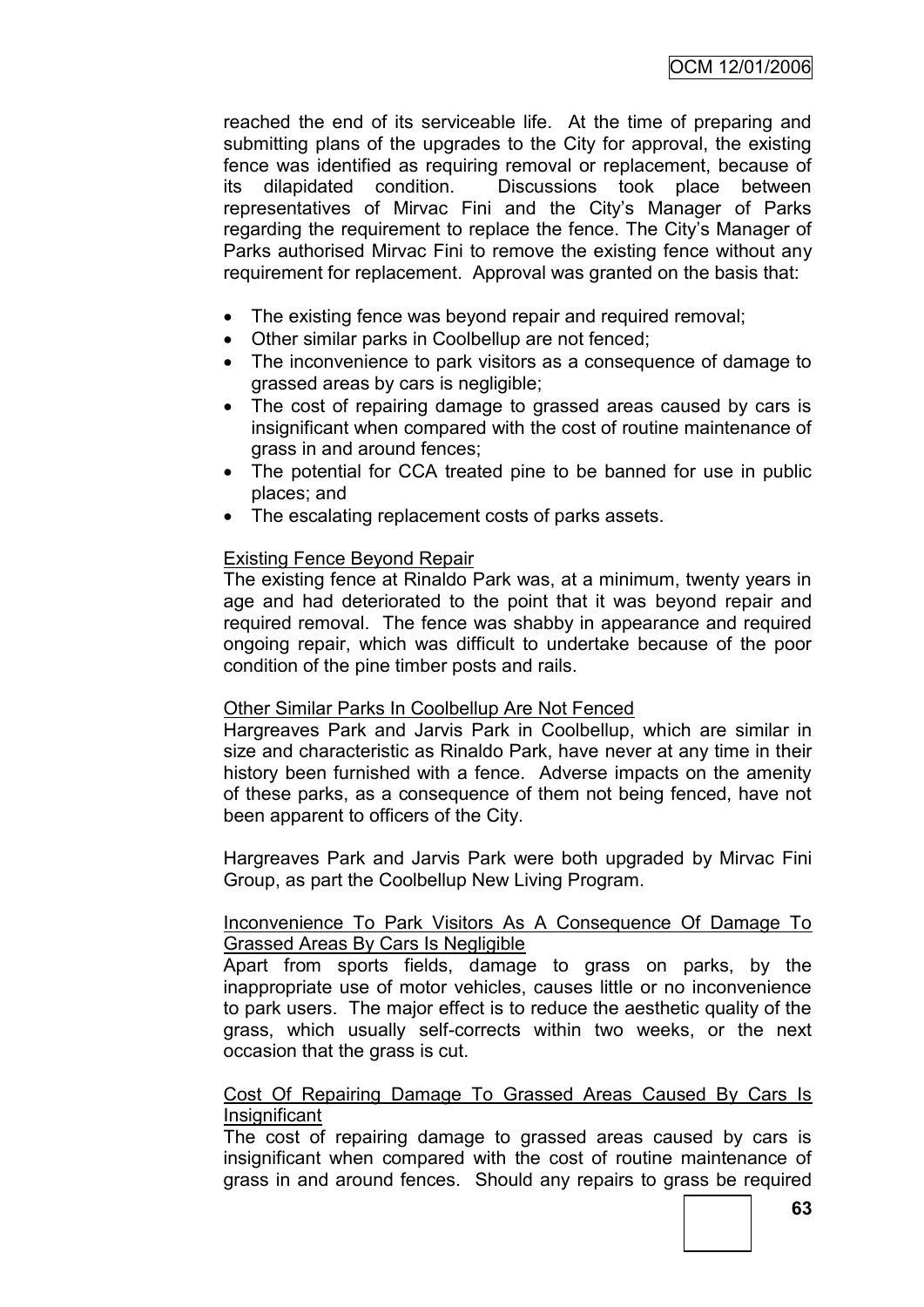reached the end of its serviceable life. At the time of preparing and submitting plans of the upgrades to the City for approval, the existing fence was identified as requiring removal or replacement, because of its dilapidated condition. Discussions took place between representatives of Mirvac Fini and the City"s Manager of Parks regarding the requirement to replace the fence. The City"s Manager of Parks authorised Mirvac Fini to remove the existing fence without any requirement for replacement. Approval was granted on the basis that:

- The existing fence was beyond repair and required removal;
- Other similar parks in Coolbellup are not fenced;
- The inconvenience to park visitors as a consequence of damage to grassed areas by cars is negligible;
- The cost of repairing damage to grassed areas caused by cars is insignificant when compared with the cost of routine maintenance of grass in and around fences;
- The potential for CCA treated pine to be banned for use in public places; and
- The escalating replacement costs of parks assets.

## Existing Fence Beyond Repair

The existing fence at Rinaldo Park was, at a minimum, twenty years in age and had deteriorated to the point that it was beyond repair and required removal. The fence was shabby in appearance and required ongoing repair, which was difficult to undertake because of the poor condition of the pine timber posts and rails.

### Other Similar Parks In Coolbellup Are Not Fenced

Hargreaves Park and Jarvis Park in Coolbellup, which are similar in size and characteristic as Rinaldo Park, have never at any time in their history been furnished with a fence. Adverse impacts on the amenity of these parks, as a consequence of them not being fenced, have not been apparent to officers of the City.

Hargreaves Park and Jarvis Park were both upgraded by Mirvac Fini Group, as part the Coolbellup New Living Program.

### Inconvenience To Park Visitors As A Consequence Of Damage To Grassed Areas By Cars Is Negligible

Apart from sports fields, damage to grass on parks, by the inappropriate use of motor vehicles, causes little or no inconvenience to park users. The major effect is to reduce the aesthetic quality of the grass, which usually self-corrects within two weeks, or the next occasion that the grass is cut.

#### Cost Of Repairing Damage To Grassed Areas Caused By Cars Is **Insignificant**

The cost of repairing damage to grassed areas caused by cars is insignificant when compared with the cost of routine maintenance of grass in and around fences. Should any repairs to grass be required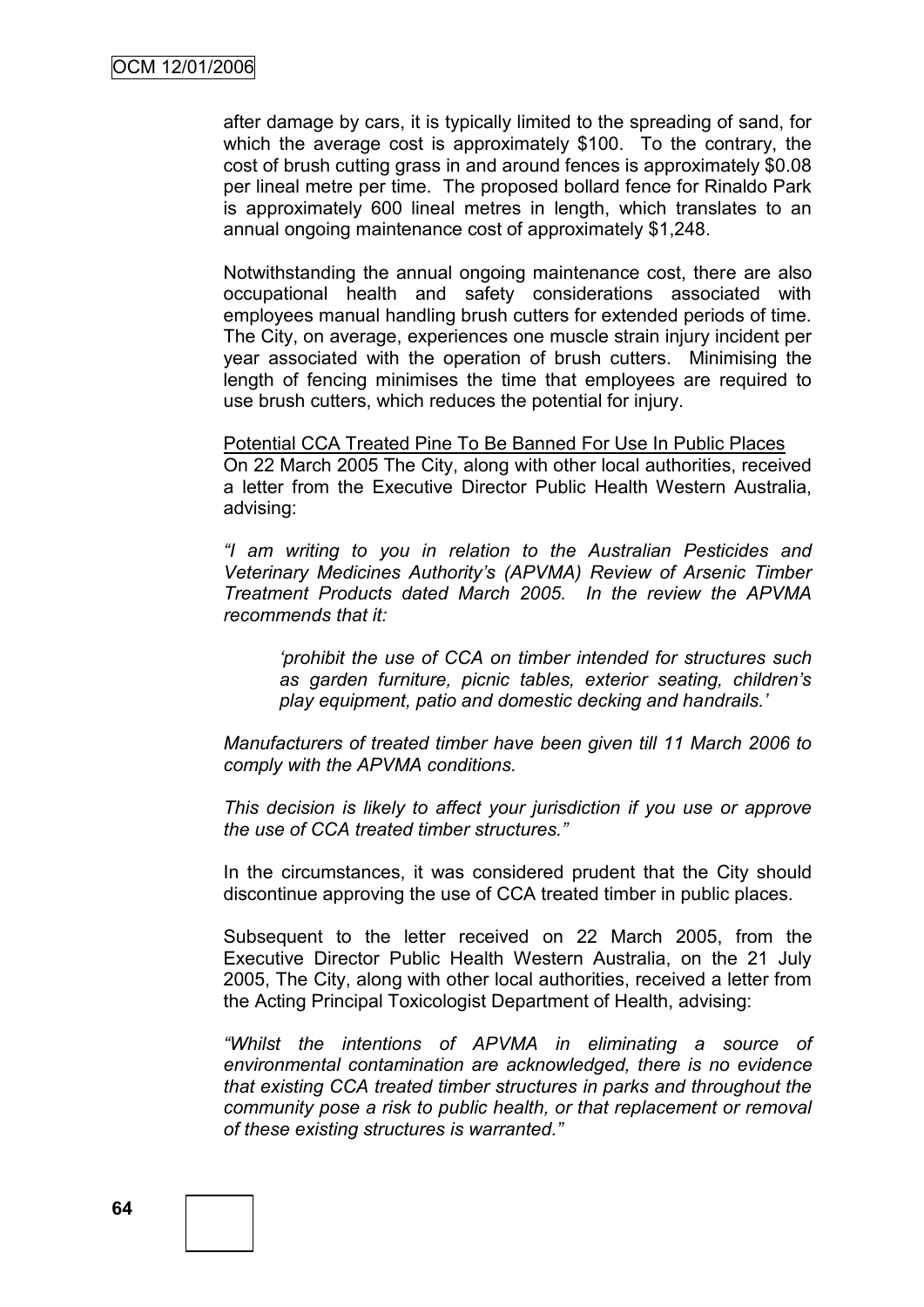after damage by cars, it is typically limited to the spreading of sand, for which the average cost is approximately \$100. To the contrary, the cost of brush cutting grass in and around fences is approximately \$0.08 per lineal metre per time. The proposed bollard fence for Rinaldo Park is approximately 600 lineal metres in length, which translates to an annual ongoing maintenance cost of approximately \$1,248.

Notwithstanding the annual ongoing maintenance cost, there are also occupational health and safety considerations associated with employees manual handling brush cutters for extended periods of time. The City, on average, experiences one muscle strain injury incident per year associated with the operation of brush cutters. Minimising the length of fencing minimises the time that employees are required to use brush cutters, which reduces the potential for injury.

Potential CCA Treated Pine To Be Banned For Use In Public Places On 22 March 2005 The City, along with other local authorities, received a letter from the Executive Director Public Health Western Australia, advising:

*"I am writing to you in relation to the Australian Pesticides and Veterinary Medicines Authority"s (APVMA) Review of Arsenic Timber Treatment Products dated March 2005. In the review the APVMA recommends that it:*

*"prohibit the use of CCA on timber intended for structures such as garden furniture, picnic tables, exterior seating, children"s play equipment, patio and domestic decking and handrails."*

*Manufacturers of treated timber have been given till 11 March 2006 to comply with the APVMA conditions.*

*This decision is likely to affect your jurisdiction if you use or approve the use of CCA treated timber structures."*

In the circumstances, it was considered prudent that the City should discontinue approving the use of CCA treated timber in public places.

Subsequent to the letter received on 22 March 2005, from the Executive Director Public Health Western Australia, on the 21 July 2005, The City, along with other local authorities, received a letter from the Acting Principal Toxicologist Department of Health, advising:

*"Whilst the intentions of APVMA in eliminating a source of environmental contamination are acknowledged, there is no evidence that existing CCA treated timber structures in parks and throughout the community pose a risk to public health, or that replacement or removal of these existing structures is warranted."*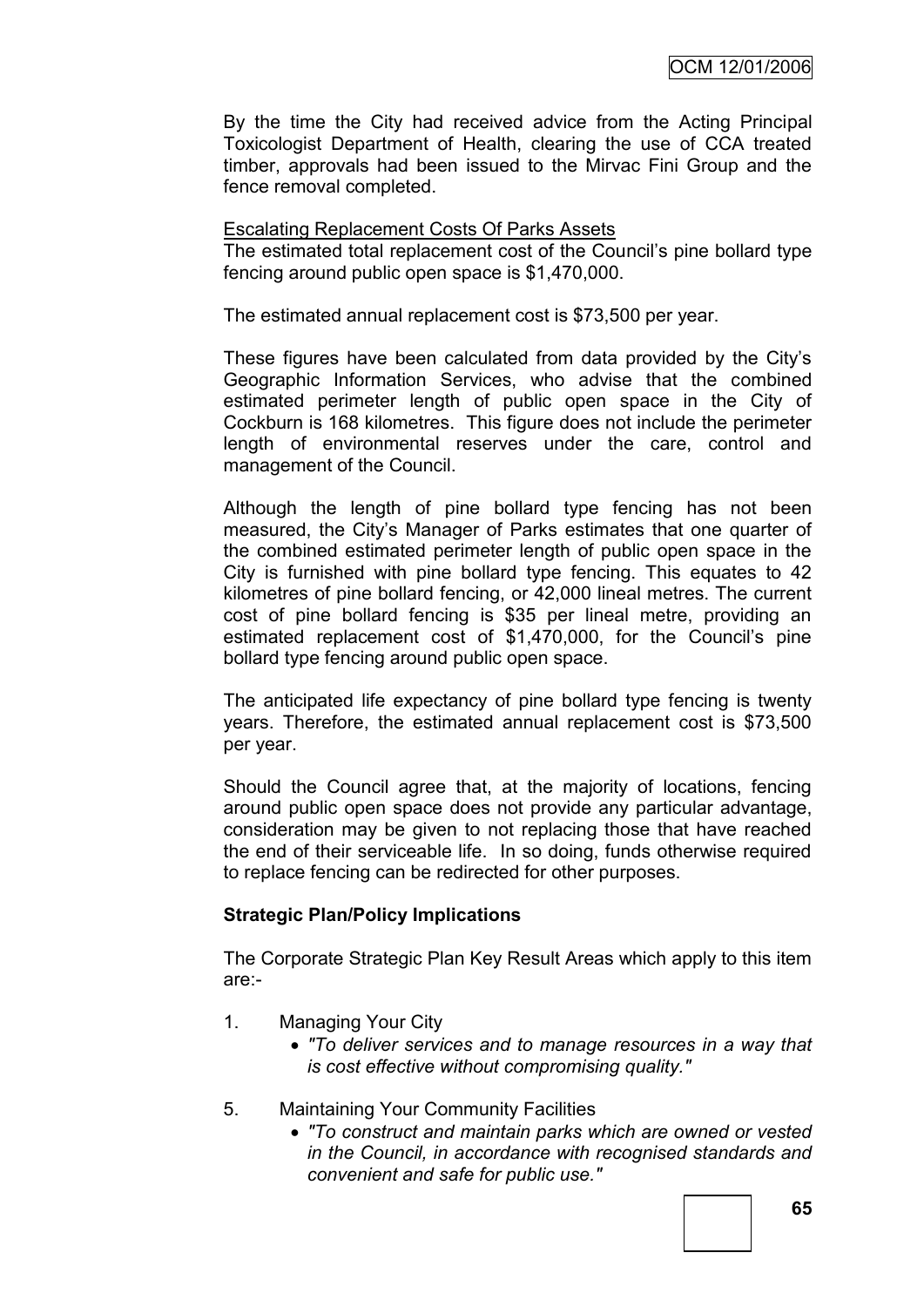By the time the City had received advice from the Acting Principal Toxicologist Department of Health, clearing the use of CCA treated timber, approvals had been issued to the Mirvac Fini Group and the fence removal completed.

#### Escalating Replacement Costs Of Parks Assets

The estimated total replacement cost of the Council"s pine bollard type fencing around public open space is \$1,470,000.

The estimated annual replacement cost is \$73,500 per year.

These figures have been calculated from data provided by the City"s Geographic Information Services, who advise that the combined estimated perimeter length of public open space in the City of Cockburn is 168 kilometres. This figure does not include the perimeter length of environmental reserves under the care, control and management of the Council.

Although the length of pine bollard type fencing has not been measured, the City"s Manager of Parks estimates that one quarter of the combined estimated perimeter length of public open space in the City is furnished with pine bollard type fencing. This equates to 42 kilometres of pine bollard fencing, or 42,000 lineal metres. The current cost of pine bollard fencing is \$35 per lineal metre, providing an estimated replacement cost of \$1,470,000, for the Council's pine bollard type fencing around public open space.

The anticipated life expectancy of pine bollard type fencing is twenty years. Therefore, the estimated annual replacement cost is \$73,500 per year.

Should the Council agree that, at the majority of locations, fencing around public open space does not provide any particular advantage, consideration may be given to not replacing those that have reached the end of their serviceable life. In so doing, funds otherwise required to replace fencing can be redirected for other purposes.

### **Strategic Plan/Policy Implications**

The Corporate Strategic Plan Key Result Areas which apply to this item are:-

- 1. Managing Your City
	- *"To deliver services and to manage resources in a way that is cost effective without compromising quality."*
- 5. Maintaining Your Community Facilities
	- *"To construct and maintain parks which are owned or vested in the Council, in accordance with recognised standards and convenient and safe for public use."*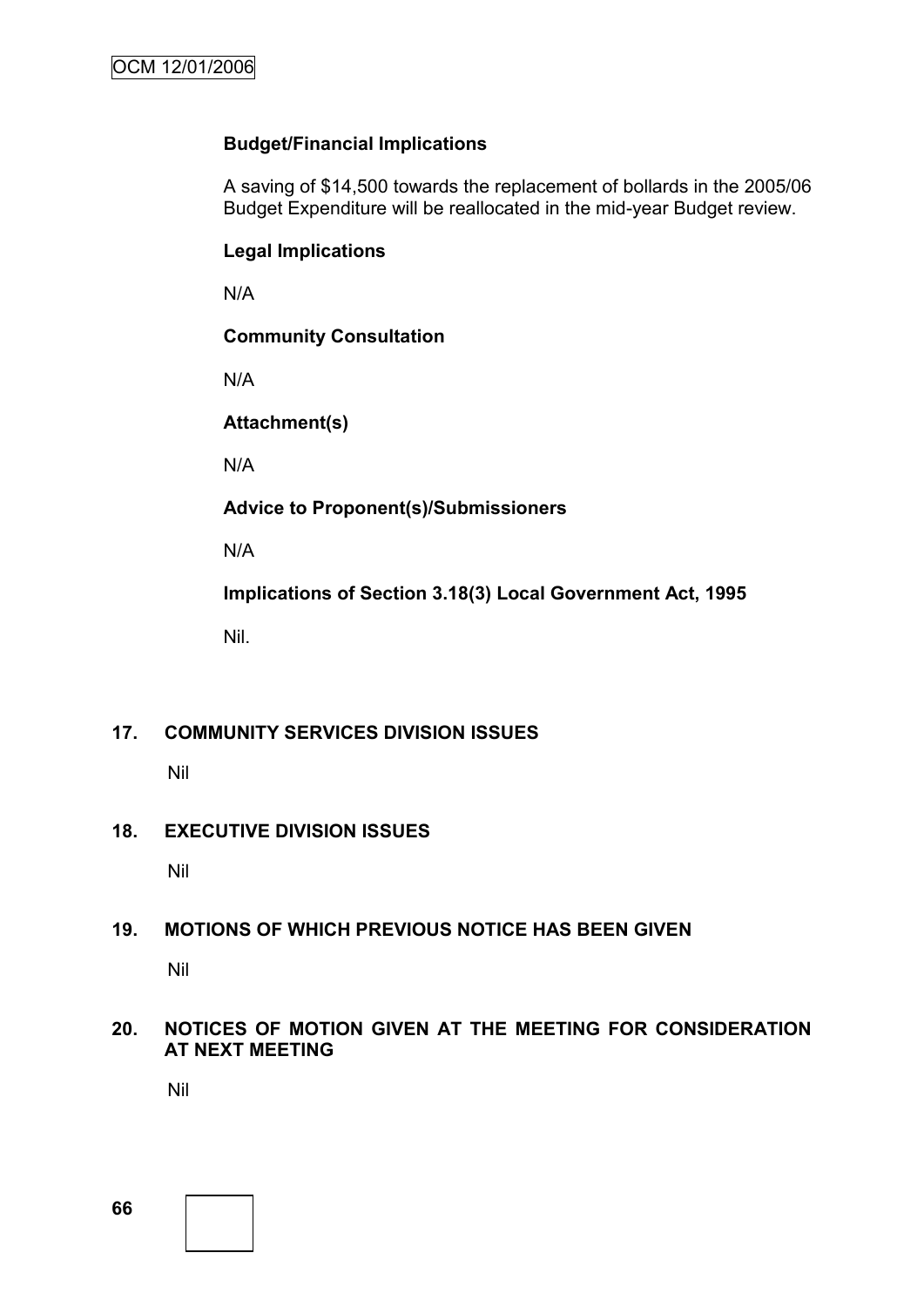## **Budget/Financial Implications**

A saving of \$14,500 towards the replacement of bollards in the 2005/06 Budget Expenditure will be reallocated in the mid-year Budget review.

## **Legal Implications**

N/A

## **Community Consultation**

N/A

# **Attachment(s)**

N/A

**Advice to Proponent(s)/Submissioners**

N/A

**Implications of Section 3.18(3) Local Government Act, 1995**

Nil.

## **17. COMMUNITY SERVICES DIVISION ISSUES**

Nil

## **18. EXECUTIVE DIVISION ISSUES**

Nil

## **19. MOTIONS OF WHICH PREVIOUS NOTICE HAS BEEN GIVEN**

Nil

## **20. NOTICES OF MOTION GIVEN AT THE MEETING FOR CONSIDERATION AT NEXT MEETING**

Nil

**66**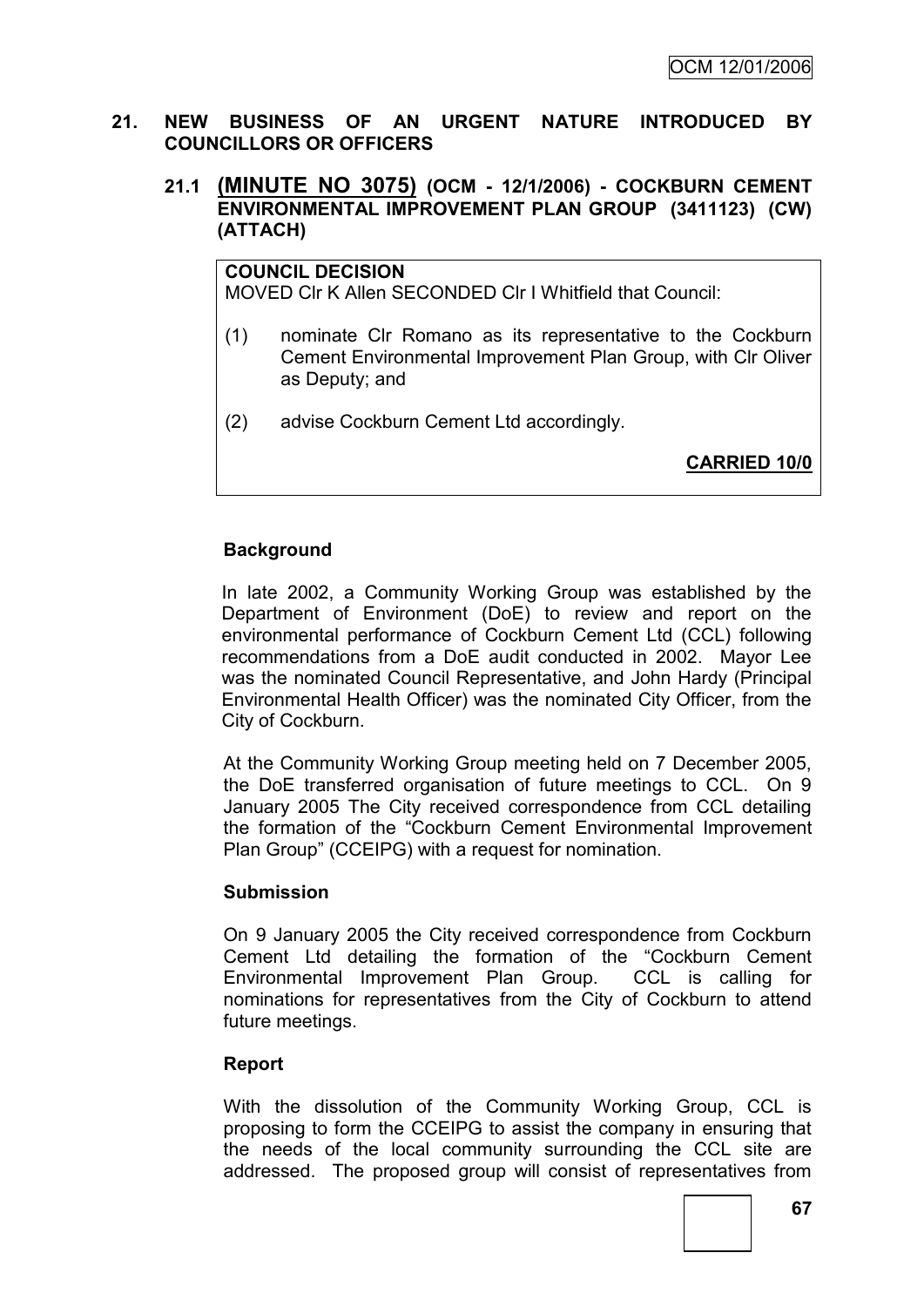### **21. NEW BUSINESS OF AN URGENT NATURE INTRODUCED BY COUNCILLORS OR OFFICERS**

## **21.1 (MINUTE NO 3075) (OCM - 12/1/2006) - COCKBURN CEMENT ENVIRONMENTAL IMPROVEMENT PLAN GROUP (3411123) (CW) (ATTACH)**

**COUNCIL DECISION** MOVED Clr K Allen SECONDED Clr I Whitfield that Council:

- (1) nominate Clr Romano as its representative to the Cockburn Cement Environmental Improvement Plan Group, with Clr Oliver as Deputy; and
- (2) advise Cockburn Cement Ltd accordingly.

**CARRIED 10/0**

## **Background**

In late 2002, a Community Working Group was established by the Department of Environment (DoE) to review and report on the environmental performance of Cockburn Cement Ltd (CCL) following recommendations from a DoE audit conducted in 2002. Mayor Lee was the nominated Council Representative, and John Hardy (Principal Environmental Health Officer) was the nominated City Officer, from the City of Cockburn.

At the Community Working Group meeting held on 7 December 2005, the DoE transferred organisation of future meetings to CCL. On 9 January 2005 The City received correspondence from CCL detailing the formation of the "Cockburn Cement Environmental Improvement Plan Group" (CCEIPG) with a request for nomination.

### **Submission**

On 9 January 2005 the City received correspondence from Cockburn Cement Ltd detailing the formation of the "Cockburn Cement Environmental Improvement Plan Group. CCL is calling for nominations for representatives from the City of Cockburn to attend future meetings.

### **Report**

With the dissolution of the Community Working Group, CCL is proposing to form the CCEIPG to assist the company in ensuring that the needs of the local community surrounding the CCL site are addressed. The proposed group will consist of representatives from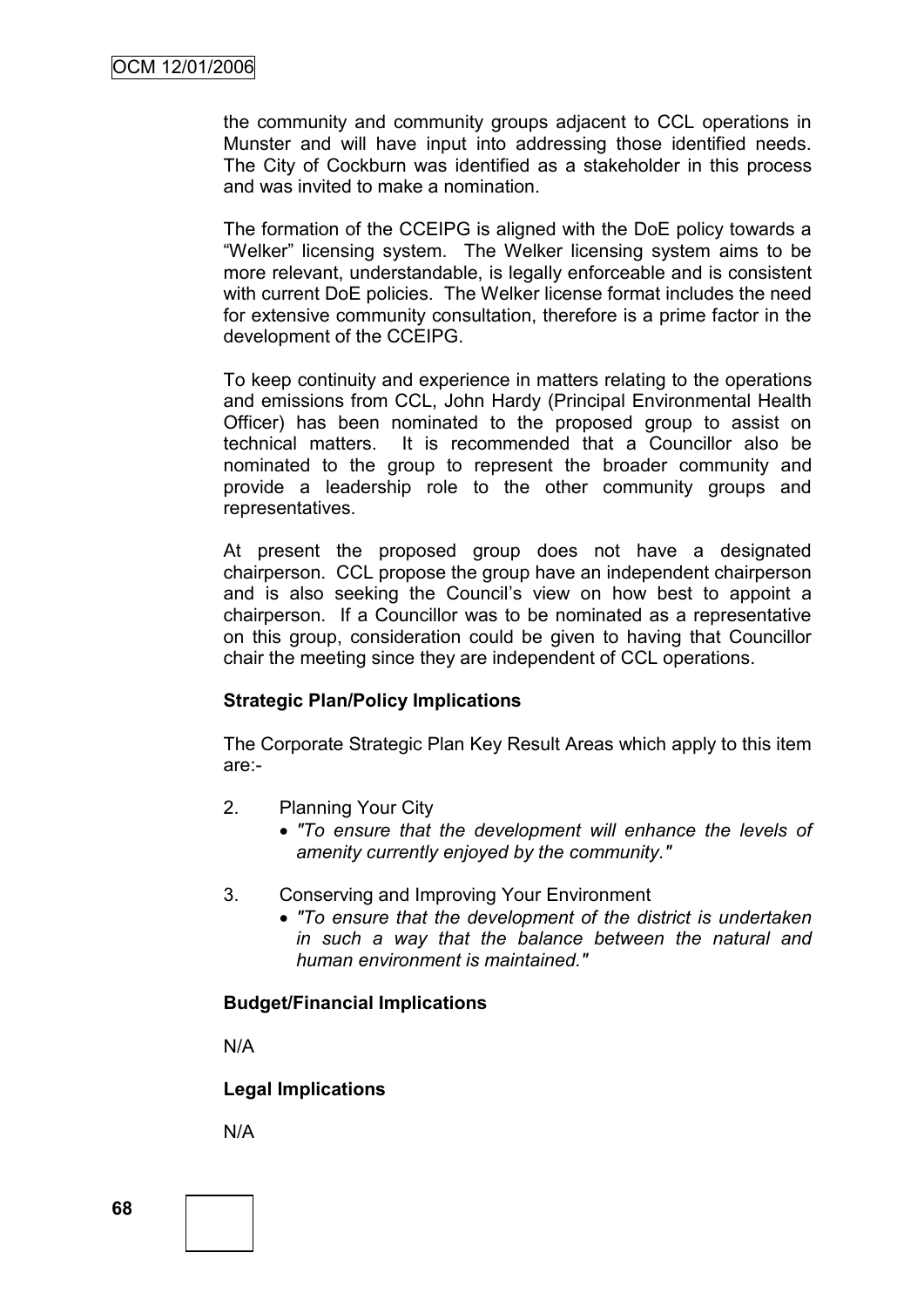the community and community groups adjacent to CCL operations in Munster and will have input into addressing those identified needs. The City of Cockburn was identified as a stakeholder in this process and was invited to make a nomination.

The formation of the CCEIPG is aligned with the DoE policy towards a "Welker" licensing system. The Welker licensing system aims to be more relevant, understandable, is legally enforceable and is consistent with current DoE policies. The Welker license format includes the need for extensive community consultation, therefore is a prime factor in the development of the CCEIPG.

To keep continuity and experience in matters relating to the operations and emissions from CCL, John Hardy (Principal Environmental Health Officer) has been nominated to the proposed group to assist on technical matters. It is recommended that a Councillor also be nominated to the group to represent the broader community and provide a leadership role to the other community groups and representatives.

At present the proposed group does not have a designated chairperson. CCL propose the group have an independent chairperson and is also seeking the Council's view on how best to appoint a chairperson. If a Councillor was to be nominated as a representative on this group, consideration could be given to having that Councillor chair the meeting since they are independent of CCL operations.

### **Strategic Plan/Policy Implications**

The Corporate Strategic Plan Key Result Areas which apply to this item are:-

- 2. Planning Your City
	- *"To ensure that the development will enhance the levels of amenity currently enjoyed by the community."*
- 3. Conserving and Improving Your Environment
	- *"To ensure that the development of the district is undertaken in such a way that the balance between the natural and human environment is maintained."*

### **Budget/Financial Implications**

N/A

### **Legal Implications**

N/A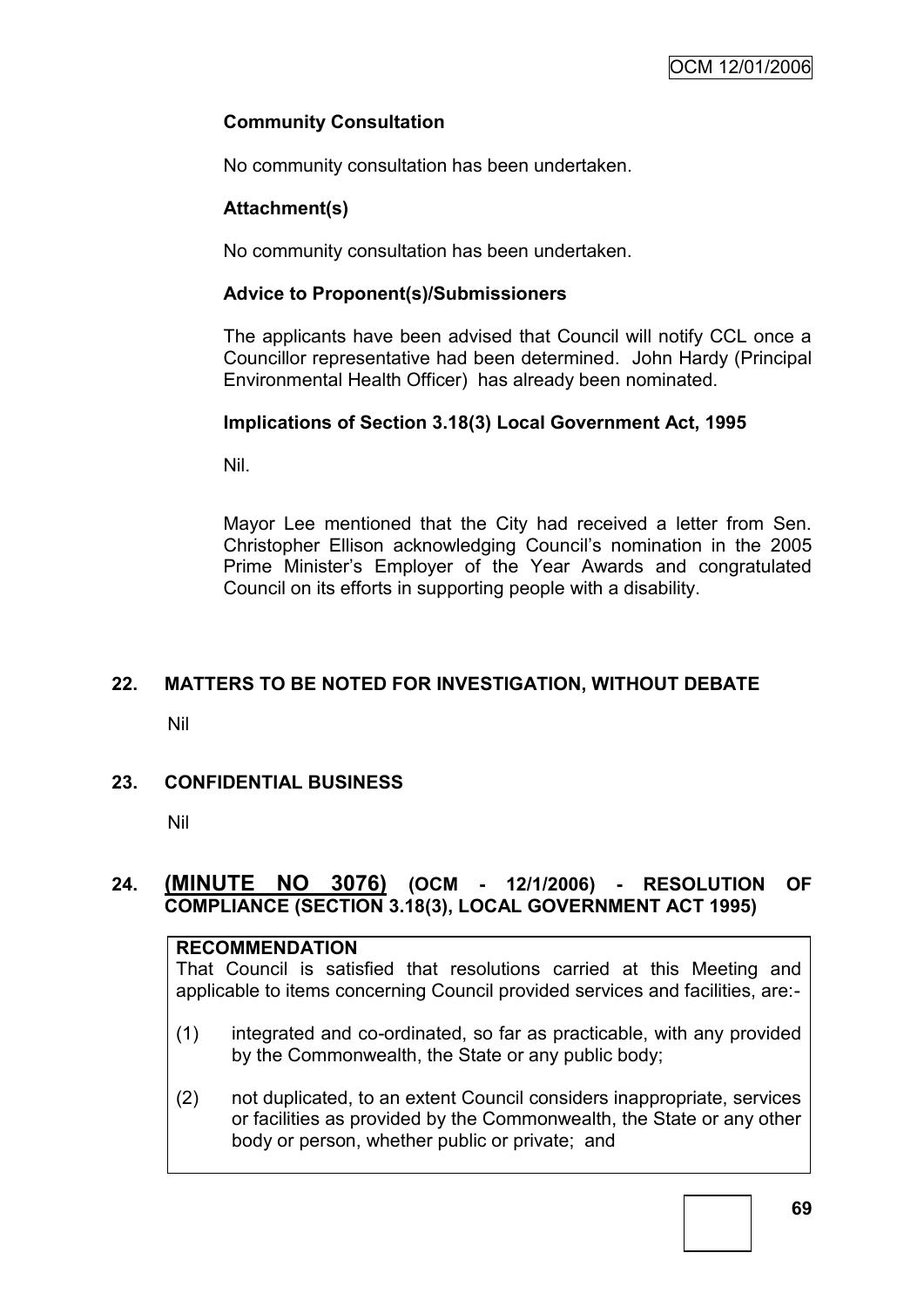## **Community Consultation**

No community consultation has been undertaken.

#### **Attachment(s)**

No community consultation has been undertaken.

#### **Advice to Proponent(s)/Submissioners**

The applicants have been advised that Council will notify CCL once a Councillor representative had been determined. John Hardy (Principal Environmental Health Officer) has already been nominated.

## **Implications of Section 3.18(3) Local Government Act, 1995**

Nil.

Mayor Lee mentioned that the City had received a letter from Sen. Christopher Ellison acknowledging Council"s nomination in the 2005 Prime Minister"s Employer of the Year Awards and congratulated Council on its efforts in supporting people with a disability.

## **22. MATTERS TO BE NOTED FOR INVESTIGATION, WITHOUT DEBATE**

Nil

## **23. CONFIDENTIAL BUSINESS**

Nil

## **24. (MINUTE NO 3076) (OCM - 12/1/2006) - RESOLUTION OF COMPLIANCE (SECTION 3.18(3), LOCAL GOVERNMENT ACT 1995)**

#### **RECOMMENDATION**

That Council is satisfied that resolutions carried at this Meeting and applicable to items concerning Council provided services and facilities, are:-

- (1) integrated and co-ordinated, so far as practicable, with any provided by the Commonwealth, the State or any public body;
- (2) not duplicated, to an extent Council considers inappropriate, services or facilities as provided by the Commonwealth, the State or any other body or person, whether public or private; and